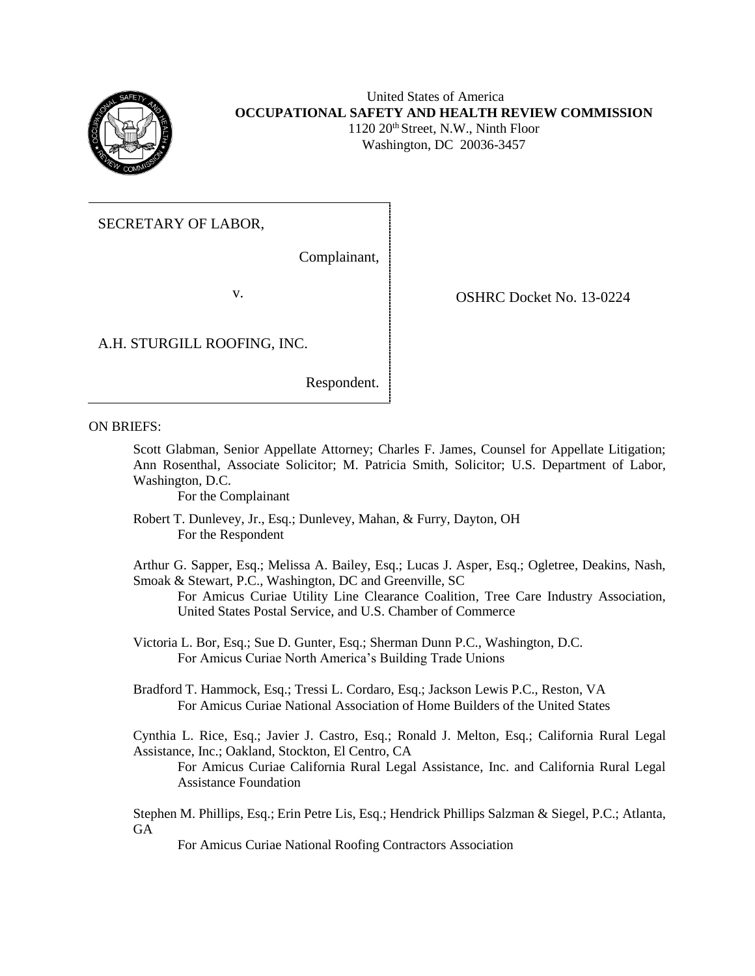

## United States of America **OCCUPATIONAL SAFETY AND HEALTH REVIEW COMMISSION** 1120 20<sup>th</sup> Street, N.W., Ninth Floor

Washington, DC 20036-3457

# SECRETARY OF LABOR,

Complainant,

v. SHRC Docket No. 13-0224

A.H. STURGILL ROOFING, INC.

Respondent.

ON BRIEFS:

Scott Glabman, Senior Appellate Attorney; Charles F. James, Counsel for Appellate Litigation; Ann Rosenthal, Associate Solicitor; M. Patricia Smith, Solicitor; U.S. Department of Labor, Washington, D.C.

For the Complainant

Robert T. Dunlevey, Jr., Esq.; Dunlevey, Mahan, & Furry, Dayton, OH For the Respondent

Arthur G. Sapper, Esq.; Melissa A. Bailey, Esq.; Lucas J. Asper, Esq.; Ogletree, Deakins, Nash, Smoak & Stewart, P.C., Washington, DC and Greenville, SC

For Amicus Curiae Utility Line Clearance Coalition, Tree Care Industry Association, United States Postal Service, and U.S. Chamber of Commerce

Victoria L. Bor, Esq.; Sue D. Gunter, Esq.; Sherman Dunn P.C., Washington, D.C. For Amicus Curiae North America's Building Trade Unions

Bradford T. Hammock, Esq.; Tressi L. Cordaro, Esq.; Jackson Lewis P.C., Reston, VA For Amicus Curiae National Association of Home Builders of the United States

Cynthia L. Rice, Esq.; Javier J. Castro, Esq.; Ronald J. Melton, Esq.; California Rural Legal Assistance, Inc.; Oakland, Stockton, El Centro, CA

For Amicus Curiae California Rural Legal Assistance, Inc. and California Rural Legal Assistance Foundation

Stephen M. Phillips, Esq.; Erin Petre Lis, Esq.; Hendrick Phillips Salzman & Siegel, P.C.; Atlanta, GA

For Amicus Curiae National Roofing Contractors Association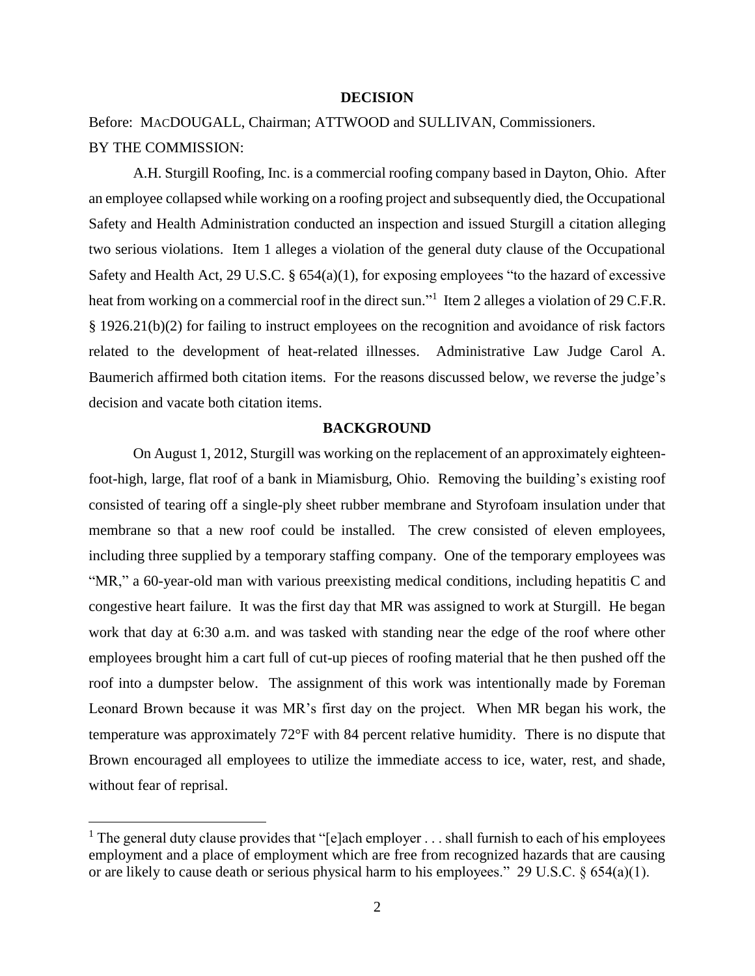#### **DECISION**

Before: MACDOUGALL, Chairman; ATTWOOD and SULLIVAN, Commissioners. BY THE COMMISSION:

A.H. Sturgill Roofing, Inc. is a commercial roofing company based in Dayton, Ohio. After an employee collapsed while working on a roofing project and subsequently died, the Occupational Safety and Health Administration conducted an inspection and issued Sturgill a citation alleging two serious violations. Item 1 alleges a violation of the general duty clause of the Occupational Safety and Health Act, 29 U.S.C. § 654(a)(1), for exposing employees "to the hazard of excessive heat from working on a commercial roof in the direct sun."<sup>1</sup> Item 2 alleges a violation of 29 C.F.R. § 1926.21(b)(2) for failing to instruct employees on the recognition and avoidance of risk factors related to the development of heat-related illnesses. Administrative Law Judge Carol A. Baumerich affirmed both citation items. For the reasons discussed below, we reverse the judge's decision and vacate both citation items.

### **BACKGROUND**

On August 1, 2012, Sturgill was working on the replacement of an approximately eighteenfoot-high, large, flat roof of a bank in Miamisburg, Ohio. Removing the building's existing roof consisted of tearing off a single-ply sheet rubber membrane and Styrofoam insulation under that membrane so that a new roof could be installed. The crew consisted of eleven employees, including three supplied by a temporary staffing company. One of the temporary employees was "MR," a 60-year-old man with various preexisting medical conditions, including hepatitis C and congestive heart failure. It was the first day that MR was assigned to work at Sturgill. He began work that day at 6:30 a.m. and was tasked with standing near the edge of the roof where other employees brought him a cart full of cut-up pieces of roofing material that he then pushed off the roof into a dumpster below. The assignment of this work was intentionally made by Foreman Leonard Brown because it was MR's first day on the project. When MR began his work, the temperature was approximately 72°F with 84 percent relative humidity. There is no dispute that Brown encouraged all employees to utilize the immediate access to ice, water, rest, and shade, without fear of reprisal.

<sup>&</sup>lt;sup>1</sup> The general duty clause provides that "[e]ach employer  $\dots$  shall furnish to each of his employees employment and a place of employment which are free from recognized hazards that are causing or are likely to cause death or serious physical harm to his employees." 29 U.S.C. § 654(a)(1).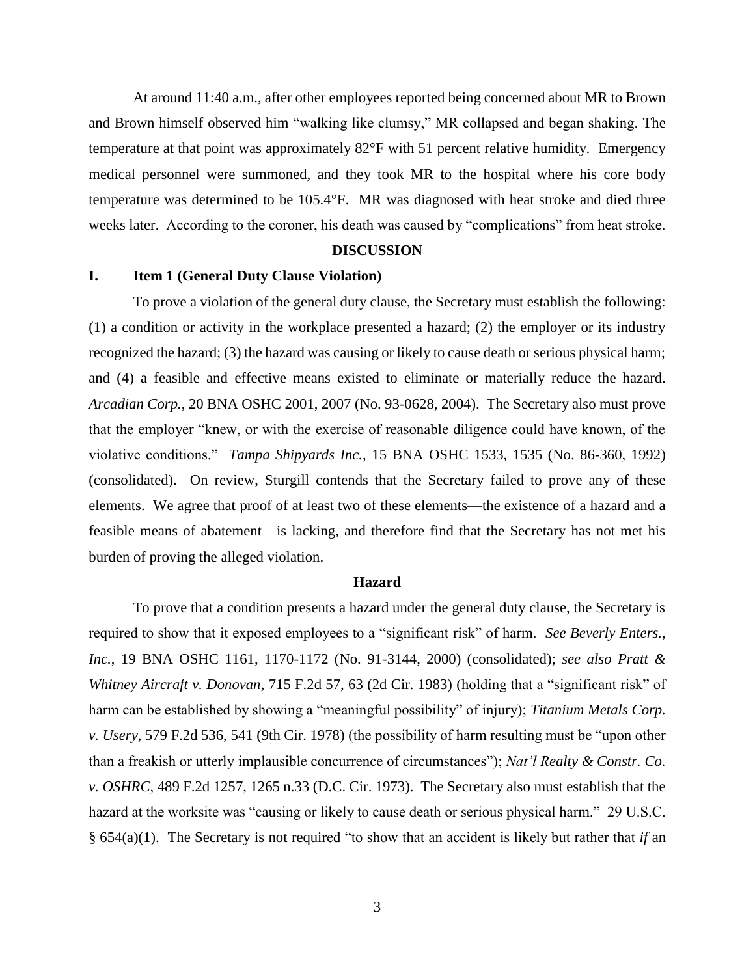At around 11:40 a.m., after other employees reported being concerned about MR to Brown and Brown himself observed him "walking like clumsy," MR collapsed and began shaking. The temperature at that point was approximately 82°F with 51 percent relative humidity. Emergency medical personnel were summoned, and they took MR to the hospital where his core body temperature was determined to be 105.4°F. MR was diagnosed with heat stroke and died three weeks later. According to the coroner, his death was caused by "complications" from heat stroke.

### **DISCUSSION**

#### **I. Item 1 (General Duty Clause Violation)**

To prove a violation of the general duty clause, the Secretary must establish the following: (1) a condition or activity in the workplace presented a hazard; (2) the employer or its industry recognized the hazard; (3) the hazard was causing or likely to cause death or serious physical harm; and (4) a feasible and effective means existed to eliminate or materially reduce the hazard. *Arcadian Corp.*, 20 BNA OSHC 2001, 2007 (No. 93-0628, 2004). The Secretary also must prove that the employer "knew, or with the exercise of reasonable diligence could have known, of the violative conditions." *Tampa Shipyards Inc.*, 15 BNA OSHC 1533, 1535 (No. 86-360, 1992) (consolidated). On review, Sturgill contends that the Secretary failed to prove any of these elements. We agree that proof of at least two of these elements—the existence of a hazard and a feasible means of abatement—is lacking, and therefore find that the Secretary has not met his burden of proving the alleged violation.

#### **Hazard**

To prove that a condition presents a hazard under the general duty clause, the Secretary is required to show that it exposed employees to a "significant risk" of harm. *See Beverly Enters., Inc.*, 19 BNA OSHC 1161, 1170-1172 (No. 91-3144, 2000) (consolidated); *see also [Pratt &](https://1.next.westlaw.com/Link/Document/FullText?findType=Y&serNum=1983139073&pubNum=350&originatingDoc=I33b44eeffa2c11d99439b076ef9ec4de&refType=RP&fi=co_pp_sp_350_63&originationContext=document&transitionType=DocumentItem&contextData=(sc.UserEnteredCitation)#co_pp_sp_350_63)  Whitney Aircraft v. Donovan*[, 715 F.2d 57, 63 \(2d Cir. 1983\)](https://1.next.westlaw.com/Link/Document/FullText?findType=Y&serNum=1983139073&pubNum=350&originatingDoc=I33b44eeffa2c11d99439b076ef9ec4de&refType=RP&fi=co_pp_sp_350_63&originationContext=document&transitionType=DocumentItem&contextData=(sc.UserEnteredCitation)#co_pp_sp_350_63) (holding that a "significant risk" of harm can be established by showing a "meaningful possibility" of injury); *[Titanium Metals Corp.](https://1.next.westlaw.com/Link/Document/FullText?findType=Y&serNum=1978119394&pubNum=350&originatingDoc=I33b44eeffa2c11d99439b076ef9ec4de&refType=RP&fi=co_pp_sp_350_541&originationContext=document&transitionType=DocumentItem&contextData=(sc.UserEnteredCitation)#co_pp_sp_350_541)  v. Usery*[, 579 F.2d 536, 541 \(9th Cir. 1978\)](https://1.next.westlaw.com/Link/Document/FullText?findType=Y&serNum=1978119394&pubNum=350&originatingDoc=I33b44eeffa2c11d99439b076ef9ec4de&refType=RP&fi=co_pp_sp_350_541&originationContext=document&transitionType=DocumentItem&contextData=(sc.UserEnteredCitation)#co_pp_sp_350_541) (the possibility of harm resulting must be "upon other than a freakish or utterly implausible concurrence of circumstances"); *[Nat'l Realty & Constr. Co.](https://1.next.westlaw.com/Link/Document/FullText?findType=Y&serNum=1973112769&pubNum=350&originatingDoc=I33b44eeffa2c11d99439b076ef9ec4de&refType=RP&fi=co_pp_sp_350_1265&originationContext=document&transitionType=DocumentItem&contextData=(sc.UserEnteredCitation)#co_pp_sp_350_1265)  v. OSHRC*[, 489 F.2d 1257, 1265 n.33](https://1.next.westlaw.com/Link/Document/FullText?findType=Y&serNum=1973112769&pubNum=350&originatingDoc=I33b44eeffa2c11d99439b076ef9ec4de&refType=RP&fi=co_pp_sp_350_1265&originationContext=document&transitionType=DocumentItem&contextData=(sc.UserEnteredCitation)#co_pp_sp_350_1265) (D.C. Cir. 1973). The Secretary also must establish that the hazard at the worksite was "causing or likely to cause death or serious physical harm." 29 U.S.C. § 654(a)(1). The Secretary is not required "to show that an accident is likely but rather that *if* an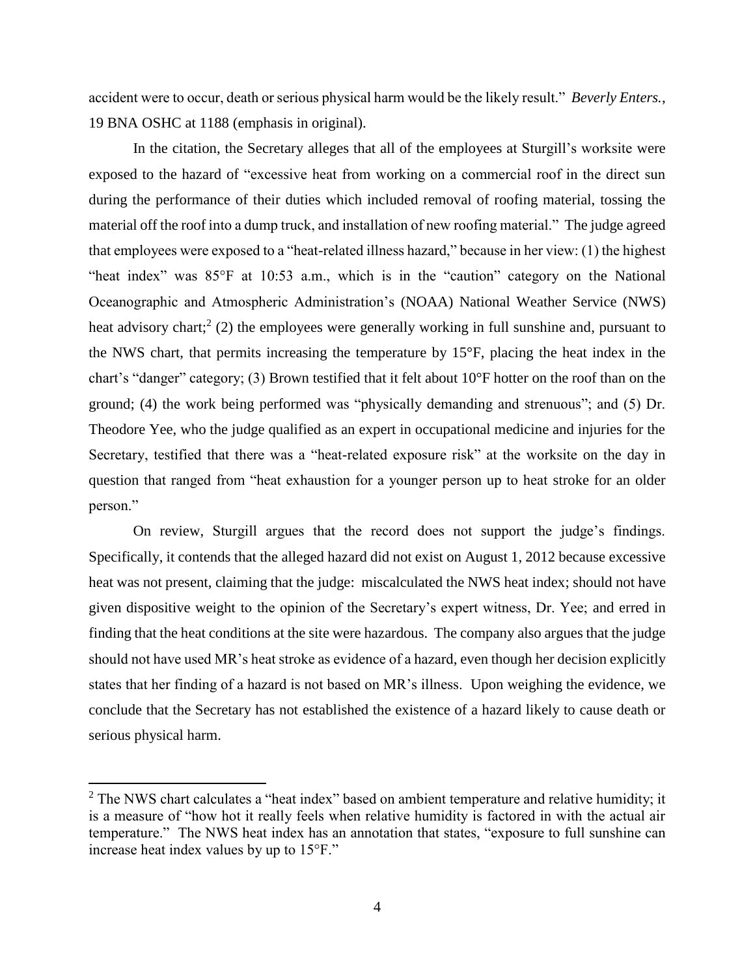accident were to occur, death or serious physical harm would be the likely result." *Beverly Enters.*, 19 BNA OSHC at 1188 (emphasis in original).

In the citation, the Secretary alleges that all of the employees at Sturgill's worksite were exposed to the hazard of "excessive heat from working on a commercial roof in the direct sun during the performance of their duties which included removal of roofing material, tossing the material off the roof into a dump truck, and installation of new roofing material." The judge agreed that employees were exposed to a "heat-related illness hazard," because in her view: (1) the highest "heat index" was 85°F at 10:53 a.m., which is in the "caution" category on the National Oceanographic and Atmospheric Administration's (NOAA) National Weather Service (NWS) heat advisory chart;<sup>2</sup> (2) the employees were generally working in full sunshine and, pursuant to the NWS chart, that permits increasing the temperature by 15°F, placing the heat index in the chart's "danger" category; (3) Brown testified that it felt about 10°F hotter on the roof than on the ground; (4) the work being performed was "physically demanding and strenuous"; and (5) Dr. Theodore Yee, who the judge qualified as an expert in occupational medicine and injuries for the Secretary, testified that there was a "heat-related exposure risk" at the worksite on the day in question that ranged from "heat exhaustion for a younger person up to heat stroke for an older person."

On review, Sturgill argues that the record does not support the judge's findings. Specifically, it contends that the alleged hazard did not exist on August 1, 2012 because excessive heat was not present, claiming that the judge: miscalculated the NWS heat index; should not have given dispositive weight to the opinion of the Secretary's expert witness, Dr. Yee; and erred in finding that the heat conditions at the site were hazardous. The company also argues that the judge should not have used MR's heat stroke as evidence of a hazard, even though her decision explicitly states that her finding of a hazard is not based on MR's illness. Upon weighing the evidence, we conclude that the Secretary has not established the existence of a hazard likely to cause death or serious physical harm.

 $2$  The NWS chart calculates a "heat index" based on ambient temperature and relative humidity; it is a measure of "how hot it really feels when relative humidity is factored in with the actual air temperature." The NWS heat index has an annotation that states, "exposure to full sunshine can increase heat index values by up to 15°F."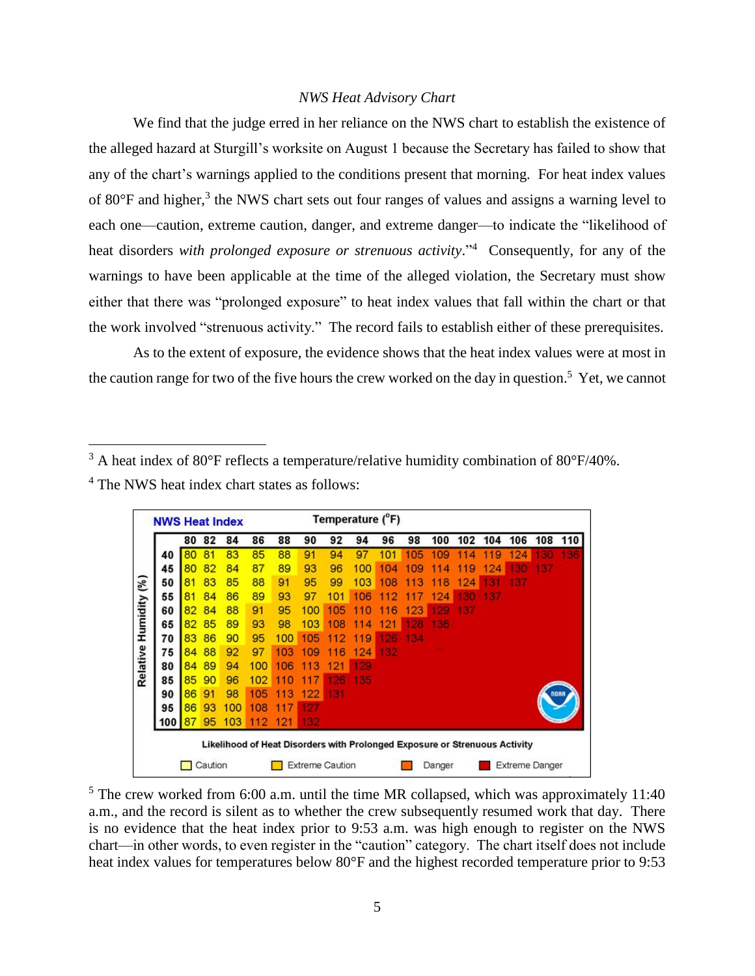#### *NWS Heat Advisory Chart*

We find that the judge erred in her reliance on the NWS chart to establish the existence of the alleged hazard at Sturgill's worksite on August 1 because the Secretary has failed to show that any of the chart's warnings applied to the conditions present that morning. For heat index values of 80 $\degree$ F and higher,<sup>3</sup> the NWS chart sets out four ranges of values and assigns a warning level to each one—caution, extreme caution, danger, and extreme danger—to indicate the "likelihood of heat disorders *with prolonged exposure or strenuous activity*.<sup>"4</sup> Consequently, for any of the warnings to have been applicable at the time of the alleged violation, the Secretary must show either that there was "prolonged exposure" to heat index values that fall within the chart or that the work involved "strenuous activity." The record fails to establish either of these prerequisites.

As to the extent of exposure, the evidence shows that the heat index values were at most in the caution range for two of the five hours the crew worked on the day in question.<sup>5</sup> Yet, we cannot

<sup>&</sup>lt;sup>3</sup> A heat index of 80°F reflects a temperature/relative humidity combination of 80°F/40%.

|  |  |  | <sup>4</sup> The NWS heat index chart states as follows: |
|--|--|--|----------------------------------------------------------|
|--|--|--|----------------------------------------------------------|

 $\overline{a}$ 

|                                                                            | <b>NWS Heat Index</b> |    |    |     |     |     |      |      | Temperature (°F) |     |         |         |                |     |     |     |     |
|----------------------------------------------------------------------------|-----------------------|----|----|-----|-----|-----|------|------|------------------|-----|---------|---------|----------------|-----|-----|-----|-----|
|                                                                            |                       | 80 | 82 | 84  | 86  | 88  | 90   | 92   | 94               | 96  | 98      | 100     | 102            | 104 | 106 | 108 | 110 |
|                                                                            | 40                    | 80 | 81 | 83  | 85  | 88  | 91   | 94   | 97               | 101 | 105     | 109     | 4              | 9   | 24  |     | 136 |
|                                                                            | 45                    | 80 | 82 | 84  | 87  | 89  | 93   | 96   | 100              | 104 | 109     | 4       | 9              | 24  |     | 37  |     |
|                                                                            | 50                    | 81 | 83 | 85  | 88  | 91  | 95   | 99   | 103              | 108 | 11<br>з | 8<br>11 | 124            |     | 37  |     |     |
| Relative Humidity (%)                                                      | 55                    | 81 | 84 | 86  | 89  | 93  | 97   | 101  | 106              | 2   | 1<br>7  | 124     |                | 137 |     |     |     |
|                                                                            | 60                    | 82 | 84 | 88  | 91  | 95  | 100  | 105  | 1<br>O           | 6   | 123     |         | 137            |     |     |     |     |
|                                                                            | 65                    | 82 | 85 | 89  | 93  | 98  | 103  | 108  | 1<br>1<br>4      | 121 |         | 36      |                |     |     |     |     |
|                                                                            | 70                    | 83 | 86 | 90  | 95  | 100 | 105  | 112  | 9<br>1           | 26  | 134     |         |                |     |     |     |     |
|                                                                            | 75                    | 84 | 88 | 92  | 97  | 103 | 09   | 116  | 124              | 132 |         |         |                |     |     |     |     |
|                                                                            | 80                    | 84 | 89 | 94  | 100 | 106 | з    | 121  | 129              |     |         |         |                |     |     |     |     |
|                                                                            | 85                    | 85 | 90 | 96  | 102 |     |      | -216 | 35               |     |         |         |                |     |     |     |     |
|                                                                            | 90                    | 86 | 91 | 98  | 105 | з   | 122  | 131  |                  |     |         |         |                |     |     |     |     |
|                                                                            | 95                    | 86 | 93 | 100 | 108 | 17  | - 27 |      |                  |     |         |         |                |     |     |     |     |
|                                                                            | 100                   | 87 | 95 | 103 | 112 | 121 | 132  |      |                  |     |         |         |                |     |     |     |     |
| Likelihood of Heat Disorders with Prolonged Exposure or Strenuous Activity |                       |    |    |     |     |     |      |      |                  |     |         |         |                |     |     |     |     |
| Caution<br><b>Extreme Caution</b>                                          |                       |    |    |     |     |     |      |      | Danger           |     |         |         | Extreme Danger |     |     |     |     |

 $5$  The crew worked from 6:00 a.m. until the time MR collapsed, which was approximately 11:40 a.m., and the record is silent as to whether the crew subsequently resumed work that day. There is no evidence that the heat index prior to 9:53 a.m. was high enough to register on the NWS chart—in other words, to even register in the "caution" category. The chart itself does not include heat index values for temperatures below 80°F and the highest recorded temperature prior to 9:53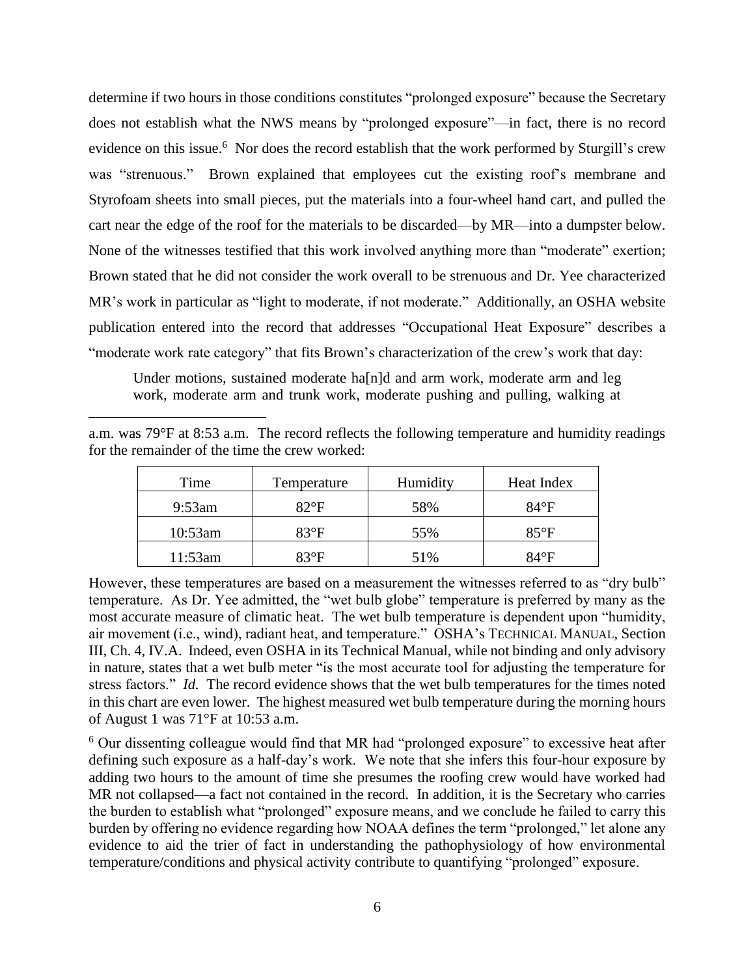determine if two hours in those conditions constitutes "prolonged exposure" because the Secretary does not establish what the NWS means by "prolonged exposure"—in fact, there is no record evidence on this issue.<sup>6</sup> Nor does the record establish that the work performed by Sturgill's crew was "strenuous." Brown explained that employees cut the existing roof's membrane and Styrofoam sheets into small pieces, put the materials into a four-wheel hand cart, and pulled the cart near the edge of the roof for the materials to be discarded—by MR—into a dumpster below. None of the witnesses testified that this work involved anything more than "moderate" exertion; Brown stated that he did not consider the work overall to be strenuous and Dr. Yee characterized MR's work in particular as "light to moderate, if not moderate." Additionally, an OSHA website publication entered into the record that addresses "Occupational Heat Exposure" describes a "moderate work rate category" that fits Brown's characterization of the crew's work that day:

Under motions, sustained moderate ha[n]d and arm work, moderate arm and leg work, moderate arm and trunk work, moderate pushing and pulling, walking at

|                                                | a.m. was 79°F at 8:53 a.m. The record reflects the following temperature and humidity readings |
|------------------------------------------------|------------------------------------------------------------------------------------------------|
| for the remainder of the time the crew worked: |                                                                                                |

 $\overline{a}$ 

| Time      | Temperature   | Humidity | Heat Index    |  |  |
|-----------|---------------|----------|---------------|--|--|
| $9:53$ am | $82^{\circ}F$ | 58%      | $84^{\circ}F$ |  |  |
| 10:53am   | $83^{\circ}F$ | 55%      | $85^{\circ}F$ |  |  |
| 11:53am   | $83^{\circ}F$ | 51%      | 84°F          |  |  |

However, these temperatures are based on a measurement the witnesses referred to as "dry bulb" temperature. As Dr. Yee admitted, the "wet bulb globe" temperature is preferred by many as the most accurate measure of climatic heat. The wet bulb temperature is dependent upon "humidity, air movement (i.e., wind), radiant heat, and temperature." OSHA's TECHNICAL MANUAL, Section III, Ch. 4, IV.A. Indeed, even OSHA in its Technical Manual, while not binding and only advisory in nature, states that a wet bulb meter "is the most accurate tool for adjusting the temperature for stress factors." *Id.* The record evidence shows that the wet bulb temperatures for the times noted in this chart are even lower. The highest measured wet bulb temperature during the morning hours of August 1 was 71°F at 10:53 a.m.

 $6$  Our dissenting colleague would find that MR had "prolonged exposure" to excessive heat after defining such exposure as a half-day's work. We note that she infers this four-hour exposure by adding two hours to the amount of time she presumes the roofing crew would have worked had MR not collapsed—a fact not contained in the record. In addition, it is the Secretary who carries the burden to establish what "prolonged" exposure means, and we conclude he failed to carry this burden by offering no evidence regarding how NOAA defines the term "prolonged," let alone any evidence to aid the trier of fact in understanding the pathophysiology of how environmental temperature/conditions and physical activity contribute to quantifying "prolonged" exposure.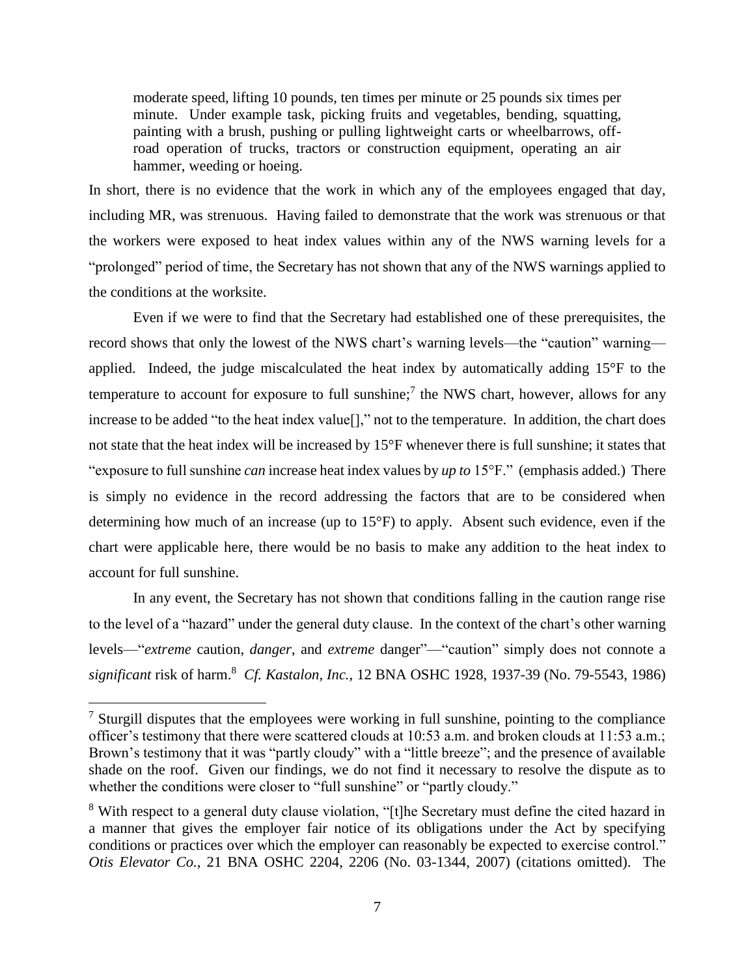moderate speed, lifting 10 pounds, ten times per minute or 25 pounds six times per minute. Under example task, picking fruits and vegetables, bending, squatting, painting with a brush, pushing or pulling lightweight carts or wheelbarrows, offroad operation of trucks, tractors or construction equipment, operating an air hammer, weeding or hoeing.

In short, there is no evidence that the work in which any of the employees engaged that day, including MR, was strenuous. Having failed to demonstrate that the work was strenuous or that the workers were exposed to heat index values within any of the NWS warning levels for a "prolonged" period of time, the Secretary has not shown that any of the NWS warnings applied to the conditions at the worksite.

Even if we were to find that the Secretary had established one of these prerequisites, the record shows that only the lowest of the NWS chart's warning levels—the "caution" warning applied. Indeed, the judge miscalculated the heat index by automatically adding 15°F to the temperature to account for exposure to full sunshine;<sup>7</sup> the NWS chart, however, allows for any increase to be added "to the heat index value<sup>[]</sup>," not to the temperature. In addition, the chart does not state that the heat index will be increased by 15°F whenever there is full sunshine; it states that "exposure to full sunshine *can* increase heat index values by *up to* 15°F." (emphasis added.) There is simply no evidence in the record addressing the factors that are to be considered when determining how much of an increase (up to 15°F) to apply. Absent such evidence, even if the chart were applicable here, there would be no basis to make any addition to the heat index to account for full sunshine.

In any event, the Secretary has not shown that conditions falling in the caution range rise to the level of a "hazard" under the general duty clause. In the context of the chart's other warning levels—"*extreme* caution, *danger*, and *extreme* danger"—"caution" simply does not connote a *significant* risk of harm. 8 *Cf. Kastalon, Inc.*, 12 BNA OSHC 1928, 1937-39 (No. 79-5543, 1986)

 $<sup>7</sup>$  Sturgill disputes that the employees were working in full sunshine, pointing to the compliance</sup> officer's testimony that there were scattered clouds at 10:53 a.m. and broken clouds at 11:53 a.m.; Brown's testimony that it was "partly cloudy" with a "little breeze"; and the presence of available shade on the roof. Given our findings, we do not find it necessary to resolve the dispute as to whether the conditions were closer to "full sunshine" or "partly cloudy."

<sup>&</sup>lt;sup>8</sup> With respect to a general duty clause violation, "[t]he Secretary must define the cited hazard in a manner that gives the employer fair notice of its obligations under the Act by specifying conditions or practices over which the employer can reasonably be expected to exercise control." *Otis Elevator Co.*, 21 BNA OSHC 2204, 2206 (No. 03-1344, 2007) (citations omitted). The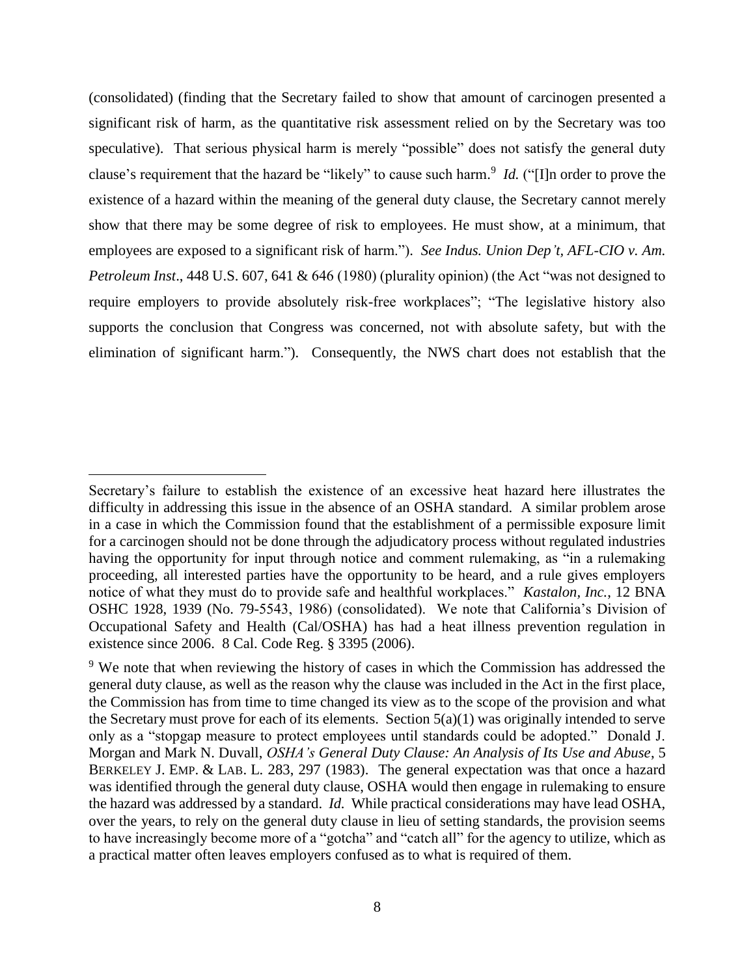(consolidated) (finding that the Secretary failed to show that amount of carcinogen presented a significant risk of harm, as the quantitative risk assessment relied on by the Secretary was too speculative). That serious physical harm is merely "possible" does not satisfy the general duty clause's requirement that the hazard be "likely" to cause such harm. 9 *Id.* ("[I]n order to prove the existence of a hazard within the meaning of the general duty clause, the Secretary cannot merely show that there may be some degree of risk to employees. He must show, at a minimum, that employees are exposed to a significant risk of harm."). *See Indus. Union Dep't, AFL-CIO v. Am. Petroleum Inst*., 448 U.S. 607, 641 & 646 (1980) (plurality opinion) (the Act "was not designed to require employers to provide absolutely risk-free workplaces"; "The legislative history also supports the conclusion that Congress was concerned, not with absolute safety, but with the elimination of significant harm."). Consequently, the NWS chart does not establish that the

Secretary's failure to establish the existence of an excessive heat hazard here illustrates the difficulty in addressing this issue in the absence of an OSHA standard. A similar problem arose in a case in which the Commission found that the establishment of a permissible exposure limit for a carcinogen should not be done through the adjudicatory process without regulated industries having the opportunity for input through notice and comment rulemaking, as "in a rulemaking proceeding, all interested parties have the opportunity to be heard, and a rule gives employers notice of what they must do to provide safe and healthful workplaces." *Kastalon, Inc.*, 12 BNA OSHC 1928, 1939 (No. 79-5543, 1986) (consolidated). We note that California's Division of Occupational Safety and Health (Cal/OSHA) has had a heat illness prevention regulation in existence since 2006. 8 Cal. Code Reg. § 3395 (2006).

<sup>&</sup>lt;sup>9</sup> We note that when reviewing the history of cases in which the Commission has addressed the general duty clause, as well as the reason why the clause was included in the Act in the first place, the Commission has from time to time changed its view as to the scope of the provision and what the Secretary must prove for each of its elements. Section  $5(a)(1)$  was originally intended to serve only as a "stopgap measure to protect employees until standards could be adopted." Donald J. Morgan and Mark N. Duvall, *OSHA's General Duty Clause: An Analysis of Its Use and Abuse*, 5 BERKELEY J. EMP. & LAB. L. 283, 297 (1983). The general expectation was that once a hazard was identified through the general duty clause, OSHA would then engage in rulemaking to ensure the hazard was addressed by a standard. *Id.* While practical considerations may have lead OSHA, over the years, to rely on the general duty clause in lieu of setting standards, the provision seems to have increasingly become more of a "gotcha" and "catch all" for the agency to utilize, which as a practical matter often leaves employers confused as to what is required of them.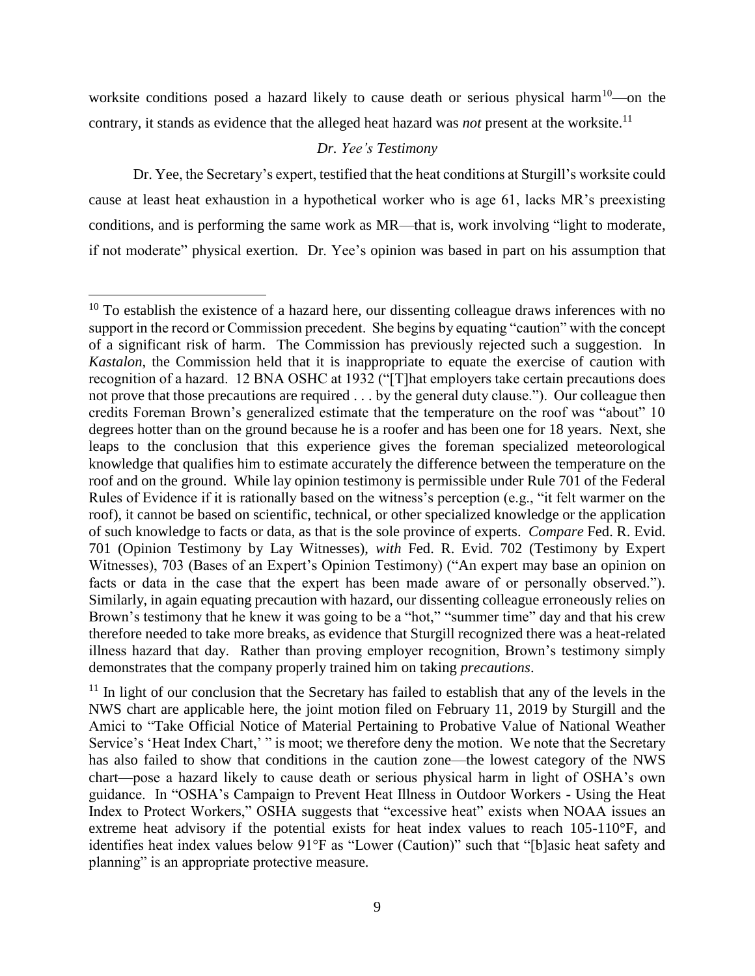worksite conditions posed a hazard likely to cause death or serious physical harm<sup>10</sup>—on the contrary, it stands as evidence that the alleged heat hazard was *not* present at the worksite. 11

### *Dr. Yee's Testimony*

Dr. Yee, the Secretary's expert, testified that the heat conditions at Sturgill's worksite could cause at least heat exhaustion in a hypothetical worker who is age 61, lacks MR's preexisting conditions, and is performing the same work as MR—that is, work involving "light to moderate, if not moderate" physical exertion. Dr. Yee's opinion was based in part on his assumption that

 $10$  To establish the existence of a hazard here, our dissenting colleague draws inferences with no support in the record or Commission precedent. She begins by equating "caution" with the concept of a significant risk of harm. The Commission has previously rejected such a suggestion. In *Kastalon*, the Commission held that it is inappropriate to equate the exercise of caution with recognition of a hazard. 12 BNA OSHC at 1932 ("[T]hat employers take certain precautions does not prove that those precautions are required . . . by the general duty clause."). Our colleague then credits Foreman Brown's generalized estimate that the temperature on the roof was "about" 10 degrees hotter than on the ground because he is a roofer and has been one for 18 years. Next, she leaps to the conclusion that this experience gives the foreman specialized meteorological knowledge that qualifies him to estimate accurately the difference between the temperature on the roof and on the ground. While lay opinion testimony is permissible under Rule 701 of the Federal Rules of Evidence if it is rationally based on the witness's perception (e.g., "it felt warmer on the roof), it cannot be based on scientific, technical, or other specialized knowledge or the application of such knowledge to facts or data, as that is the sole province of experts. *Compare* Fed. R. Evid. 701 (Opinion Testimony by Lay Witnesses), *with* Fed. R. Evid. 702 (Testimony by Expert Witnesses), 703 (Bases of an Expert's Opinion Testimony) ("An expert may base an opinion on facts or data in the case that the expert has been made aware of or personally observed."). Similarly, in again equating precaution with hazard, our dissenting colleague erroneously relies on Brown's testimony that he knew it was going to be a "hot," "summer time" day and that his crew therefore needed to take more breaks, as evidence that Sturgill recognized there was a heat-related illness hazard that day. Rather than proving employer recognition, Brown's testimony simply demonstrates that the company properly trained him on taking *precautions*.

 $11$  In light of our conclusion that the Secretary has failed to establish that any of the levels in the NWS chart are applicable here, the joint motion filed on February 11, 2019 by Sturgill and the Amici to "Take Official Notice of Material Pertaining to Probative Value of National Weather Service's 'Heat Index Chart,' " is moot; we therefore deny the motion. We note that the Secretary has also failed to show that conditions in the caution zone—the lowest category of the NWS chart—pose a hazard likely to cause death or serious physical harm in light of OSHA's own guidance. In "OSHA's Campaign to Prevent Heat Illness in Outdoor Workers - Using the Heat Index to Protect Workers," OSHA suggests that "excessive heat" exists when NOAA issues an extreme heat advisory if the potential exists for heat index values to reach 105-110°F, and identifies heat index values below 91°F as "Lower (Caution)" such that "[b]asic heat safety and planning" is an appropriate protective measure.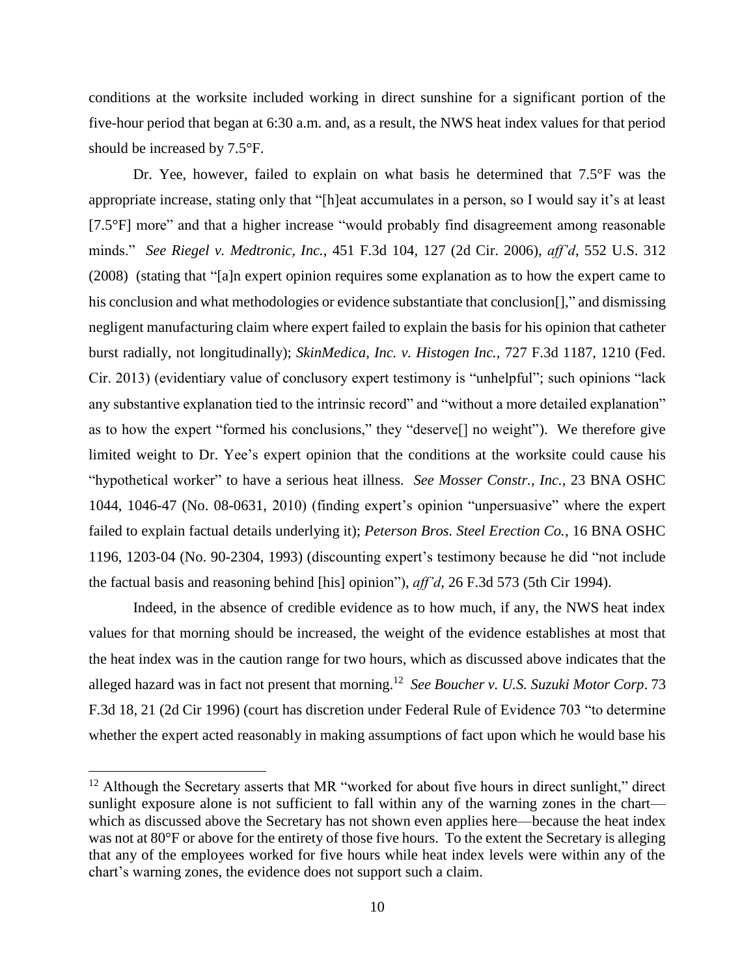conditions at the worksite included working in direct sunshine for a significant portion of the five-hour period that began at 6:30 a.m. and, as a result, the NWS heat index values for that period should be increased by 7.5°F.

Dr. Yee, however, failed to explain on what basis he determined that 7.5°F was the appropriate increase, stating only that "[h]eat accumulates in a person, so I would say it's at least [7.5°F] more" and that a higher increase "would probably find disagreement among reasonable minds." *See Riegel v. Medtronic, Inc.*, 451 F.3d 104, 127 (2d Cir. 2006), *aff'd*, 552 U.S. 312 (2008) (stating that "[a]n expert opinion requires some explanation as to how the expert came to his conclusion and what methodologies or evidence substantiate that conclusion[]," and dismissing negligent manufacturing claim where expert failed to explain the basis for his opinion that catheter burst radially, not longitudinally); *SkinMedica, Inc. v. Histogen Inc.,* 727 F.3d 1187, 1210 (Fed. Cir. 2013) (evidentiary value of conclusory expert testimony is "unhelpful"; such opinions "lack any substantive explanation tied to the intrinsic record" and "without a more detailed explanation" as to how the expert "formed his conclusions," they "deserve[] no weight"). We therefore give limited weight to Dr. Yee's expert opinion that the conditions at the worksite could cause his "hypothetical worker" to have a serious heat illness. *See Mosser Constr., Inc.*, 23 BNA OSHC 1044, 1046-47 (No. 08-0631, 2010) (finding expert's opinion "unpersuasive" where the expert failed to explain factual details underlying it); *Peterson Bros. Steel Erection Co.*, 16 BNA OSHC 1196, 1203-04 (No. 90-2304, 1993) (discounting expert's testimony because he did "not include the factual basis and reasoning behind [his] opinion"), *aff'd*, 26 F.3d 573 (5th Cir 1994).

Indeed, in the absence of credible evidence as to how much, if any, the NWS heat index values for that morning should be increased, the weight of the evidence establishes at most that the heat index was in the caution range for two hours, which as discussed above indicates that the alleged hazard was in fact not present that morning. <sup>12</sup> *See Boucher v. U.S. Suzuki Motor Corp*. 73 F.3d 18, 21 (2d Cir 1996) (court has discretion under Federal Rule of Evidence 703 "to determine whether the expert acted reasonably in making assumptions of fact upon which he would base his

 $12$  Although the Secretary asserts that MR "worked for about five hours in direct sunlight," direct sunlight exposure alone is not sufficient to fall within any of the warning zones in the chart which as discussed above the Secretary has not shown even applies here—because the heat index was not at 80°F or above for the entirety of those five hours. To the extent the Secretary is alleging that any of the employees worked for five hours while heat index levels were within any of the chart's warning zones, the evidence does not support such a claim.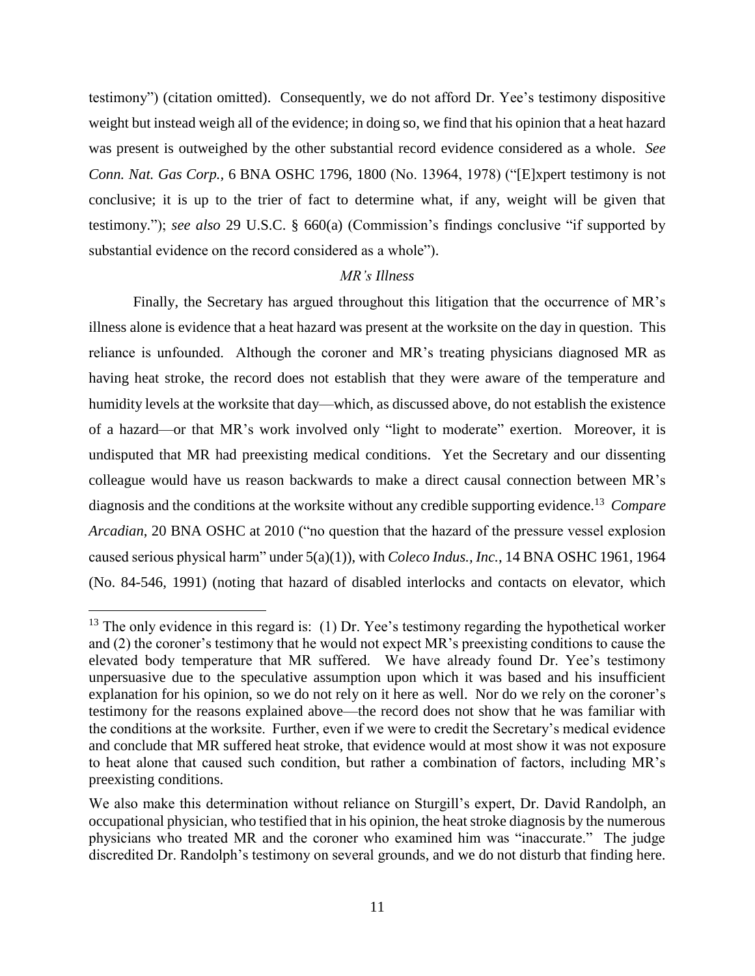testimony") (citation omitted). Consequently, we do not afford Dr. Yee's testimony dispositive weight but instead weigh all of the evidence; in doing so, we find that his opinion that a heat hazard was present is outweighed by the other substantial record evidence considered as a whole. *See Conn. Nat. Gas Corp.,* 6 BNA OSHC 1796, 1800 (No. 13964, 1978) ("[E]xpert testimony is not conclusive; it is up to the trier of fact to determine what, if any, weight will be given that testimony."); *see also* 29 U.S.C. § 660(a) (Commission's findings conclusive "if supported by substantial evidence on the record considered as a whole").

### *MR's Illness*

Finally, the Secretary has argued throughout this litigation that the occurrence of MR's illness alone is evidence that a heat hazard was present at the worksite on the day in question. This reliance is unfounded. Although the coroner and MR's treating physicians diagnosed MR as having heat stroke, the record does not establish that they were aware of the temperature and humidity levels at the worksite that day—which, as discussed above, do not establish the existence of a hazard—or that MR's work involved only "light to moderate" exertion. Moreover, it is undisputed that MR had preexisting medical conditions. Yet the Secretary and our dissenting colleague would have us reason backwards to make a direct causal connection between MR's diagnosis and the conditions at the worksite without any credible supporting evidence. <sup>13</sup> *Compare Arcadian*, 20 BNA OSHC at 2010 ("no question that the hazard of the pressure vessel explosion caused serious physical harm" under 5(a)(1)), with *Coleco Indus., Inc.*, 14 BNA OSHC 1961, 1964 (No. 84-546, 1991) (noting that hazard of disabled interlocks and contacts on elevator, which

 $^{13}$  The only evidence in this regard is: (1) Dr. Yee's testimony regarding the hypothetical worker and (2) the coroner's testimony that he would not expect MR's preexisting conditions to cause the elevated body temperature that MR suffered. We have already found Dr. Yee's testimony unpersuasive due to the speculative assumption upon which it was based and his insufficient explanation for his opinion, so we do not rely on it here as well. Nor do we rely on the coroner's testimony for the reasons explained above—the record does not show that he was familiar with the conditions at the worksite. Further, even if we were to credit the Secretary's medical evidence and conclude that MR suffered heat stroke, that evidence would at most show it was not exposure to heat alone that caused such condition, but rather a combination of factors, including MR's preexisting conditions.

We also make this determination without reliance on Sturgill's expert, Dr. David Randolph, an occupational physician, who testified that in his opinion, the heat stroke diagnosis by the numerous physicians who treated MR and the coroner who examined him was "inaccurate." The judge discredited Dr. Randolph's testimony on several grounds, and we do not disturb that finding here.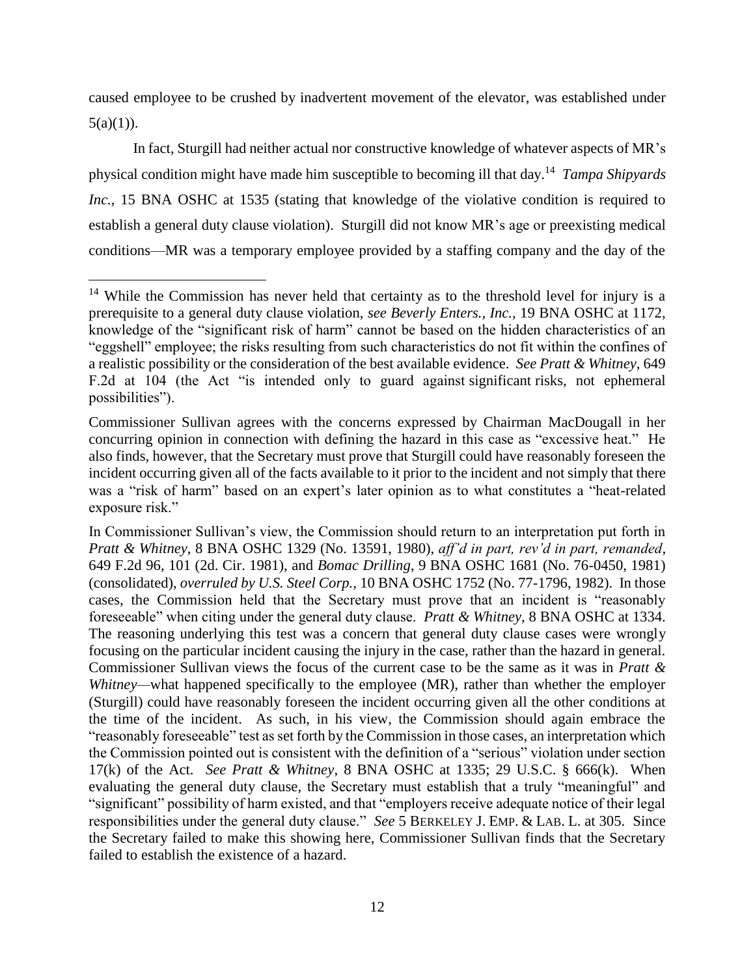caused employee to be crushed by inadvertent movement of the elevator, was established under  $5(a)(1)$ ).

In fact, Sturgill had neither actual nor constructive knowledge of whatever aspects of MR's physical condition might have made him susceptible to becoming ill that day. 14 *Tampa Shipyards Inc.*, 15 BNA OSHC at 1535 (stating that knowledge of the violative condition is required to establish a general duty clause violation). Sturgill did not know MR's age or preexisting medical conditions—MR was a temporary employee provided by a staffing company and the day of the

<sup>&</sup>lt;sup>14</sup> While the Commission has never held that certainty as to the threshold level for injury is a prerequisite to a general duty clause violation, *see Beverly Enters., Inc.*, 19 BNA OSHC at 1172, knowledge of the "significant risk of harm" cannot be based on the hidden characteristics of an "eggshell" employee; the risks resulting from such characteristics do not fit within the confines of a realistic possibility or the consideration of the best available evidence. *See Pratt & Whitney*, 649 F.2d at 104 (the Act "is intended only to guard against significant risks, not ephemeral possibilities").

Commissioner Sullivan agrees with the concerns expressed by Chairman MacDougall in her concurring opinion in connection with defining the hazard in this case as "excessive heat." He also finds, however, that the Secretary must prove that Sturgill could have reasonably foreseen the incident occurring given all of the facts available to it prior to the incident and not simply that there was a "risk of harm" based on an expert's later opinion as to what constitutes a "heat-related exposure risk."

In Commissioner Sullivan's view, the Commission should return to an interpretation put forth in *Pratt & Whitney*, 8 BNA OSHC 1329 (No. 13591, 1980), *aff'd in part, rev'd in part, remanded*, 649 F.2d 96, 101 (2d. Cir. 1981), and *Bomac Drilling*, 9 BNA OSHC 1681 (No. 76-0450, 1981) (consolidated), *overruled by U.S. Steel Corp.,* 10 BNA OSHC 1752 (No. 77-1796, 1982). In those cases, the Commission held that the Secretary must prove that an incident is "reasonably foreseeable" when citing under the general duty clause. *Pratt & Whitney,* 8 BNA OSHC at 1334. The reasoning underlying this test was a concern that general duty clause cases were wrongly focusing on the particular incident causing the injury in the case, rather than the hazard in general. Commissioner Sullivan views the focus of the current case to be the same as it was in *Pratt & Whitney—what happened specifically to the employee (MR), rather than whether the employer* (Sturgill) could have reasonably foreseen the incident occurring given all the other conditions at the time of the incident. As such, in his view, the Commission should again embrace the "reasonably foreseeable" test as set forth by the Commission in those cases, an interpretation which the Commission pointed out is consistent with the definition of a "serious" violation under section 17(k) of the Act. *See Pratt & Whitney*, 8 BNA OSHC at 1335; 29 U.S.C. § 666(k). When evaluating the general duty clause, the Secretary must establish that a truly "meaningful" and "significant" possibility of harm existed, and that "employers receive adequate notice of their legal responsibilities under the general duty clause." *See* 5 BERKELEY J. EMP. & LAB. L. at 305. Since the Secretary failed to make this showing here, Commissioner Sullivan finds that the Secretary failed to establish the existence of a hazard.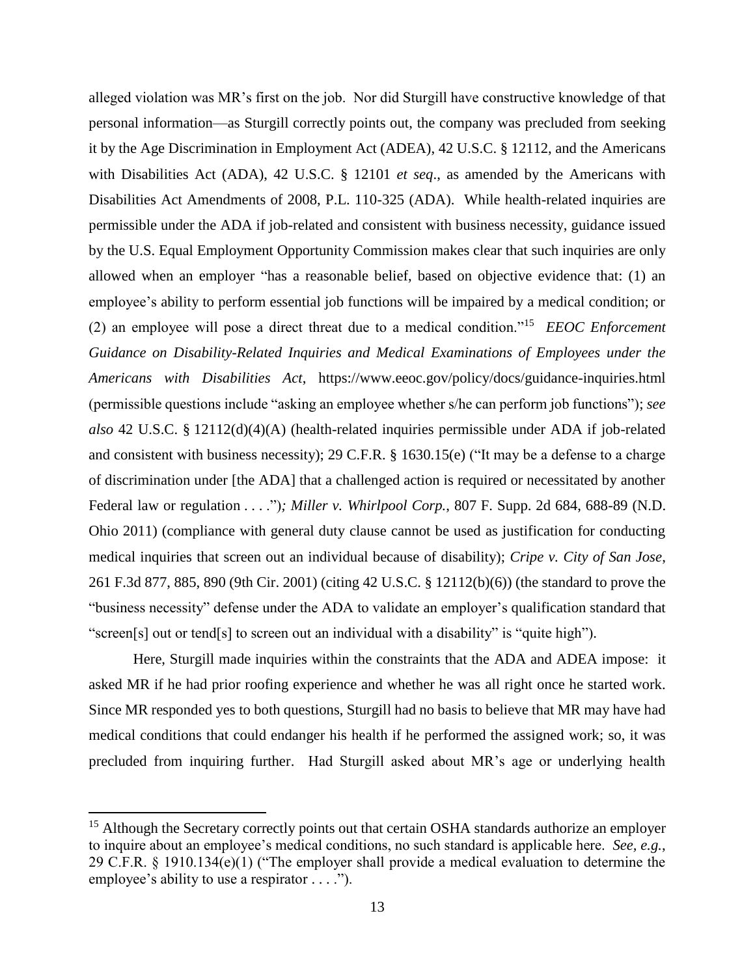alleged violation was MR's first on the job. Nor did Sturgill have constructive knowledge of that personal information—as Sturgill correctly points out, the company was precluded from seeking it by the Age Discrimination in Employment Act (ADEA), 42 U.S.C. § 12112, and the Americans with Disabilities Act (ADA), 42 U.S.C. § 12101 *et seq*., as amended by the Americans with Disabilities Act Amendments of 2008, P.L. 110-325 (ADA). While health-related inquiries are permissible under the ADA if job-related and consistent with business necessity, guidance issued by the U.S. Equal Employment Opportunity Commission makes clear that such inquiries are only allowed when an employer "has a reasonable belief, based on objective evidence that: (1) an employee's ability to perform essential job functions will be impaired by a medical condition; or (2) an employee will pose a direct threat due to a medical condition."<sup>15</sup> *EEOC Enforcement Guidance on Disability-Related Inquiries and Medical Examinations of Employees under the Americans with Disabilities Act*, https://www.eeoc.gov/policy/docs/guidance-inquiries.html (permissible questions include "asking an employee whether s/he can perform job functions"); *see also* 42 U.S.C. § 12112(d)(4)(A) (health-related inquiries permissible under ADA if job-related and consistent with business necessity); 29 C.F.R. § 1630.15(e) ("It may be a defense to a charge of discrimination under [the ADA] that a challenged action is required or necessitated by another Federal law or regulation . . . .")*; Miller v. Whirlpool Corp.*, 807 F. Supp. 2d 684, 688-89 (N.D. Ohio 2011) (compliance with general duty clause cannot be used as justification for conducting medical inquiries that screen out an individual because of disability); *Cripe v. City of San Jose*, 261 F.3d 877, 885, 890 (9th Cir. 2001) (citing 42 U.S.C. § 12112(b)(6)) (the standard to prove the "business necessity" defense under the ADA to validate an employer's qualification standard that "screen[s] out or tend[s] to screen out an individual with a disability" is "quite high").

Here, Sturgill made inquiries within the constraints that the ADA and ADEA impose: it asked MR if he had prior roofing experience and whether he was all right once he started work. Since MR responded yes to both questions, Sturgill had no basis to believe that MR may have had medical conditions that could endanger his health if he performed the assigned work; so, it was precluded from inquiring further. Had Sturgill asked about MR's age or underlying health

<sup>&</sup>lt;sup>15</sup> Although the Secretary correctly points out that certain OSHA standards authorize an employer to inquire about an employee's medical conditions, no such standard is applicable here. *See, e.g.*, 29 C.F.R. § 1910.134(e)(1) ("The employer shall provide a medical evaluation to determine the employee's ability to use a respirator . . . .").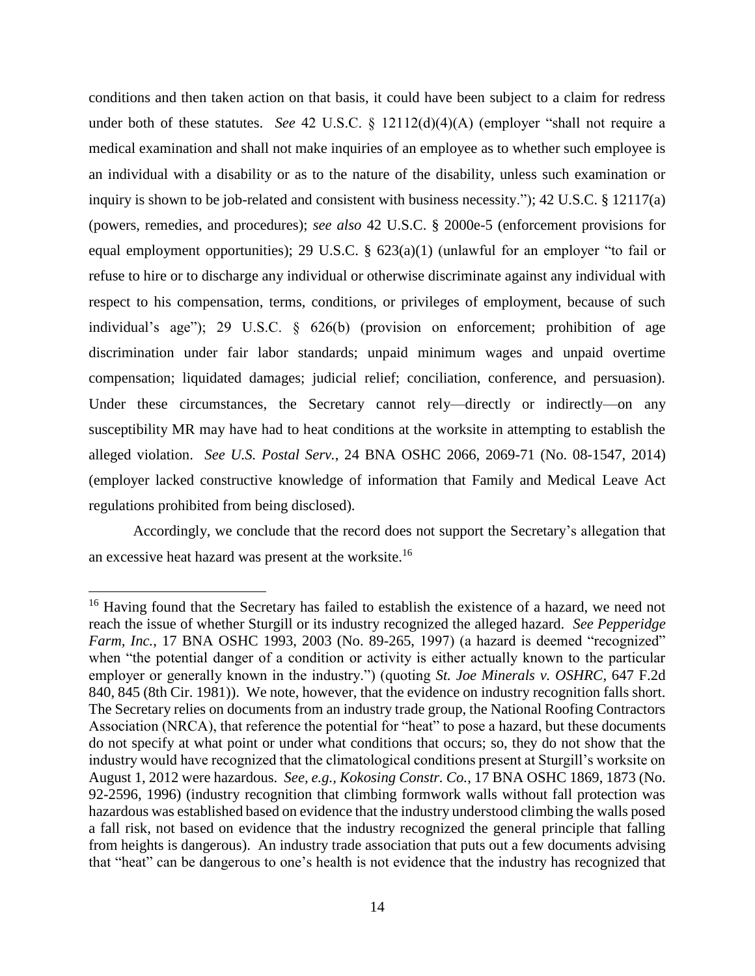conditions and then taken action on that basis, it could have been subject to a claim for redress under both of these statutes. *See* 42 U.S.C. § 12112(d)(4)(A) (employer "shall not require a medical examination and shall not make inquiries of an employee as to whether such employee is an individual with a disability or as to the nature of the disability, unless such examination or inquiry is shown to be job-related and consistent with business necessity."); 42 U.S.C. § 12117(a) (powers, remedies, and procedures); *see also* 42 U.S.C. § 2000e-5 (enforcement provisions for equal employment opportunities); 29 U.S.C. § 623(a)(1) (unlawful for an employer "to fail or refuse to hire or to discharge any individual or otherwise discriminate against any individual with respect to his compensation, terms, conditions, or privileges of employment, because of such individual's age"); 29 U.S.C. § 626(b) (provision on enforcement; prohibition of age discrimination under fair labor standards; unpaid minimum wages and unpaid overtime compensation; liquidated damages; judicial relief; conciliation, conference, and persuasion). Under these circumstances, the Secretary cannot rely—directly or indirectly—on any susceptibility MR may have had to heat conditions at the worksite in attempting to establish the alleged violation. *See U.S. Postal Serv.*, 24 BNA OSHC 2066, 2069-71 (No. 08-1547, 2014) (employer lacked constructive knowledge of information that Family and Medical Leave Act regulations prohibited from being disclosed).

Accordingly, we conclude that the record does not support the Secretary's allegation that an excessive heat hazard was present at the worksite.<sup>16</sup>

<sup>&</sup>lt;sup>16</sup> Having found that the Secretary has failed to establish the existence of a hazard, we need not reach the issue of whether Sturgill or its industry recognized the alleged hazard. *See Pepperidge Farm, Inc.*, 17 BNA OSHC 1993, 2003 (No. 89-265, 1997) (a hazard is deemed "recognized" when "the potential danger of a condition or activity is either actually known to the particular employer or generally known in the industry.") (quoting *St. Joe Minerals v. OSHRC*, 647 F.2d 840, 845 (8th Cir. 1981)). We note, however, that the evidence on industry recognition falls short. The Secretary relies on documents from an industry trade group, the National Roofing Contractors Association (NRCA), that reference the potential for "heat" to pose a hazard, but these documents do not specify at what point or under what conditions that occurs; so, they do not show that the industry would have recognized that the climatological conditions present at Sturgill's worksite on August 1, 2012 were hazardous. *See, e.g., Kokosing Constr. Co.*, 17 BNA OSHC 1869, 1873 (No. 92-2596, 1996) (industry recognition that climbing formwork walls without fall protection was hazardous was established based on evidence that the industry understood climbing the walls posed a fall risk, not based on evidence that the industry recognized the general principle that falling from heights is dangerous).An industry trade association that puts out a few documents advising that "heat" can be dangerous to one's health is not evidence that the industry has recognized that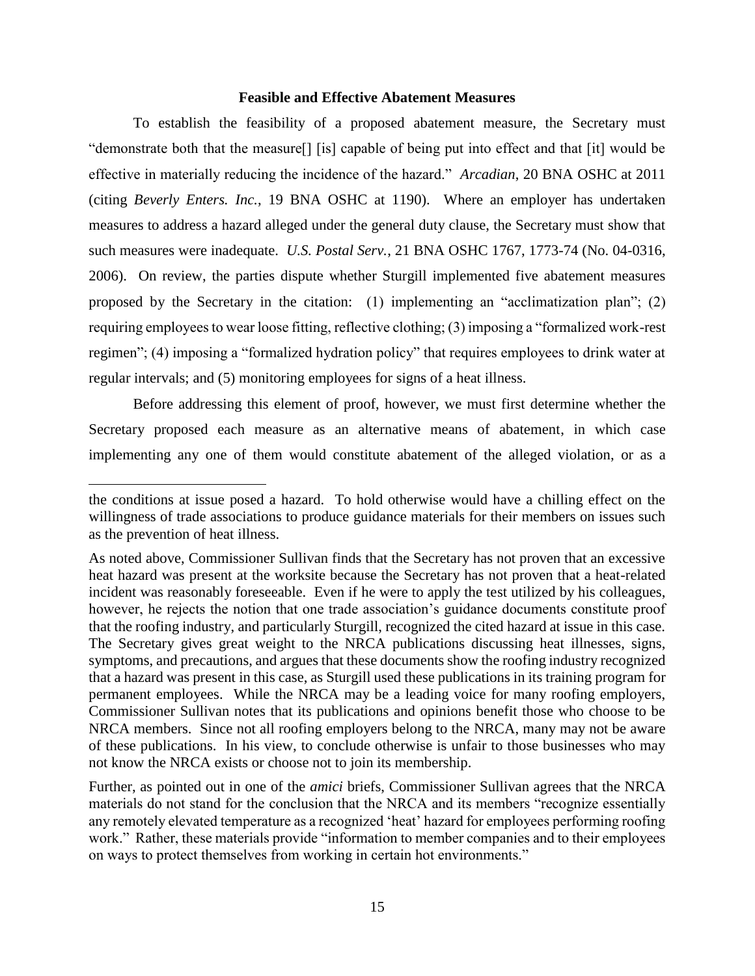#### **Feasible and Effective Abatement Measures**

To establish the feasibility of a proposed abatement measure, the Secretary must "demonstrate both that the measure[] [is] capable of being put into effect and that [it] would be effective in materially reducing the incidence of the hazard." *Arcadian*, 20 BNA OSHC at 2011 (citing *Beverly Enters. Inc.*, 19 BNA OSHC at 1190). Where an employer has undertaken measures to address a hazard alleged under the general duty clause, the Secretary must show that such measures were inadequate. *U.S. Postal Serv.*, 21 BNA OSHC 1767, 1773-74 (No. 04-0316, 2006). On review, the parties dispute whether Sturgill implemented five abatement measures proposed by the Secretary in the citation: (1) implementing an "acclimatization plan"; (2) requiring employees to wear loose fitting, reflective clothing; (3) imposing a "formalized work-rest regimen"; (4) imposing a "formalized hydration policy" that requires employees to drink water at regular intervals; and (5) monitoring employees for signs of a heat illness.

Before addressing this element of proof, however, we must first determine whether the Secretary proposed each measure as an alternative means of abatement, in which case implementing any one of them would constitute abatement of the alleged violation, or as a

the conditions at issue posed a hazard. To hold otherwise would have a chilling effect on the willingness of trade associations to produce guidance materials for their members on issues such as the prevention of heat illness.

As noted above, Commissioner Sullivan finds that the Secretary has not proven that an excessive heat hazard was present at the worksite because the Secretary has not proven that a heat-related incident was reasonably foreseeable. Even if he were to apply the test utilized by his colleagues, however, he rejects the notion that one trade association's guidance documents constitute proof that the roofing industry, and particularly Sturgill, recognized the cited hazard at issue in this case. The Secretary gives great weight to the NRCA publications discussing heat illnesses, signs, symptoms, and precautions, and argues that these documents show the roofing industry recognized that a hazard was present in this case, as Sturgill used these publications in its training program for permanent employees. While the NRCA may be a leading voice for many roofing employers, Commissioner Sullivan notes that its publications and opinions benefit those who choose to be NRCA members. Since not all roofing employers belong to the NRCA, many may not be aware of these publications. In his view, to conclude otherwise is unfair to those businesses who may not know the NRCA exists or choose not to join its membership.

Further, as pointed out in one of the *amici* briefs, Commissioner Sullivan agrees that the NRCA materials do not stand for the conclusion that the NRCA and its members "recognize essentially any remotely elevated temperature as a recognized 'heat' hazard for employees performing roofing work." Rather, these materials provide "information to member companies and to their employees on ways to protect themselves from working in certain hot environments."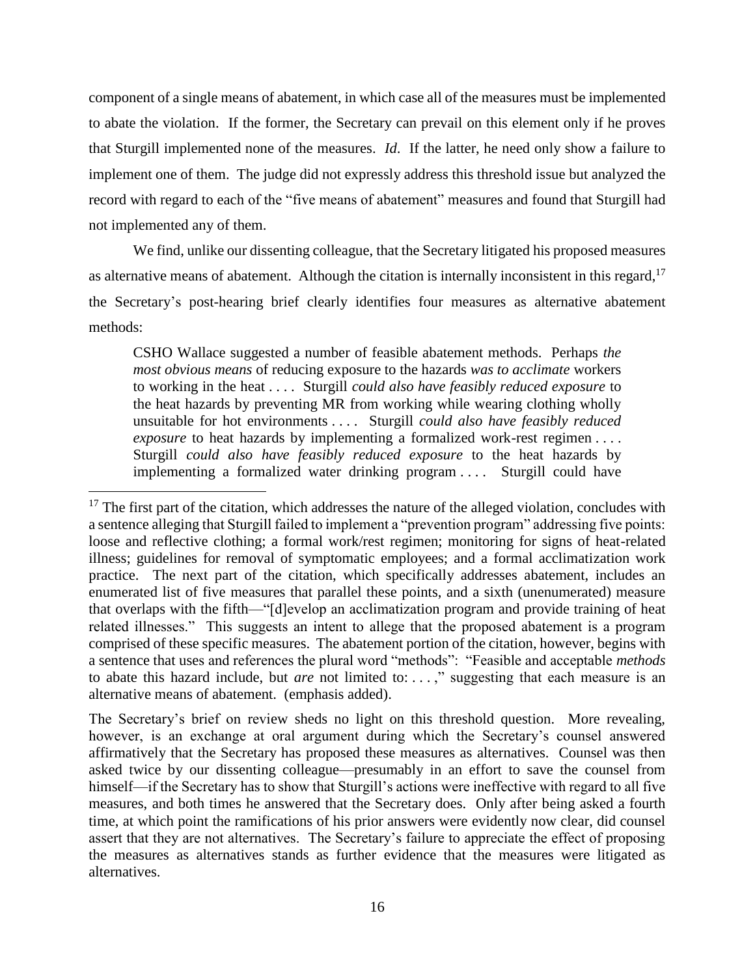component of a single means of abatement, in which case all of the measures must be implemented to abate the violation. If the former, the Secretary can prevail on this element only if he proves that Sturgill implemented none of the measures. *Id*. If the latter, he need only show a failure to implement one of them. The judge did not expressly address this threshold issue but analyzed the record with regard to each of the "five means of abatement" measures and found that Sturgill had not implemented any of them.

We find, unlike our dissenting colleague, that the Secretary litigated his proposed measures as alternative means of abatement. Although the citation is internally inconsistent in this regard,  $17$ the Secretary's post-hearing brief clearly identifies four measures as alternative abatement methods:

CSHO Wallace suggested a number of feasible abatement methods. Perhaps *the most obvious means* of reducing exposure to the hazards *was to acclimate* workers to working in the heat . . . . Sturgill *could also have feasibly reduced exposure* to the heat hazards by preventing MR from working while wearing clothing wholly unsuitable for hot environments . . . . Sturgill *could also have feasibly reduced exposure* to heat hazards by implementing a formalized work-rest regimen . . . . Sturgill *could also have feasibly reduced exposure* to the heat hazards by implementing a formalized water drinking program .... Sturgill could have

 $17$  The first part of the citation, which addresses the nature of the alleged violation, concludes with a sentence alleging that Sturgill failed to implement a "prevention program" addressing five points: loose and reflective clothing; a formal work/rest regimen; monitoring for signs of heat-related illness; guidelines for removal of symptomatic employees; and a formal acclimatization work practice. The next part of the citation, which specifically addresses abatement, includes an enumerated list of five measures that parallel these points, and a sixth (unenumerated) measure that overlaps with the fifth—"[d]evelop an acclimatization program and provide training of heat related illnesses." This suggests an intent to allege that the proposed abatement is a program comprised of these specific measures. The abatement portion of the citation, however, begins with a sentence that uses and references the plural word "methods": "Feasible and acceptable *methods* to abate this hazard include, but *are* not limited to: . . . ," suggesting that each measure is an alternative means of abatement. (emphasis added).

The Secretary's brief on review sheds no light on this threshold question. More revealing, however, is an exchange at oral argument during which the Secretary's counsel answered affirmatively that the Secretary has proposed these measures as alternatives. Counsel was then asked twice by our dissenting colleague—presumably in an effort to save the counsel from himself—if the Secretary has to show that Sturgill's actions were ineffective with regard to all five measures, and both times he answered that the Secretary does. Only after being asked a fourth time, at which point the ramifications of his prior answers were evidently now clear, did counsel assert that they are not alternatives. The Secretary's failure to appreciate the effect of proposing the measures as alternatives stands as further evidence that the measures were litigated as alternatives.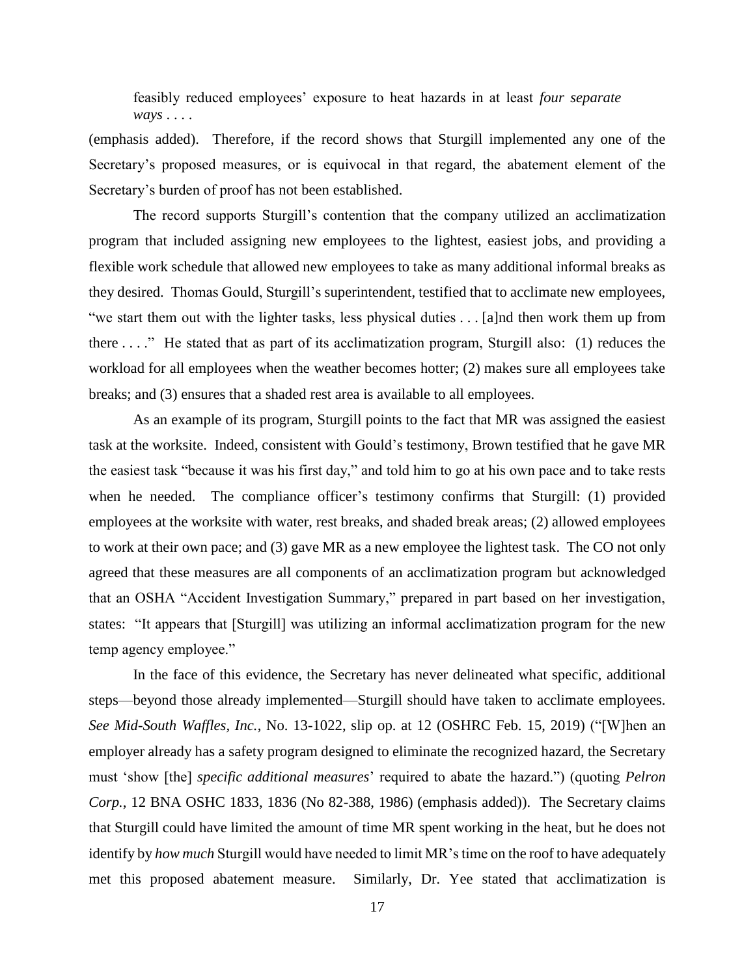feasibly reduced employees' exposure to heat hazards in at least *four separate ways* . . . .

(emphasis added). Therefore, if the record shows that Sturgill implemented any one of the Secretary's proposed measures, or is equivocal in that regard, the abatement element of the Secretary's burden of proof has not been established.

The record supports Sturgill's contention that the company utilized an acclimatization program that included assigning new employees to the lightest, easiest jobs, and providing a flexible work schedule that allowed new employees to take as many additional informal breaks as they desired. Thomas Gould, Sturgill's superintendent, testified that to acclimate new employees, "we start them out with the lighter tasks, less physical duties . . . [a]nd then work them up from there . . . ." He stated that as part of its acclimatization program, Sturgill also: (1) reduces the workload for all employees when the weather becomes hotter; (2) makes sure all employees take breaks; and (3) ensures that a shaded rest area is available to all employees.

As an example of its program, Sturgill points to the fact that MR was assigned the easiest task at the worksite. Indeed, consistent with Gould's testimony, Brown testified that he gave MR the easiest task "because it was his first day," and told him to go at his own pace and to take rests when he needed. The compliance officer's testimony confirms that Sturgill: (1) provided employees at the worksite with water, rest breaks, and shaded break areas; (2) allowed employees to work at their own pace; and (3) gave MR as a new employee the lightest task. The CO not only agreed that these measures are all components of an acclimatization program but acknowledged that an OSHA "Accident Investigation Summary," prepared in part based on her investigation, states: "It appears that [Sturgill] was utilizing an informal acclimatization program for the new temp agency employee."

In the face of this evidence, the Secretary has never delineated what specific, additional steps—beyond those already implemented—Sturgill should have taken to acclimate employees. *See Mid-South Waffles, Inc.*, No. 13-1022, slip op. at 12 (OSHRC Feb. 15, 2019) ("[W]hen an employer already has a safety program designed to eliminate the recognized hazard, the Secretary must 'show [the] *specific additional measures*' required to abate the hazard.") (quoting *Pelron Corp.*, 12 BNA OSHC 1833, 1836 (No 82-388, 1986) (emphasis added)). The Secretary claims that Sturgill could have limited the amount of time MR spent working in the heat, but he does not identify by *how much* Sturgill would have needed to limit MR's time on the roof to have adequately met this proposed abatement measure. Similarly, Dr. Yee stated that acclimatization is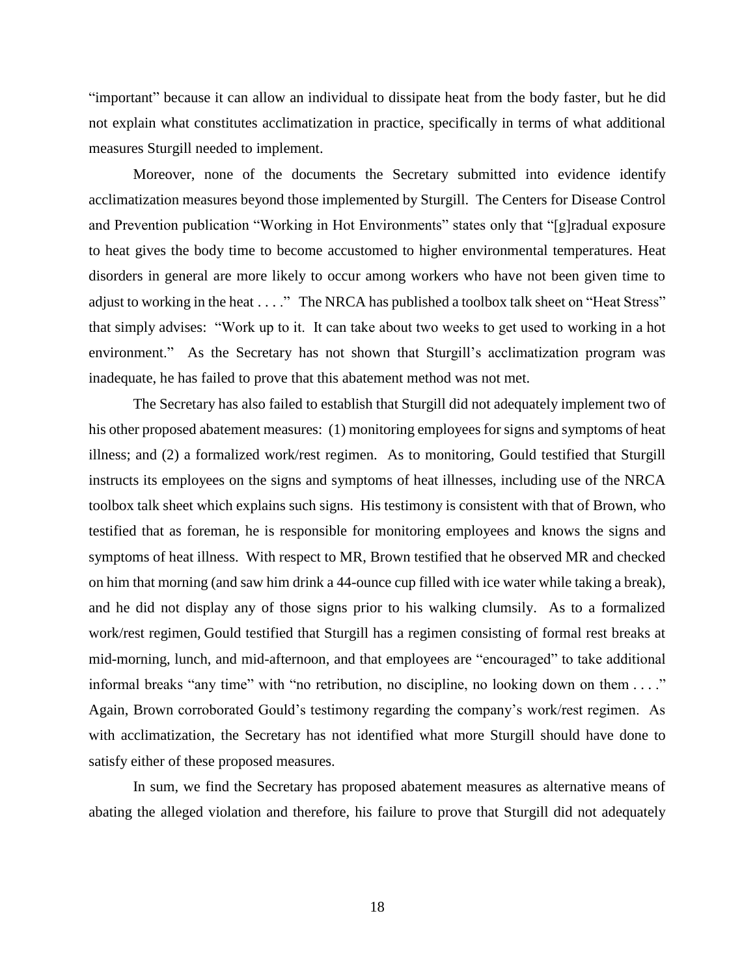"important" because it can allow an individual to dissipate heat from the body faster, but he did not explain what constitutes acclimatization in practice, specifically in terms of what additional measures Sturgill needed to implement.

Moreover, none of the documents the Secretary submitted into evidence identify acclimatization measures beyond those implemented by Sturgill. The Centers for Disease Control and Prevention publication "Working in Hot Environments" states only that "[g]radual exposure to heat gives the body time to become accustomed to higher environmental temperatures. Heat disorders in general are more likely to occur among workers who have not been given time to adjust to working in the heat . . . ." The NRCA has published a toolbox talk sheet on "Heat Stress" that simply advises: "Work up to it. It can take about two weeks to get used to working in a hot environment." As the Secretary has not shown that Sturgill's acclimatization program was inadequate, he has failed to prove that this abatement method was not met.

The Secretary has also failed to establish that Sturgill did not adequately implement two of his other proposed abatement measures: (1) monitoring employees for signs and symptoms of heat illness; and (2) a formalized work/rest regimen. As to monitoring, Gould testified that Sturgill instructs its employees on the signs and symptoms of heat illnesses, including use of the NRCA toolbox talk sheet which explains such signs. His testimony is consistent with that of Brown, who testified that as foreman, he is responsible for monitoring employees and knows the signs and symptoms of heat illness. With respect to MR, Brown testified that he observed MR and checked on him that morning (and saw him drink a 44-ounce cup filled with ice water while taking a break), and he did not display any of those signs prior to his walking clumsily. As to a formalized work/rest regimen, Gould testified that Sturgill has a regimen consisting of formal rest breaks at mid-morning, lunch, and mid-afternoon, and that employees are "encouraged" to take additional informal breaks "any time" with "no retribution, no discipline, no looking down on them . . . ." Again, Brown corroborated Gould's testimony regarding the company's work/rest regimen. As with acclimatization, the Secretary has not identified what more Sturgill should have done to satisfy either of these proposed measures.

In sum, we find the Secretary has proposed abatement measures as alternative means of abating the alleged violation and therefore, his failure to prove that Sturgill did not adequately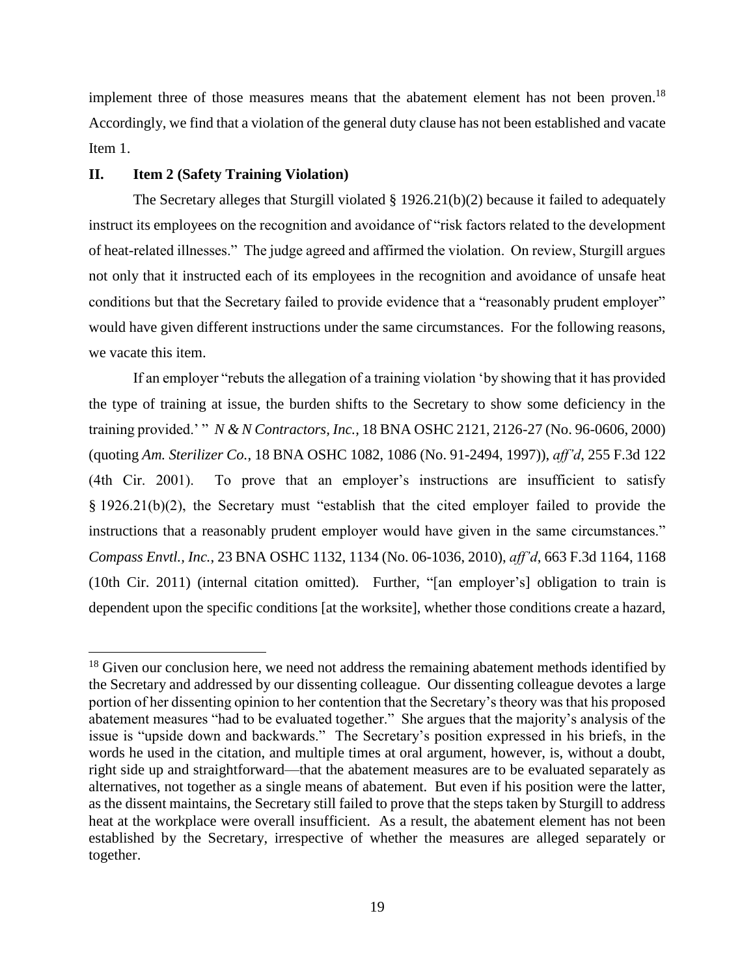implement three of those measures means that the abatement element has not been proven.<sup>18</sup> Accordingly, we find that a violation of the general duty clause has not been established and vacate Item 1.

#### **II. Item 2 (Safety Training Violation)**

 $\overline{a}$ 

The Secretary alleges that Sturgill violated § 1926.21(b)(2) because it failed to adequately instruct its employees on the recognition and avoidance of "risk factors related to the development of heat-related illnesses." The judge agreed and affirmed the violation. On review, Sturgill argues not only that it instructed each of its employees in the recognition and avoidance of unsafe heat conditions but that the Secretary failed to provide evidence that a "reasonably prudent employer" would have given different instructions under the same circumstances. For the following reasons, we vacate this item.

If an employer "rebuts the allegation of a training violation 'by showing that it has provided the type of training at issue, the burden shifts to the Secretary to show some deficiency in the training provided.' " *N & N Contractors, Inc.,* 18 BNA OSHC 2121, 2126-27 (No. 96-0606, 2000) (quoting *Am. Sterilizer Co.*, 18 BNA OSHC 1082, 1086 (No. 91-2494, 1997)), *aff'd*, 255 F.3d 122 (4th Cir. 2001). To prove that an employer's instructions are insufficient to satisfy § 1926.21(b)(2), the Secretary must "establish that the cited employer failed to provide the instructions that a reasonably prudent employer would have given in the same circumstances." *Compass Envtl., Inc.*, 23 BNA OSHC 1132, 1134 (No. 06-1036, 2010), *aff'd*, 663 F.3d 1164, 1168 (10th Cir. 2011) (internal citation omitted). Further, "[an employer's] obligation to train is dependent upon the specific conditions [at the worksite], whether those conditions create a hazard,

 $18$  Given our conclusion here, we need not address the remaining abatement methods identified by the Secretary and addressed by our dissenting colleague. Our dissenting colleague devotes a large portion of her dissenting opinion to her contention that the Secretary's theory was that his proposed abatement measures "had to be evaluated together." She argues that the majority's analysis of the issue is "upside down and backwards." The Secretary's position expressed in his briefs, in the words he used in the citation, and multiple times at oral argument, however, is, without a doubt, right side up and straightforward—that the abatement measures are to be evaluated separately as alternatives, not together as a single means of abatement. But even if his position were the latter, as the dissent maintains, the Secretary still failed to prove that the steps taken by Sturgill to address heat at the workplace were overall insufficient. As a result, the abatement element has not been established by the Secretary, irrespective of whether the measures are alleged separately or together.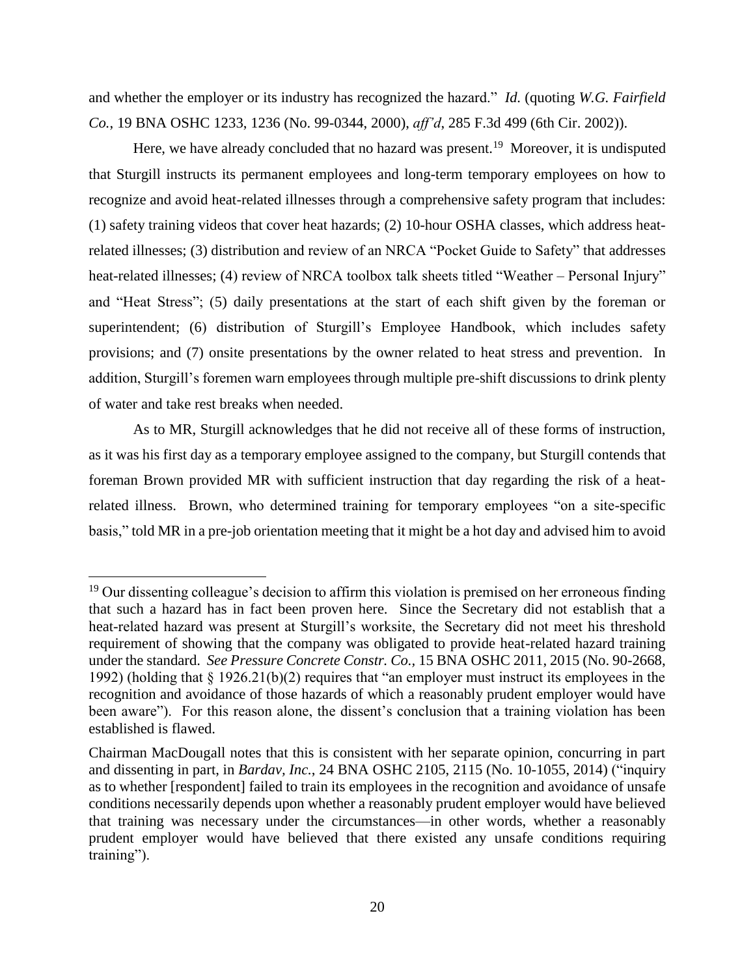and whether the employer or its industry has recognized the hazard." *Id.* (quoting *W.G. Fairfield Co.*, 19 BNA OSHC 1233, 1236 (No. 99-0344, 2000), *aff'd*, 285 F.3d 499 (6th Cir. 2002)).

Here, we have already concluded that no hazard was present.<sup>19</sup> Moreover, it is undisputed that Sturgill instructs its permanent employees and long-term temporary employees on how to recognize and avoid heat-related illnesses through a comprehensive safety program that includes: (1) safety training videos that cover heat hazards; (2) 10-hour OSHA classes, which address heatrelated illnesses; (3) distribution and review of an NRCA "Pocket Guide to Safety" that addresses heat-related illnesses; (4) review of NRCA toolbox talk sheets titled "Weather – Personal Injury" and "Heat Stress"; (5) daily presentations at the start of each shift given by the foreman or superintendent; (6) distribution of Sturgill's Employee Handbook, which includes safety provisions; and (7) onsite presentations by the owner related to heat stress and prevention. In addition, Sturgill's foremen warn employees through multiple pre-shift discussions to drink plenty of water and take rest breaks when needed.

As to MR, Sturgill acknowledges that he did not receive all of these forms of instruction, as it was his first day as a temporary employee assigned to the company, but Sturgill contends that foreman Brown provided MR with sufficient instruction that day regarding the risk of a heatrelated illness. Brown, who determined training for temporary employees "on a site-specific basis," told MR in a pre-job orientation meeting that it might be a hot day and advised him to avoid

 $19$  Our dissenting colleague's decision to affirm this violation is premised on her erroneous finding that such a hazard has in fact been proven here. Since the Secretary did not establish that a heat-related hazard was present at Sturgill's worksite, the Secretary did not meet his threshold requirement of showing that the company was obligated to provide heat-related hazard training under the standard. *See Pressure Concrete Constr. Co.,* 15 BNA OSHC 2011, 2015 (No. 90-2668, 1992) (holding that § 1926.21(b)(2) requires that "an employer must instruct its employees in the recognition and avoidance of those hazards of which a reasonably prudent employer would have been aware"). For this reason alone, the dissent's conclusion that a training violation has been established is flawed.

Chairman MacDougall notes that this is consistent with her separate opinion, concurring in part and dissenting in part, in *Bardav, Inc.*, 24 BNA OSHC 2105, 2115 (No. 10-1055, 2014) ("inquiry as to whether [respondent] failed to train its employees in the recognition and avoidance of unsafe conditions necessarily depends upon whether a reasonably prudent employer would have believed that training was necessary under the circumstances—in other words, whether a reasonably prudent employer would have believed that there existed any unsafe conditions requiring training").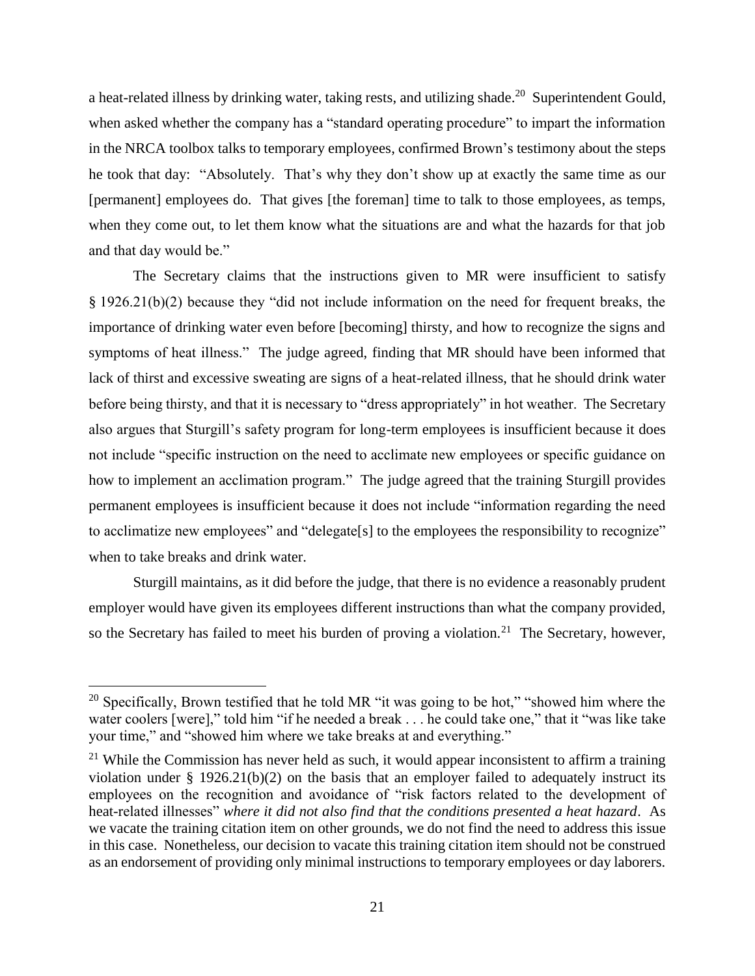a heat-related illness by drinking water, taking rests, and utilizing shade.<sup>20</sup> Superintendent Gould, when asked whether the company has a "standard operating procedure" to impart the information in the NRCA toolbox talks to temporary employees, confirmed Brown's testimony about the steps he took that day: "Absolutely. That's why they don't show up at exactly the same time as our [permanent] employees do. That gives [the foreman] time to talk to those employees, as temps, when they come out, to let them know what the situations are and what the hazards for that job and that day would be."

The Secretary claims that the instructions given to MR were insufficient to satisfy § 1926.21(b)(2) because they "did not include information on the need for frequent breaks, the importance of drinking water even before [becoming] thirsty, and how to recognize the signs and symptoms of heat illness." The judge agreed, finding that MR should have been informed that lack of thirst and excessive sweating are signs of a heat-related illness, that he should drink water before being thirsty, and that it is necessary to "dress appropriately" in hot weather. The Secretary also argues that Sturgill's safety program for long-term employees is insufficient because it does not include "specific instruction on the need to acclimate new employees or specific guidance on how to implement an acclimation program." The judge agreed that the training Sturgill provides permanent employees is insufficient because it does not include "information regarding the need to acclimatize new employees" and "delegate[s] to the employees the responsibility to recognize" when to take breaks and drink water.

Sturgill maintains, as it did before the judge, that there is no evidence a reasonably prudent employer would have given its employees different instructions than what the company provided, so the Secretary has failed to meet his burden of proving a violation.<sup>21</sup> The Secretary, however,

<sup>&</sup>lt;sup>20</sup> Specifically, Brown testified that he told MR "it was going to be hot," "showed him where the water coolers [were]," told him "if he needed a break . . . he could take one," that it "was like take your time," and "showed him where we take breaks at and everything."

 $21$  While the Commission has never held as such, it would appear inconsistent to affirm a training violation under  $\S$  1926.21(b)(2) on the basis that an employer failed to adequately instruct its employees on the recognition and avoidance of "risk factors related to the development of heat-related illnesses" *where it did not also find that the conditions presented a heat hazard*. As we vacate the training citation item on other grounds, we do not find the need to address this issue in this case. Nonetheless, our decision to vacate this training citation item should not be construed as an endorsement of providing only minimal instructions to temporary employees or day laborers.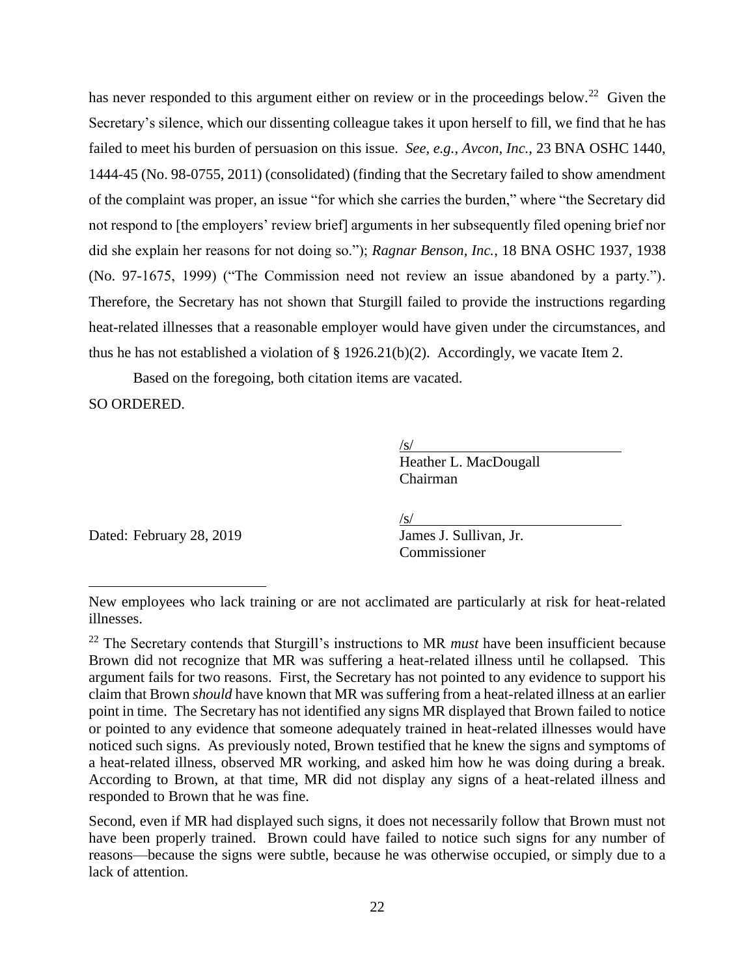has never responded to this argument either on review or in the proceedings below.<sup>22</sup> Given the Secretary's silence, which our dissenting colleague takes it upon herself to fill, we find that he has failed to meet his burden of persuasion on this issue. *See, e.g.*, *Avcon, Inc.,* 23 BNA OSHC 1440, 1444-45 (No. 98-0755, 2011) (consolidated) (finding that the Secretary failed to show amendment of the complaint was proper, an issue "for which she carries the burden," where "the Secretary did not respond to [the employers' review brief] arguments in her subsequently filed opening brief nor did she explain her reasons for not doing so."); *Ragnar Benson, Inc.*, 18 BNA OSHC 1937, 1938 (No. 97-1675, 1999) ("The Commission need not review an issue abandoned by a party."). Therefore, the Secretary has not shown that Sturgill failed to provide the instructions regarding heat-related illnesses that a reasonable employer would have given under the circumstances, and thus he has not established a violation of § 1926.21(b)(2). Accordingly, we vacate Item 2.

Based on the foregoing, both citation items are vacated.

SO ORDERED.

 $\overline{a}$ 

 $\sqrt{s/}$ Heather L. MacDougall Chairman

Dated: February 28, 2019 James J. Sullivan, Jr.

/s/

Commissioner

New employees who lack training or are not acclimated are particularly at risk for heat-related illnesses.

<sup>22</sup> The Secretary contends that Sturgill's instructions to MR *must* have been insufficient because Brown did not recognize that MR was suffering a heat-related illness until he collapsed. This argument fails for two reasons. First, the Secretary has not pointed to any evidence to support his claim that Brown *should* have known that MR was suffering from a heat-related illness at an earlier point in time. The Secretary has not identified any signs MR displayed that Brown failed to notice or pointed to any evidence that someone adequately trained in heat-related illnesses would have noticed such signs. As previously noted, Brown testified that he knew the signs and symptoms of a heat-related illness, observed MR working, and asked him how he was doing during a break. According to Brown, at that time, MR did not display any signs of a heat-related illness and responded to Brown that he was fine.

Second, even if MR had displayed such signs, it does not necessarily follow that Brown must not have been properly trained. Brown could have failed to notice such signs for any number of reasons—because the signs were subtle, because he was otherwise occupied, or simply due to a lack of attention.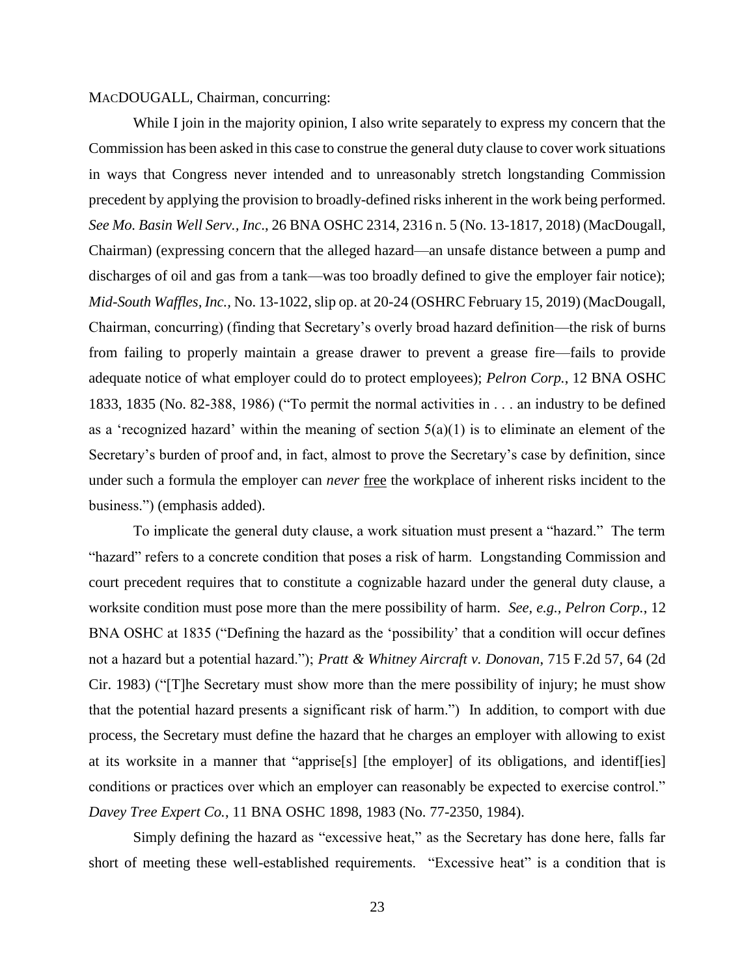### MACDOUGALL, Chairman, concurring:

While I join in the majority opinion, I also write separately to express my concern that the Commission has been asked in this case to construe the general duty clause to cover work situations in ways that Congress never intended and to unreasonably stretch longstanding Commission precedent by applying the provision to broadly-defined risks inherent in the work being performed. *See Mo. Basin Well Serv., Inc*., 26 BNA OSHC 2314, 2316 n. 5 (No. 13-1817, 2018) (MacDougall, Chairman) (expressing concern that the alleged hazard—an unsafe distance between a pump and discharges of oil and gas from a tank—was too broadly defined to give the employer fair notice); *Mid-South Waffles, Inc.,* No. 13-1022, slip op. at 20-24 (OSHRC February 15, 2019) (MacDougall, Chairman, concurring) (finding that Secretary's overly broad hazard definition—the risk of burns from failing to properly maintain a grease drawer to prevent a grease fire—fails to provide adequate notice of what employer could do to protect employees); *Pelron Corp.*, 12 BNA OSHC 1833, 1835 (No. 82-388, 1986) ("To permit the normal activities in . . . an industry to be defined as a 'recognized hazard' within the meaning of section  $5(a)(1)$  is to eliminate an element of the Secretary's burden of proof and, in fact, almost to prove the Secretary's case by definition, since under such a formula the employer can *never* free the workplace of inherent risks incident to the business.") (emphasis added).

To implicate the general duty clause, a work situation must present a "hazard." The term "hazard" refers to a concrete condition that poses a risk of harm. Longstanding Commission and court precedent requires that to constitute a cognizable hazard under the general duty clause, a worksite condition must pose more than the mere possibility of harm. *See, e.g., Pelron Corp.*, 12 BNA OSHC at 1835 ("Defining the hazard as the 'possibility' that a condition will occur defines not a hazard but a potential hazard."); *[Pratt & Whitney Aircraft v. Donovan](https://1.next.westlaw.com/Link/Document/FullText?findType=Y&serNum=1983139073&pubNum=350&originatingDoc=I33b44eeffa2c11d99439b076ef9ec4de&refType=RP&fi=co_pp_sp_350_63&originationContext=document&transitionType=DocumentItem&contextData=(sc.UserEnteredCitation)#co_pp_sp_350_63)*, 715 F.2d 57, 64 (2d [Cir. 1983\)](https://1.next.westlaw.com/Link/Document/FullText?findType=Y&serNum=1983139073&pubNum=350&originatingDoc=I33b44eeffa2c11d99439b076ef9ec4de&refType=RP&fi=co_pp_sp_350_63&originationContext=document&transitionType=DocumentItem&contextData=(sc.UserEnteredCitation)#co_pp_sp_350_63) ("[T]he Secretary must show more than the mere possibility of injury; he must show that the potential hazard presents a significant risk of harm.") In addition, to comport with due process, the Secretary must define the hazard that he charges an employer with allowing to exist at its worksite in a manner that "apprise[s] [the employer] of its obligations, and identif[ies] conditions or practices over which an employer can reasonably be expected to exercise control." *Davey Tree Expert Co.*, 11 BNA OSHC 1898, 1983 (No. 77-2350, 1984).

Simply defining the hazard as "excessive heat," as the Secretary has done here, falls far short of meeting these well-established requirements. "Excessive heat" is a condition that is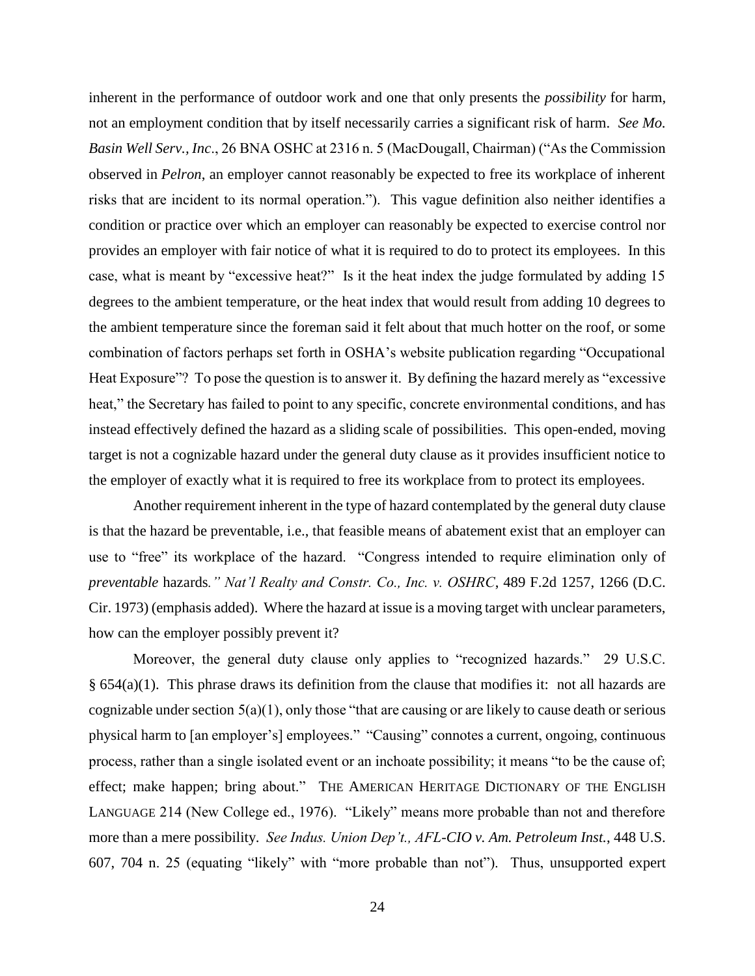inherent in the performance of outdoor work and one that only presents the *possibility* for harm, not an employment condition that by itself necessarily carries a significant risk of harm. *See Mo. Basin Well Serv., Inc*., 26 BNA OSHC at 2316 n. 5 (MacDougall, Chairman) ("As the Commission observed in *Pelron*, an employer cannot reasonably be expected to free its workplace of inherent risks that are incident to its normal operation."). This vague definition also neither identifies a condition or practice over which an employer can reasonably be expected to exercise control nor provides an employer with fair notice of what it is required to do to protect its employees. In this case, what is meant by "excessive heat?" Is it the heat index the judge formulated by adding 15 degrees to the ambient temperature, or the heat index that would result from adding 10 degrees to the ambient temperature since the foreman said it felt about that much hotter on the roof, or some combination of factors perhaps set forth in OSHA's website publication regarding "Occupational Heat Exposure"? To pose the question is to answer it. By defining the hazard merely as "excessive" heat," the Secretary has failed to point to any specific, concrete environmental conditions, and has instead effectively defined the hazard as a sliding scale of possibilities. This open-ended, moving target is not a cognizable hazard under the general duty clause as it provides insufficient notice to the employer of exactly what it is required to free its workplace from to protect its employees.

Another requirement inherent in the type of hazard contemplated by the general duty clause is that the hazard be preventable, i.e., that feasible means of abatement exist that an employer can use to "free" its workplace of the hazard. "Congress intended to require elimination only of *preventable* hazards*." Nat'l Realty and Constr. Co., Inc. v. OSHRC*, 489 F.2d 1257, 1266 (D.C. Cir. 1973) (emphasis added). Where the hazard at issue is a moving target with unclear parameters, how can the employer possibly prevent it?

Moreover, the general duty clause only applies to "recognized hazards." 29 U.S.C.  $§ 654(a)(1)$ . This phrase draws its definition from the clause that modifies it: not all hazards are cognizable under section  $5(a)(1)$ , only those "that are causing or are likely to cause death or serious physical harm to [an employer's] employees." "Causing" connotes a current, ongoing, continuous process, rather than a single isolated event or an inchoate possibility; it means "to be the cause of; effect; make happen; bring about." THE AMERICAN HERITAGE DICTIONARY OF THE ENGLISH LANGUAGE 214 (New College ed., 1976). "Likely" means more probable than not and therefore more than a mere possibility. *See Indus. Union Dep't., AFL-CIO v. Am. Petroleum Inst.*, 448 U.S. 607, 704 n. 25 (equating "likely" with "more probable than not"). Thus, unsupported expert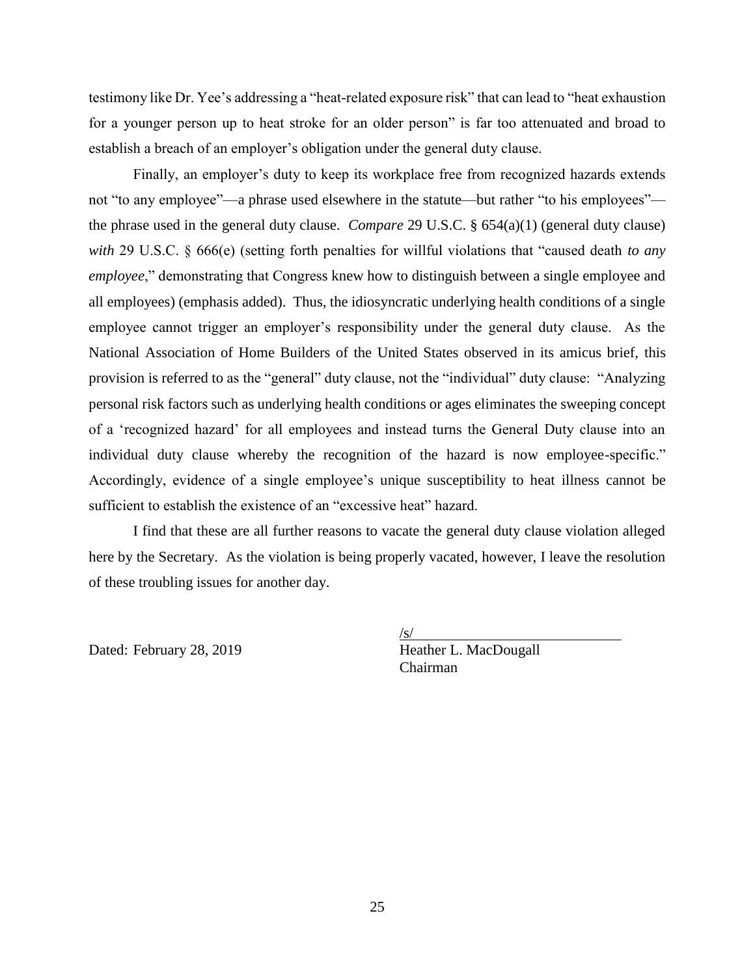testimony like Dr. Yee's addressing a "heat-related exposure risk" that can lead to "heat exhaustion for a younger person up to heat stroke for an older person" is far too attenuated and broad to establish a breach of an employer's obligation under the general duty clause.

Finally, an employer's duty to keep its workplace free from recognized hazards extends not "to any employee"—a phrase used elsewhere in the statute—but rather "to his employees" the phrase used in the general duty clause. *Compare* 29 U.S.C. § 654(a)(1) (general duty clause) *with* 29 U.S.C. § 666(e) (setting forth penalties for willful violations that "caused death *to any employee*," demonstrating that Congress knew how to distinguish between a single employee and all employees) (emphasis added). Thus, the idiosyncratic underlying health conditions of a single employee cannot trigger an employer's responsibility under the general duty clause. As the National Association of Home Builders of the United States observed in its amicus brief, this provision is referred to as the "general" duty clause, not the "individual" duty clause: "Analyzing personal risk factors such as underlying health conditions or ages eliminates the sweeping concept of a 'recognized hazard' for all employees and instead turns the General Duty clause into an individual duty clause whereby the recognition of the hazard is now employee-specific." Accordingly, evidence of a single employee's unique susceptibility to heat illness cannot be sufficient to establish the existence of an "excessive heat" hazard.

I find that these are all further reasons to vacate the general duty clause violation alleged here by the Secretary. As the violation is being properly vacated, however, I leave the resolution of these troubling issues for another day.

 $\sqrt{s/}$ Dated: February 28, 2019 Heather L. MacDougall Chairman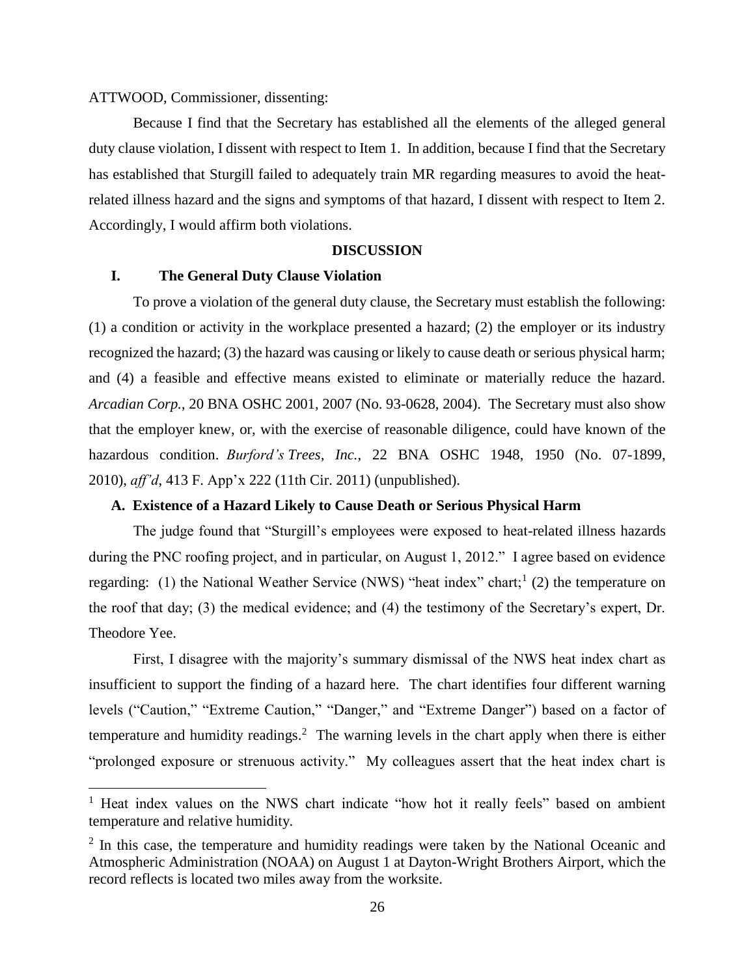### ATTWOOD, Commissioner, dissenting:

 $\overline{a}$ 

Because I find that the Secretary has established all the elements of the alleged general duty clause violation, I dissent with respect to Item 1. In addition, because I find that the Secretary has established that Sturgill failed to adequately train MR regarding measures to avoid the heatrelated illness hazard and the signs and symptoms of that hazard, I dissent with respect to Item 2. Accordingly, I would affirm both violations.

#### **DISCUSSION**

#### **I. The General Duty Clause Violation**

To prove a violation of the general duty clause, the Secretary must establish the following: (1) a condition or activity in the workplace presented a hazard; (2) the employer or its industry recognized the hazard; (3) the hazard was causing or likely to cause death or serious physical harm; and (4) a feasible and effective means existed to eliminate or materially reduce the hazard. *Arcadian Corp.*, 20 BNA OSHC 2001, 2007 (No. 93-0628, 2004). The Secretary must also show that the employer knew, or, with the exercise of reasonable diligence, could have known of the hazardous condition. *Burford's Trees, Inc.*, 22 BNA OSHC 1948, 1950 (No. 07-1899, 2010), *aff'd*, 413 F. App'x 222 (11th Cir. 2011) (unpublished).

#### **A. Existence of a Hazard Likely to Cause Death or Serious Physical Harm**

The judge found that "Sturgill's employees were exposed to heat-related illness hazards during the PNC roofing project, and in particular, on August 1, 2012." I agree based on evidence regarding: (1) the National Weather Service (NWS) "heat index" chart;<sup>1</sup> (2) the temperature on the roof that day; (3) the medical evidence; and (4) the testimony of the Secretary's expert, Dr. Theodore Yee.

First, I disagree with the majority's summary dismissal of the NWS heat index chart as insufficient to support the finding of a hazard here. The chart identifies four different warning levels ("Caution," "Extreme Caution," "Danger," and "Extreme Danger") based on a factor of temperature and humidity readings.<sup>2</sup> The warning levels in the chart apply when there is either "prolonged exposure or strenuous activity." My colleagues assert that the heat index chart is

<sup>&</sup>lt;sup>1</sup> Heat index values on the NWS chart indicate "how hot it really feels" based on ambient temperature and relative humidity.

 $2$  In this case, the temperature and humidity readings were taken by the National Oceanic and Atmospheric Administration (NOAA) on August 1 at Dayton-Wright Brothers Airport, which the record reflects is located two miles away from the worksite.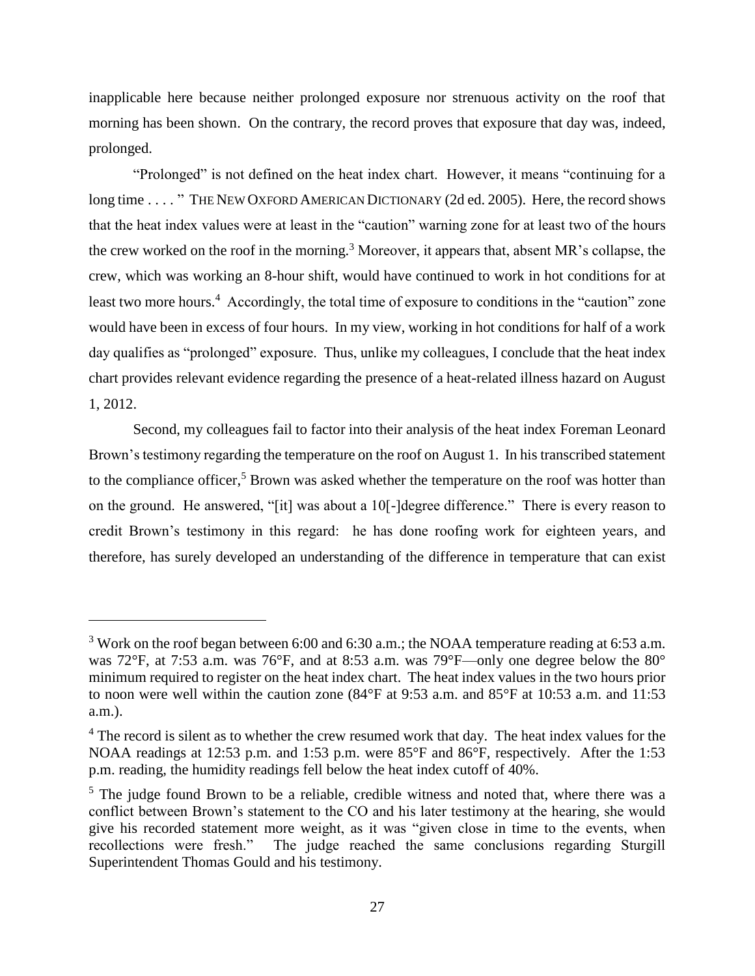inapplicable here because neither prolonged exposure nor strenuous activity on the roof that morning has been shown. On the contrary, the record proves that exposure that day was, indeed, prolonged.

"Prolonged" is not defined on the heat index chart. However, it means "continuing for a long time . . . . " THE NEW OXFORD AMERICAN DICTIONARY (2d ed. 2005). Here, the record shows that the heat index values were at least in the "caution" warning zone for at least two of the hours the crew worked on the roof in the morning.<sup>3</sup> Moreover, it appears that, absent MR's collapse, the crew, which was working an 8-hour shift, would have continued to work in hot conditions for at least two more hours.<sup>4</sup> Accordingly, the total time of exposure to conditions in the "caution" zone would have been in excess of four hours. In my view, working in hot conditions for half of a work day qualifies as "prolonged" exposure. Thus, unlike my colleagues, I conclude that the heat index chart provides relevant evidence regarding the presence of a heat-related illness hazard on August 1, 2012.

Second, my colleagues fail to factor into their analysis of the heat index Foreman Leonard Brown's testimony regarding the temperature on the roof on August 1. In his transcribed statement to the compliance officer,<sup>5</sup> Brown was asked whether the temperature on the roof was hotter than on the ground. He answered, "[it] was about a 10[-]degree difference." There is every reason to credit Brown's testimony in this regard: he has done roofing work for eighteen years, and therefore, has surely developed an understanding of the difference in temperature that can exist

<sup>&</sup>lt;sup>3</sup> Work on the roof began between 6:00 and 6:30 a.m.; the NOAA temperature reading at 6:53 a.m. was 72°F, at 7:53 a.m. was 76°F, and at 8:53 a.m. was 79°F—only one degree below the 80° minimum required to register on the heat index chart. The heat index values in the two hours prior to noon were well within the caution zone (84°F at 9:53 a.m. and 85°F at 10:53 a.m. and 11:53 a.m.).

<sup>&</sup>lt;sup>4</sup> The record is silent as to whether the crew resumed work that day. The heat index values for the NOAA readings at 12:53 p.m. and 1:53 p.m. were 85°F and 86°F, respectively. After the 1:53 p.m. reading, the humidity readings fell below the heat index cutoff of 40%.

<sup>&</sup>lt;sup>5</sup> The judge found Brown to be a reliable, credible witness and noted that, where there was a conflict between Brown's statement to the CO and his later testimony at the hearing, she would give his recorded statement more weight, as it was "given close in time to the events, when recollections were fresh." The judge reached the same conclusions regarding Sturgill The judge reached the same conclusions regarding Sturgill Superintendent Thomas Gould and his testimony.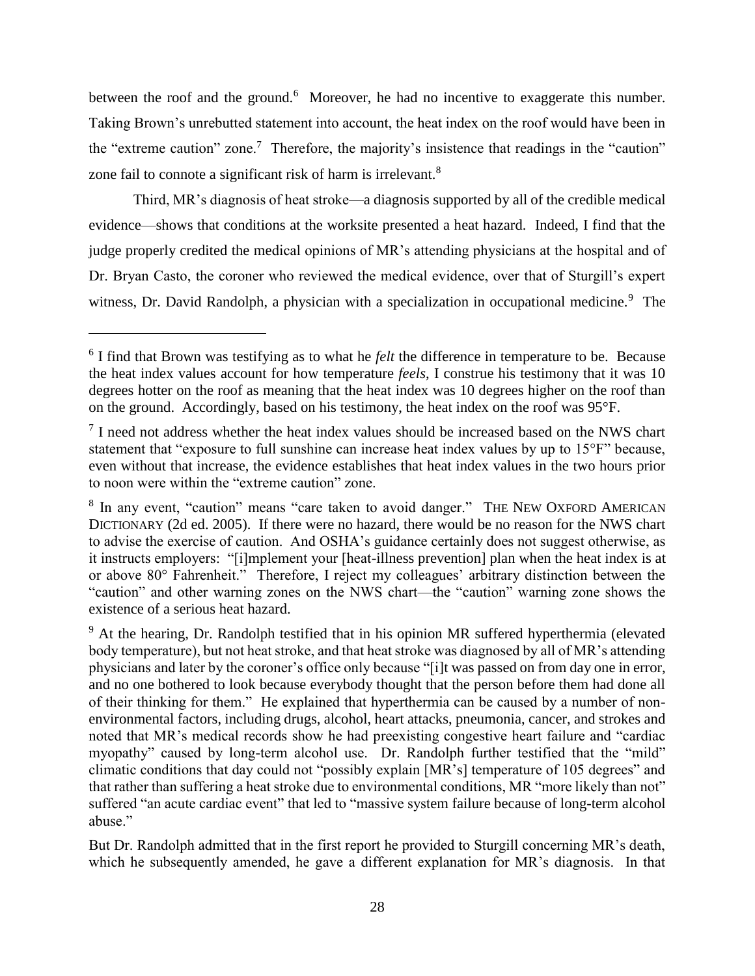between the roof and the ground.<sup>6</sup> Moreover, he had no incentive to exaggerate this number. Taking Brown's unrebutted statement into account, the heat index on the roof would have been in the "extreme caution" zone.<sup>7</sup> Therefore, the majority's insistence that readings in the "caution" zone fail to connote a significant risk of harm is irrelevant.<sup>8</sup>

Third, MR's diagnosis of heat stroke—a diagnosis supported by all of the credible medical evidence—shows that conditions at the worksite presented a heat hazard. Indeed, I find that the judge properly credited the medical opinions of MR's attending physicians at the hospital and of Dr. Bryan Casto, the coroner who reviewed the medical evidence, over that of Sturgill's expert witness, Dr. David Randolph, a physician with a specialization in occupational medicine.<sup>9</sup> The

 $\overline{a}$ 

But Dr. Randolph admitted that in the first report he provided to Sturgill concerning MR's death, which he subsequently amended, he gave a different explanation for MR's diagnosis. In that

<sup>&</sup>lt;sup>6</sup> I find that Brown was testifying as to what he *felt* the difference in temperature to be. Because the heat index values account for how temperature *feels*, I construe his testimony that it was 10 degrees hotter on the roof as meaning that the heat index was 10 degrees higher on the roof than on the ground. Accordingly, based on his testimony, the heat index on the roof was 95°F.

<sup>&</sup>lt;sup>7</sup> I need not address whether the heat index values should be increased based on the NWS chart statement that "exposure to full sunshine can increase heat index values by up to 15°F" because, even without that increase, the evidence establishes that heat index values in the two hours prior to noon were within the "extreme caution" zone.

<sup>&</sup>lt;sup>8</sup> In any event, "caution" means "care taken to avoid danger." THE NEW OXFORD AMERICAN DICTIONARY (2d ed. 2005). If there were no hazard, there would be no reason for the NWS chart to advise the exercise of caution. And OSHA's guidance certainly does not suggest otherwise, as it instructs employers: "[i]mplement your [heat-illness prevention] plan when the heat index is at or above 80° Fahrenheit." Therefore, I reject my colleagues' arbitrary distinction between the "caution" and other warning zones on the NWS chart—the "caution" warning zone shows the existence of a serious heat hazard.

<sup>&</sup>lt;sup>9</sup> At the hearing, Dr. Randolph testified that in his opinion MR suffered hyperthermia (elevated body temperature), but not heat stroke, and that heat stroke was diagnosed by all of MR's attending physicians and later by the coroner's office only because "[i]t was passed on from day one in error, and no one bothered to look because everybody thought that the person before them had done all of their thinking for them." He explained that hyperthermia can be caused by a number of nonenvironmental factors, including drugs, alcohol, heart attacks, pneumonia, cancer, and strokes and noted that MR's medical records show he had preexisting congestive heart failure and "cardiac myopathy" caused by long-term alcohol use. Dr. Randolph further testified that the "mild" climatic conditions that day could not "possibly explain [MR's] temperature of 105 degrees" and that rather than suffering a heat stroke due to environmental conditions, MR "more likely than not" suffered "an acute cardiac event" that led to "massive system failure because of long-term alcohol abuse."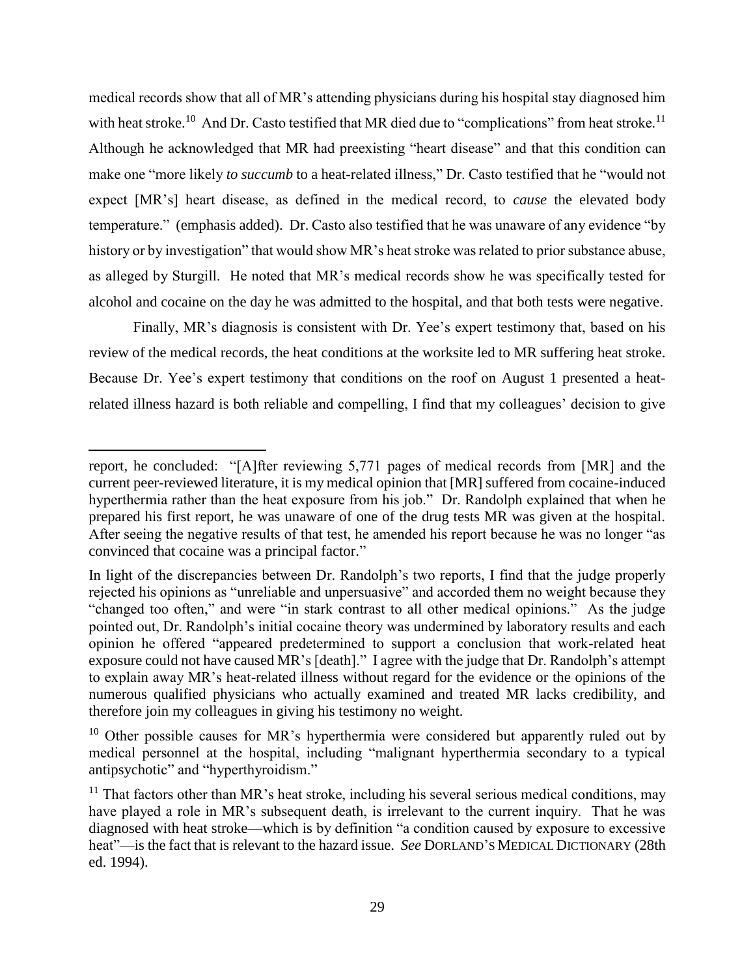medical records show that all of MR's attending physicians during his hospital stay diagnosed him with heat stroke.<sup>10</sup> And Dr. Casto testified that MR died due to "complications" from heat stroke.<sup>11</sup> Although he acknowledged that MR had preexisting "heart disease" and that this condition can make one "more likely *to succumb* to a heat-related illness," Dr. Casto testified that he "would not expect [MR's] heart disease, as defined in the medical record, to *cause* the elevated body temperature." (emphasis added). Dr. Casto also testified that he was unaware of any evidence "by history or by investigation" that would show MR's heat stroke was related to prior substance abuse, as alleged by Sturgill. He noted that MR's medical records show he was specifically tested for alcohol and cocaine on the day he was admitted to the hospital, and that both tests were negative.

Finally, MR's diagnosis is consistent with Dr. Yee's expert testimony that, based on his review of the medical records, the heat conditions at the worksite led to MR suffering heat stroke. Because Dr. Yee's expert testimony that conditions on the roof on August 1 presented a heatrelated illness hazard is both reliable and compelling, I find that my colleagues' decision to give

report, he concluded: "[A]fter reviewing 5,771 pages of medical records from [MR] and the current peer-reviewed literature, it is my medical opinion that [MR] suffered from cocaine-induced hyperthermia rather than the heat exposure from his job." Dr. Randolph explained that when he prepared his first report, he was unaware of one of the drug tests MR was given at the hospital. After seeing the negative results of that test, he amended his report because he was no longer "as convinced that cocaine was a principal factor."

In light of the discrepancies between Dr. Randolph's two reports, I find that the judge properly rejected his opinions as "unreliable and unpersuasive" and accorded them no weight because they "changed too often," and were "in stark contrast to all other medical opinions." As the judge pointed out, Dr. Randolph's initial cocaine theory was undermined by laboratory results and each opinion he offered "appeared predetermined to support a conclusion that work-related heat exposure could not have caused MR's [death]." I agree with the judge that Dr. Randolph's attempt to explain away MR's heat-related illness without regard for the evidence or the opinions of the numerous qualified physicians who actually examined and treated MR lacks credibility, and therefore join my colleagues in giving his testimony no weight.

 $10$  Other possible causes for MR's hyperthermia were considered but apparently ruled out by medical personnel at the hospital, including "malignant hyperthermia secondary to a typical antipsychotic" and "hyperthyroidism."

 $11$  That factors other than MR's heat stroke, including his several serious medical conditions, may have played a role in MR's subsequent death, is irrelevant to the current inquiry. That he was diagnosed with heat stroke—which is by definition "a condition caused by exposure to excessive heat"—is the fact that is relevant to the hazard issue. *See* DORLAND'S MEDICAL DICTIONARY (28th ed. 1994).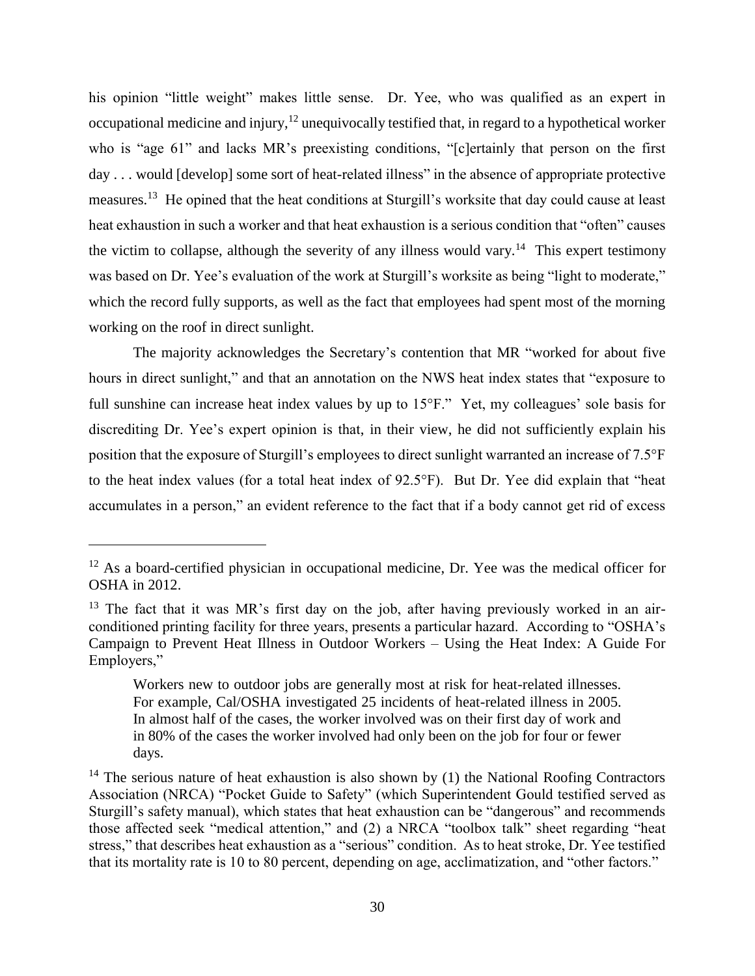his opinion "little weight" makes little sense. Dr. Yee, who was qualified as an expert in occupational medicine and injury,  $12$  unequivocally testified that, in regard to a hypothetical worker who is "age 61" and lacks MR's preexisting conditions, "[c]ertainly that person on the first day . . . would [develop] some sort of heat-related illness" in the absence of appropriate protective measures.<sup>13</sup> He opined that the heat conditions at Sturgill's worksite that day could cause at least heat exhaustion in such a worker and that heat exhaustion is a serious condition that "often" causes the victim to collapse, although the severity of any illness would vary.<sup>14</sup> This expert testimony was based on Dr. Yee's evaluation of the work at Sturgill's worksite as being "light to moderate," which the record fully supports, as well as the fact that employees had spent most of the morning working on the roof in direct sunlight.

The majority acknowledges the Secretary's contention that MR "worked for about five hours in direct sunlight," and that an annotation on the NWS heat index states that "exposure to full sunshine can increase heat index values by up to 15°F." Yet, my colleagues' sole basis for discrediting Dr. Yee's expert opinion is that, in their view, he did not sufficiently explain his position that the exposure of Sturgill's employees to direct sunlight warranted an increase of 7.5°F to the heat index values (for a total heat index of 92.5°F). But Dr. Yee did explain that "heat accumulates in a person," an evident reference to the fact that if a body cannot get rid of excess

 $12$  As a board-certified physician in occupational medicine, Dr. Yee was the medical officer for OSHA in 2012.

 $13$  The fact that it was MR's first day on the job, after having previously worked in an airconditioned printing facility for three years, presents a particular hazard. According to "OSHA's Campaign to Prevent Heat Illness in Outdoor Workers – Using the Heat Index: A Guide For Employers,"

Workers new to outdoor jobs are generally most at risk for heat-related illnesses. For example, Cal/OSHA investigated 25 incidents of heat-related illness in 2005. In almost half of the cases, the worker involved was on their first day of work and in 80% of the cases the worker involved had only been on the job for four or fewer days.

 $14$  The serious nature of heat exhaustion is also shown by (1) the National Roofing Contractors Association (NRCA) "Pocket Guide to Safety" (which Superintendent Gould testified served as Sturgill's safety manual), which states that heat exhaustion can be "dangerous" and recommends those affected seek "medical attention," and (2) a NRCA "toolbox talk" sheet regarding "heat stress," that describes heat exhaustion as a "serious" condition. As to heat stroke, Dr. Yee testified that its mortality rate is 10 to 80 percent, depending on age, acclimatization, and "other factors."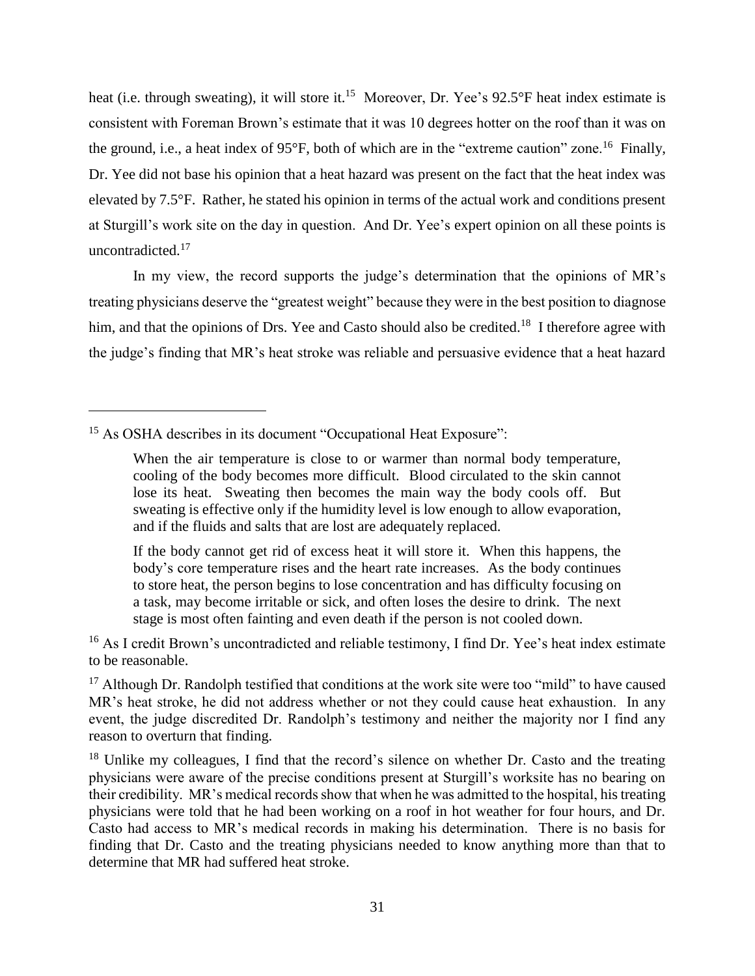heat (i.e. through sweating), it will store it.<sup>15</sup> Moreover, Dr. Yee's 92.5°F heat index estimate is consistent with Foreman Brown's estimate that it was 10 degrees hotter on the roof than it was on the ground, i.e., a heat index of 95°F, both of which are in the "extreme caution" zone.<sup>16</sup> Finally, Dr. Yee did not base his opinion that a heat hazard was present on the fact that the heat index was elevated by 7.5°F. Rather, he stated his opinion in terms of the actual work and conditions present at Sturgill's work site on the day in question. And Dr. Yee's expert opinion on all these points is uncontradicted.<sup>17</sup>

In my view, the record supports the judge's determination that the opinions of MR's treating physicians deserve the "greatest weight" because they were in the best position to diagnose him, and that the opinions of Drs. Yee and Casto should also be credited.<sup>18</sup> I therefore agree with the judge's finding that MR's heat stroke was reliable and persuasive evidence that a heat hazard

<sup>15</sup> As OSHA describes in its document "Occupational Heat Exposure":

 $\overline{a}$ 

If the body cannot get rid of excess heat it will store it. When this happens, the body's core temperature rises and the heart rate increases. As the body continues to store heat, the person begins to lose concentration and has difficulty focusing on a task, may become irritable or sick, and often loses the desire to drink. The next stage is most often fainting and even death if the person is not cooled down.

<sup>16</sup> As I credit Brown's uncontradicted and reliable testimony, I find Dr. Yee's heat index estimate to be reasonable.

<sup>17</sup> Although Dr. Randolph testified that conditions at the work site were too "mild" to have caused MR's heat stroke, he did not address whether or not they could cause heat exhaustion. In any event, the judge discredited Dr. Randolph's testimony and neither the majority nor I find any reason to overturn that finding.

<sup>18</sup> Unlike my colleagues, I find that the record's silence on whether Dr. Casto and the treating physicians were aware of the precise conditions present at Sturgill's worksite has no bearing on their credibility. MR's medical records show that when he was admitted to the hospital, his treating physicians were told that he had been working on a roof in hot weather for four hours, and Dr. Casto had access to MR's medical records in making his determination. There is no basis for finding that Dr. Casto and the treating physicians needed to know anything more than that to determine that MR had suffered heat stroke.

When the air temperature is close to or warmer than normal body temperature, cooling of the body becomes more difficult. Blood circulated to the skin cannot lose its heat. Sweating then becomes the main way the body cools off. But sweating is effective only if the humidity level is low enough to allow evaporation, and if the fluids and salts that are lost are adequately replaced.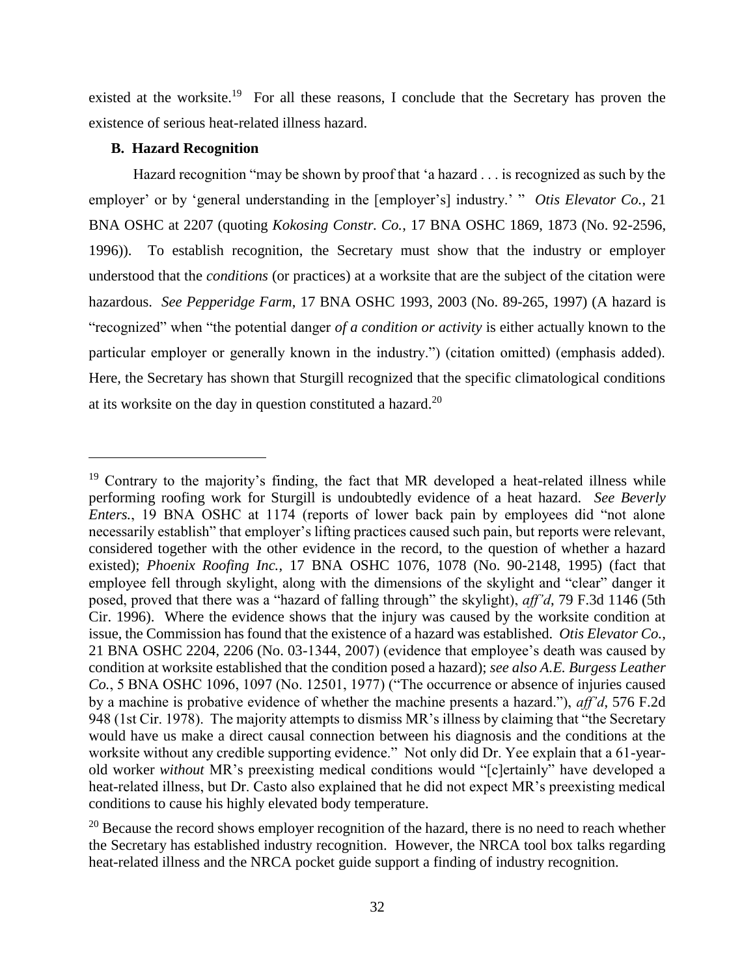existed at the worksite.<sup>19</sup> For all these reasons, I conclude that the Secretary has proven the existence of serious heat-related illness hazard.

### **B. Hazard Recognition**

 $\overline{a}$ 

Hazard recognition "may be shown by proof that 'a hazard . . . is recognized as such by the employer' or by 'general understanding in the [employer's] industry.' " *Otis Elevator Co.*, 21 BNA OSHC at 2207 (quoting *Kokosing Constr. Co.*, 17 BNA OSHC 1869, 1873 (No. 92-2596, 1996)). To establish recognition, the Secretary must show that the industry or employer understood that the *conditions* (or practices) at a worksite that are the subject of the citation were hazardous. *See Pepperidge Farm*, 17 BNA OSHC 1993, 2003 (No. 89-265, 1997) (A hazard is "recognized" when "the potential danger *of a condition or activity* is either actually known to the particular employer or generally known in the industry.") (citation omitted) (emphasis added). Here, the Secretary has shown that Sturgill recognized that the specific climatological conditions at its worksite on the day in question constituted a hazard. $20$ 

<sup>&</sup>lt;sup>19</sup> Contrary to the majority's finding, the fact that MR developed a heat-related illness while performing roofing work for Sturgill is undoubtedly evidence of a heat hazard. *See Beverly Enters.*, 19 BNA OSHC at 1174 (reports of lower back pain by employees did "not alone necessarily establish" that employer's lifting practices caused such pain, but reports were relevant, considered together with the other evidence in the record, to the question of whether a hazard existed); *Phoenix Roofing Inc.*, 17 BNA OSHC 1076, 1078 (No. 90-2148, 1995) (fact that employee fell through skylight, along with the dimensions of the skylight and "clear" danger it posed, proved that there was a "hazard of falling through" the skylight), *aff'd*, 79 F.3d 1146 (5th Cir. 1996). Where the evidence shows that the injury was caused by the worksite condition at issue, the Commission has found that the existence of a hazard was established. *Otis Elevator Co.*, 21 BNA OSHC 2204, 2206 (No. 03-1344, 2007) (evidence that employee's death was caused by condition at worksite established that the condition posed a hazard); *see also A.E. Burgess Leather Co.*, 5 BNA OSHC 1096, 1097 (No. 12501, 1977) ("The occurrence or absence of injuries caused by a machine is probative evidence of whether the machine presents a hazard."), *aff'd*, 576 F.2d 948 (1st Cir. 1978). The majority attempts to dismiss MR's illness by claiming that "the Secretary would have us make a direct causal connection between his diagnosis and the conditions at the worksite without any credible supporting evidence." Not only did Dr. Yee explain that a 61-yearold worker *without* MR's preexisting medical conditions would "[c]ertainly" have developed a heat-related illness, but Dr. Casto also explained that he did not expect MR's preexisting medical conditions to cause his highly elevated body temperature.

 $20$  Because the record shows employer recognition of the hazard, there is no need to reach whether the Secretary has established industry recognition. However, the NRCA tool box talks regarding heat-related illness and the NRCA pocket guide support a finding of industry recognition.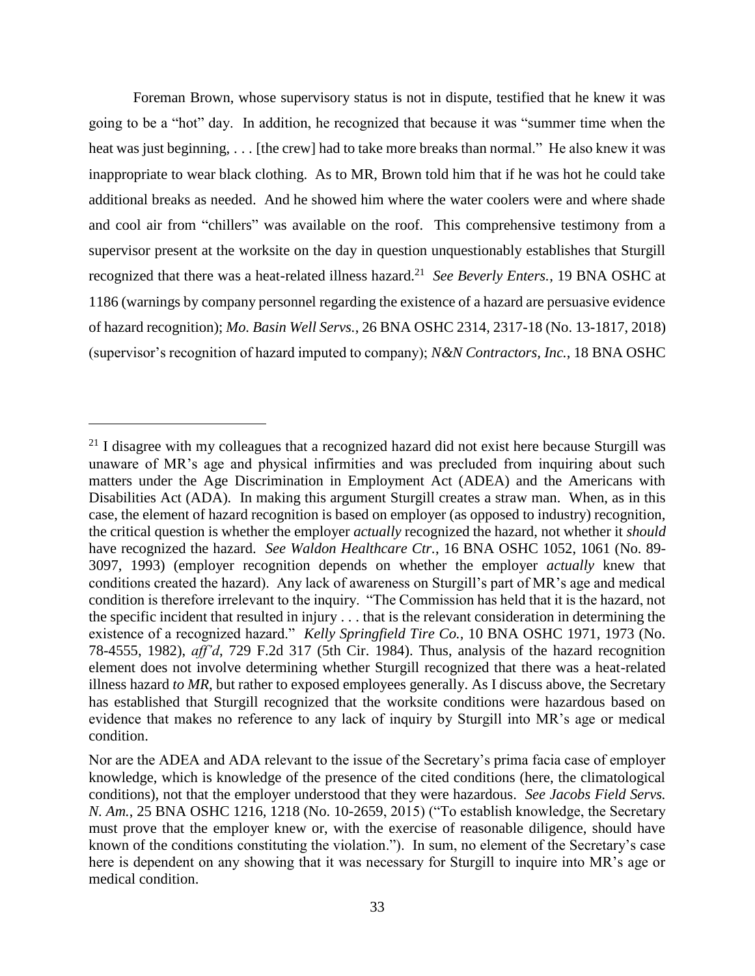Foreman Brown, whose supervisory status is not in dispute, testified that he knew it was going to be a "hot" day. In addition, he recognized that because it was "summer time when the heat was just beginning, . . . [the crew] had to take more breaks than normal." He also knew it was inappropriate to wear black clothing. As to MR, Brown told him that if he was hot he could take additional breaks as needed. And he showed him where the water coolers were and where shade and cool air from "chillers" was available on the roof. This comprehensive testimony from a supervisor present at the worksite on the day in question unquestionably establishes that Sturgill recognized that there was a heat-related illness hazard.<sup>21</sup> See Beverly Enters., 19 BNA OSHC at 1186 (warnings by company personnel regarding the existence of a hazard are persuasive evidence of hazard recognition); *Mo. Basin Well Servs.*, 26 BNA OSHC 2314, 2317-18 (No. 13-1817, 2018) (supervisor's recognition of hazard imputed to company); *N&N Contractors, Inc.*, 18 BNA OSHC

 $21$  I disagree with my colleagues that a recognized hazard did not exist here because Sturgill was unaware of MR's age and physical infirmities and was precluded from inquiring about such matters under the Age Discrimination in Employment Act (ADEA) and the Americans with Disabilities Act (ADA). In making this argument Sturgill creates a straw man. When, as in this case, the element of hazard recognition is based on employer (as opposed to industry) recognition, the critical question is whether the employer *actually* recognized the hazard, not whether it *should*  have recognized the hazard. *See Waldon Healthcare Ctr.*, 16 BNA OSHC 1052, 1061 (No. 89- 3097, 1993) (employer recognition depends on whether the employer *actually* knew that conditions created the hazard). Any lack of awareness on Sturgill's part of MR's age and medical condition is therefore irrelevant to the inquiry. "The Commission has held that it is the hazard, not the specific incident that resulted in injury . . . that is the relevant consideration in determining the existence of a recognized hazard." *Kelly Springfield Tire Co.,* 10 BNA OSHC 1971, 1973 (No. 78-4555, 1982), *aff'd*, 729 F.2d 317 (5th Cir. 1984). Thus, analysis of the hazard recognition element does not involve determining whether Sturgill recognized that there was a heat-related illness hazard *to MR*, but rather to exposed employees generally. As I discuss above, the Secretary has established that Sturgill recognized that the worksite conditions were hazardous based on evidence that makes no reference to any lack of inquiry by Sturgill into MR's age or medical condition.

Nor are the ADEA and ADA relevant to the issue of the Secretary's prima facia case of employer knowledge, which is knowledge of the presence of the cited conditions (here, the climatological conditions), not that the employer understood that they were hazardous. *See [Jacobs Field Servs.](https://1.next.westlaw.com/Link/Document/FullText?findType=Y&serNum=2035587733&pubNum=0003227&originatingDoc=Ice90d7d358fc11e6b86bd602cb8781fa&refType=CA&fi=co_pp_sp_3227_1218&originationContext=document&transitionType=DocumentItem&contextData=(sc.Search)#co_pp_sp_3227_1218)  N. Am.*[, 25 BNA OSHC 1216, 1218 \(No. 10-2659,](https://1.next.westlaw.com/Link/Document/FullText?findType=Y&serNum=2035587733&pubNum=0003227&originatingDoc=Ice90d7d358fc11e6b86bd602cb8781fa&refType=CA&fi=co_pp_sp_3227_1218&originationContext=document&transitionType=DocumentItem&contextData=(sc.Search)#co_pp_sp_3227_1218) 2015) ("To establish knowledge, the Secretary must prove that the employer knew or, with the exercise of reasonable diligence, should have known of the conditions constituting the violation."). In sum, no element of the Secretary's case here is dependent on any showing that it was necessary for Sturgill to inquire into MR's age or medical condition.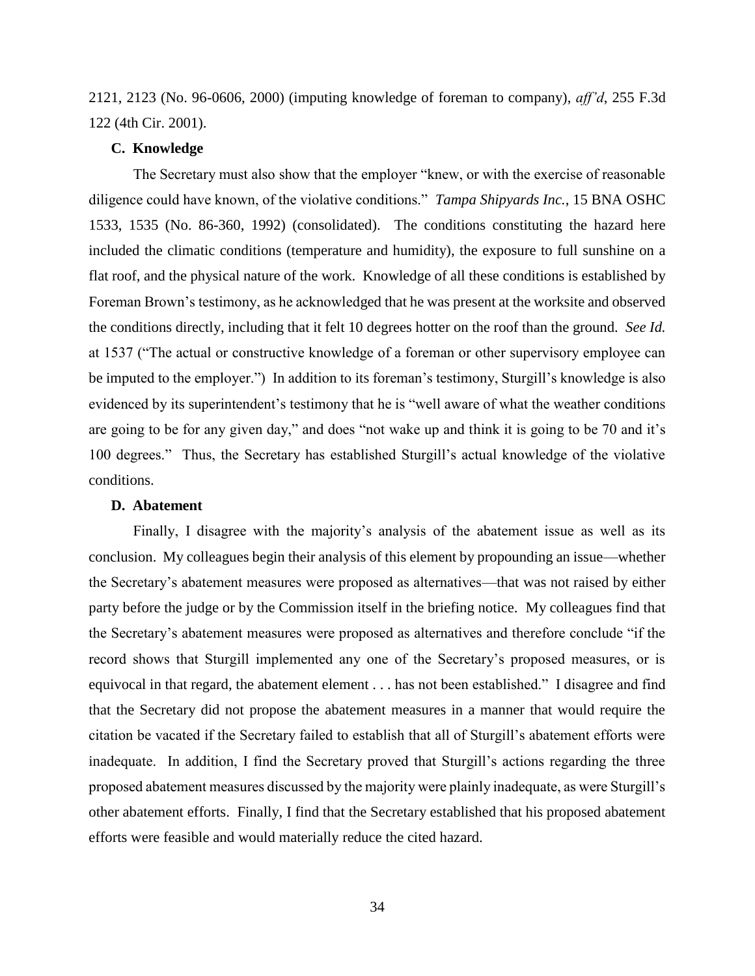2121, 2123 (No. 96-0606, 2000) (imputing knowledge of foreman to company), *aff'd*, 255 F.3d 122 (4th Cir. 2001).

### **C. Knowledge**

The Secretary must also show that the employer "knew, or with the exercise of reasonable diligence could have known, of the violative conditions." *Tampa Shipyards Inc.*, 15 BNA OSHC 1533, 1535 (No. 86-360, 1992) (consolidated). The conditions constituting the hazard here included the climatic conditions (temperature and humidity), the exposure to full sunshine on a flat roof, and the physical nature of the work. Knowledge of all these conditions is established by Foreman Brown's testimony, as he acknowledged that he was present at the worksite and observed the conditions directly, including that it felt 10 degrees hotter on the roof than the ground. *See Id.* at 1537 ("The actual or constructive knowledge of a foreman or other supervisory employee can be imputed to the employer.") In addition to its foreman's testimony, Sturgill's knowledge is also evidenced by its superintendent's testimony that he is "well aware of what the weather conditions are going to be for any given day," and does "not wake up and think it is going to be 70 and it's 100 degrees." Thus, the Secretary has established Sturgill's actual knowledge of the violative conditions.

### **D. Abatement**

Finally, I disagree with the majority's analysis of the abatement issue as well as its conclusion. My colleagues begin their analysis of this element by propounding an issue—whether the Secretary's abatement measures were proposed as alternatives—that was not raised by either party before the judge or by the Commission itself in the briefing notice. My colleagues find that the Secretary's abatement measures were proposed as alternatives and therefore conclude "if the record shows that Sturgill implemented any one of the Secretary's proposed measures, or is equivocal in that regard, the abatement element . . . has not been established." I disagree and find that the Secretary did not propose the abatement measures in a manner that would require the citation be vacated if the Secretary failed to establish that all of Sturgill's abatement efforts were inadequate. In addition, I find the Secretary proved that Sturgill's actions regarding the three proposed abatement measures discussed by the majority were plainly inadequate, as were Sturgill's other abatement efforts. Finally, I find that the Secretary established that his proposed abatement efforts were feasible and would materially reduce the cited hazard.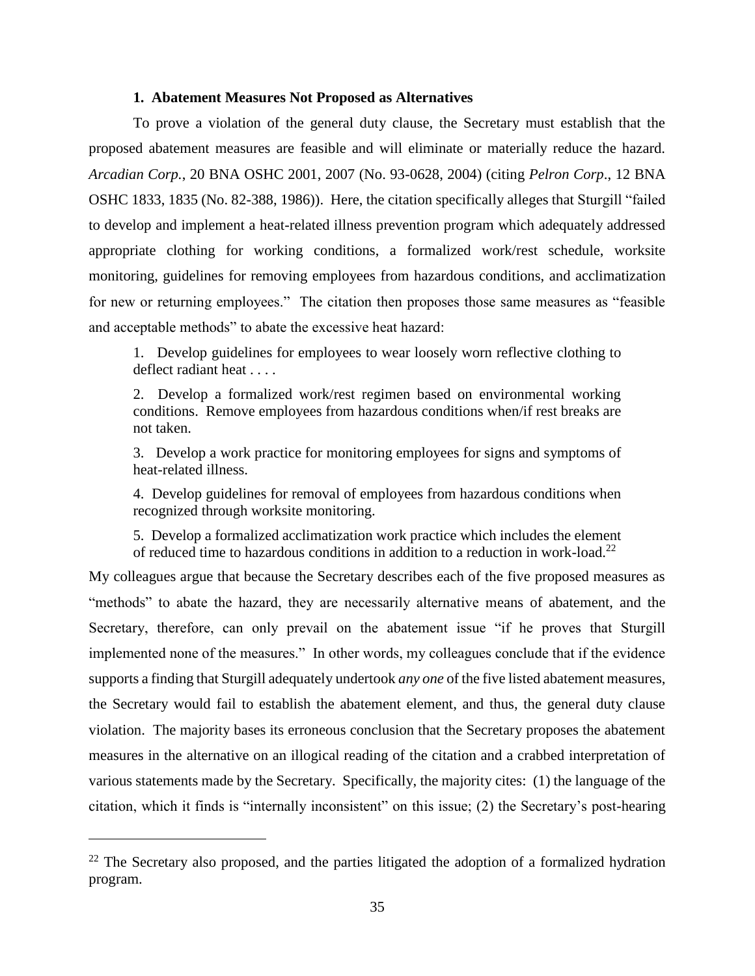#### **1. Abatement Measures Not Proposed as Alternatives**

To prove a violation of the general duty clause, the Secretary must establish that the proposed abatement measures are feasible and will eliminate or materially reduce the hazard. *Arcadian Corp.*, 20 BNA OSHC 2001, 2007 (No. 93-0628, 2004) (citing *Pelron Corp*., 12 BNA OSHC 1833, 1835 (No. 82-388, 1986)). Here, the citation specifically alleges that Sturgill "failed to develop and implement a heat-related illness prevention program which adequately addressed appropriate clothing for working conditions, a formalized work/rest schedule, worksite monitoring, guidelines for removing employees from hazardous conditions, and acclimatization for new or returning employees." The citation then proposes those same measures as "feasible and acceptable methods" to abate the excessive heat hazard:

1. Develop guidelines for employees to wear loosely worn reflective clothing to deflect radiant heat . . . .

2. Develop a formalized work/rest regimen based on environmental working conditions. Remove employees from hazardous conditions when/if rest breaks are not taken.

3. Develop a work practice for monitoring employees for signs and symptoms of heat-related illness.

4. Develop guidelines for removal of employees from hazardous conditions when recognized through worksite monitoring.

5. Develop a formalized acclimatization work practice which includes the element of reduced time to hazardous conditions in addition to a reduction in work-load.<sup>22</sup>

My colleagues argue that because the Secretary describes each of the five proposed measures as "methods" to abate the hazard, they are necessarily alternative means of abatement, and the Secretary, therefore, can only prevail on the abatement issue "if he proves that Sturgill implemented none of the measures." In other words, my colleagues conclude that if the evidence supports a finding that Sturgill adequately undertook *any one* of the five listed abatement measures, the Secretary would fail to establish the abatement element, and thus, the general duty clause violation. The majority bases its erroneous conclusion that the Secretary proposes the abatement measures in the alternative on an illogical reading of the citation and a crabbed interpretation of various statements made by the Secretary. Specifically, the majority cites: (1) the language of the citation, which it finds is "internally inconsistent" on this issue; (2) the Secretary's post-hearing

<sup>&</sup>lt;sup>22</sup> The Secretary also proposed, and the parties litigated the adoption of a formalized hydration program.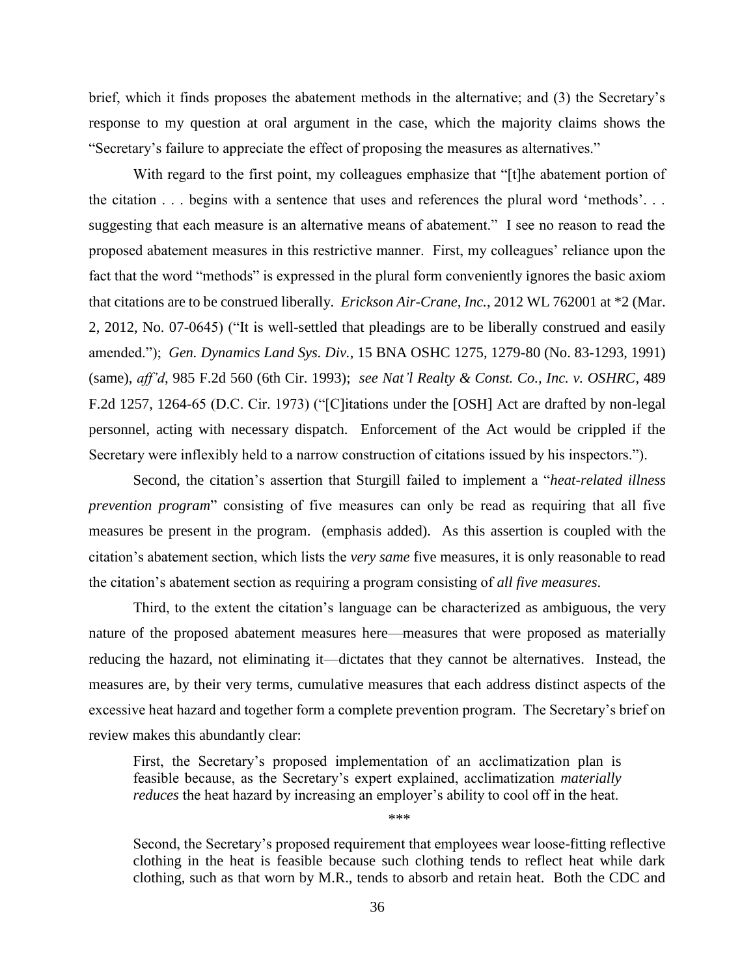brief, which it finds proposes the abatement methods in the alternative; and (3) the Secretary's response to my question at oral argument in the case, which the majority claims shows the "Secretary's failure to appreciate the effect of proposing the measures as alternatives."

With regard to the first point, my colleagues emphasize that "[t]he abatement portion of the citation . . . begins with a sentence that uses and references the plural word 'methods'. . . suggesting that each measure is an alternative means of abatement." I see no reason to read the proposed abatement measures in this restrictive manner. First, my colleagues' reliance upon the fact that the word "methods" is expressed in the plural form conveniently ignores the basic axiom that citations are to be construed liberally. *Erickson Air-Crane, Inc.*, 2012 WL 762001 at \*2 (Mar. 2, 2012, No. 07-0645) ("It is well-settled that pleadings are to be liberally construed and easily amended."); *Gen. Dynamics Land Sys. Div.*, 15 BNA OSHC 1275, 1279-80 (No. 83-1293, 1991) (same), *aff'd*, 985 F.2d 560 (6th Cir. 1993); *see Nat'l Realty & Const. Co., Inc. v. OSHRC*, 489 F.2d 1257, 1264-65 (D.C. Cir. 1973) ("[C]itations under the [OSH] Act are drafted by non-legal personnel, acting with necessary dispatch. Enforcement of the Act would be crippled if the Secretary were inflexibly held to a narrow construction of citations issued by his inspectors.").

Second, the citation's assertion that Sturgill failed to implement a "*heat-related illness prevention program*" consisting of five measures can only be read as requiring that all five measures be present in the program. (emphasis added). As this assertion is coupled with the citation's abatement section, which lists the *very same* five measures, it is only reasonable to read the citation's abatement section as requiring a program consisting of *all five measures*.

Third, to the extent the citation's language can be characterized as ambiguous, the very nature of the proposed abatement measures here—measures that were proposed as materially reducing the hazard, not eliminating it—dictates that they cannot be alternatives. Instead, the measures are, by their very terms, cumulative measures that each address distinct aspects of the excessive heat hazard and together form a complete prevention program. The Secretary's brief on review makes this abundantly clear:

First, the Secretary's proposed implementation of an acclimatization plan is feasible because, as the Secretary's expert explained, acclimatization *materially reduces* the heat hazard by increasing an employer's ability to cool off in the heat.

Second, the Secretary's proposed requirement that employees wear loose-fitting reflective clothing in the heat is feasible because such clothing tends to reflect heat while dark clothing, such as that worn by M.R., tends to absorb and retain heat. Both the CDC and

\*\*\*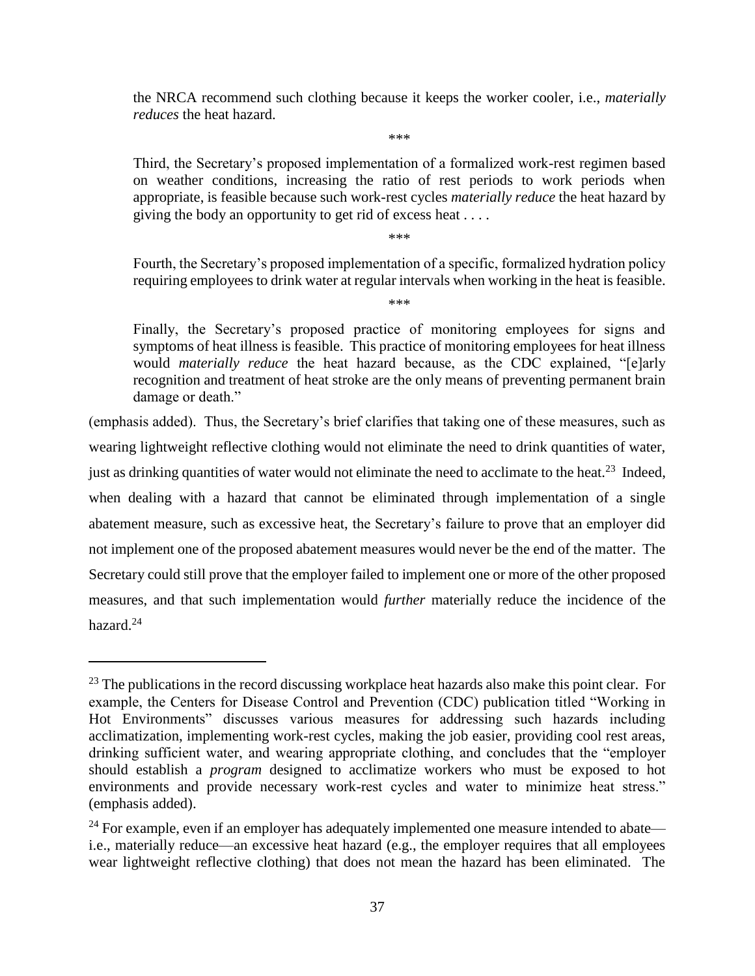the NRCA recommend such clothing because it keeps the worker cooler, i.e., *materially reduces* the heat hazard.

\*\*\*

Third, the Secretary's proposed implementation of a formalized work-rest regimen based on weather conditions, increasing the ratio of rest periods to work periods when appropriate, is feasible because such work-rest cycles *materially reduce* the heat hazard by giving the body an opportunity to get rid of excess heat . . . .

\*\*\*

Fourth, the Secretary's proposed implementation of a specific, formalized hydration policy requiring employees to drink water at regular intervals when working in the heat is feasible.

\*\*\*

Finally, the Secretary's proposed practice of monitoring employees for signs and symptoms of heat illness is feasible. This practice of monitoring employees for heat illness would *materially reduce* the heat hazard because, as the CDC explained, "[e]arly recognition and treatment of heat stroke are the only means of preventing permanent brain damage or death."

(emphasis added). Thus, the Secretary's brief clarifies that taking one of these measures, such as wearing lightweight reflective clothing would not eliminate the need to drink quantities of water, just as drinking quantities of water would not eliminate the need to acclimate to the heat.<sup>23</sup> Indeed, when dealing with a hazard that cannot be eliminated through implementation of a single abatement measure, such as excessive heat, the Secretary's failure to prove that an employer did not implement one of the proposed abatement measures would never be the end of the matter. The Secretary could still prove that the employer failed to implement one or more of the other proposed measures, and that such implementation would *further* materially reduce the incidence of the hazard.<sup>24</sup>

<sup>&</sup>lt;sup>23</sup> The publications in the record discussing workplace heat hazards also make this point clear. For example, the Centers for Disease Control and Prevention (CDC) publication titled "Working in Hot Environments" discusses various measures for addressing such hazards including acclimatization, implementing work-rest cycles, making the job easier, providing cool rest areas, drinking sufficient water, and wearing appropriate clothing, and concludes that the "employer should establish a *program* designed to acclimatize workers who must be exposed to hot environments and provide necessary work-rest cycles and water to minimize heat stress." (emphasis added).

 $24$  For example, even if an employer has adequately implemented one measure intended to abate i.e., materially reduce—an excessive heat hazard (e.g., the employer requires that all employees wear lightweight reflective clothing) that does not mean the hazard has been eliminated. The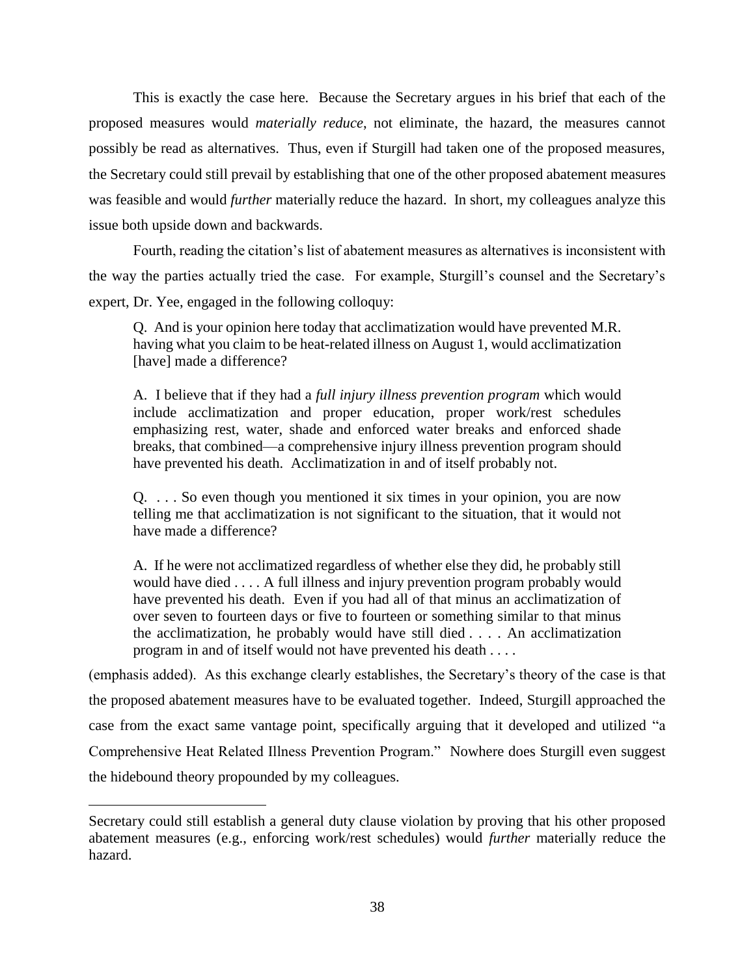This is exactly the case here. Because the Secretary argues in his brief that each of the proposed measures would *materially reduce*, not eliminate, the hazard, the measures cannot possibly be read as alternatives. Thus, even if Sturgill had taken one of the proposed measures, the Secretary could still prevail by establishing that one of the other proposed abatement measures was feasible and would *further* materially reduce the hazard. In short, my colleagues analyze this issue both upside down and backwards.

Fourth, reading the citation's list of abatement measures as alternatives is inconsistent with the way the parties actually tried the case. For example, Sturgill's counsel and the Secretary's expert, Dr. Yee, engaged in the following colloquy:

Q. And is your opinion here today that acclimatization would have prevented M.R. having what you claim to be heat-related illness on August 1, would acclimatization [have] made a difference?

A. I believe that if they had a *full injury illness prevention program* which would include acclimatization and proper education, proper work/rest schedules emphasizing rest, water, shade and enforced water breaks and enforced shade breaks, that combined—a comprehensive injury illness prevention program should have prevented his death. Acclimatization in and of itself probably not.

Q. . . . So even though you mentioned it six times in your opinion, you are now telling me that acclimatization is not significant to the situation, that it would not have made a difference?

A. If he were not acclimatized regardless of whether else they did, he probably still would have died . . . . A full illness and injury prevention program probably would have prevented his death. Even if you had all of that minus an acclimatization of over seven to fourteen days or five to fourteen or something similar to that minus the acclimatization, he probably would have still died . . . . An acclimatization program in and of itself would not have prevented his death . . . .

(emphasis added). As this exchange clearly establishes, the Secretary's theory of the case is that the proposed abatement measures have to be evaluated together. Indeed, Sturgill approached the case from the exact same vantage point, specifically arguing that it developed and utilized "a Comprehensive Heat Related Illness Prevention Program." Nowhere does Sturgill even suggest the hidebound theory propounded by my colleagues.

Secretary could still establish a general duty clause violation by proving that his other proposed abatement measures (e.g., enforcing work/rest schedules) would *further* materially reduce the hazard.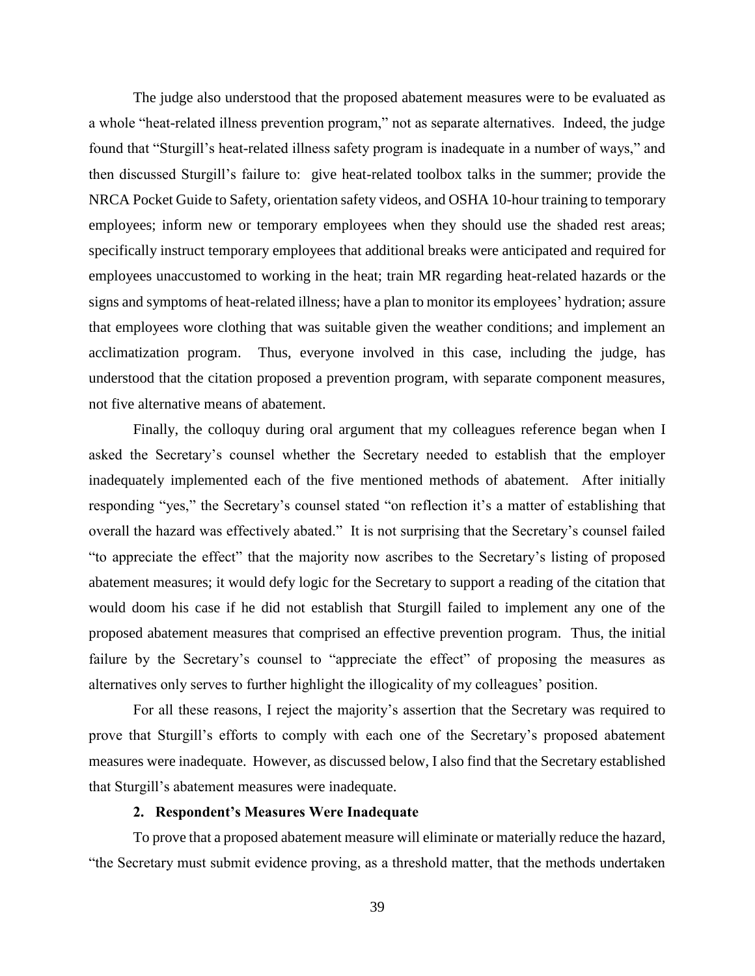The judge also understood that the proposed abatement measures were to be evaluated as a whole "heat-related illness prevention program," not as separate alternatives. Indeed, the judge found that "Sturgill's heat-related illness safety program is inadequate in a number of ways," and then discussed Sturgill's failure to: give heat-related toolbox talks in the summer; provide the NRCA Pocket Guide to Safety, orientation safety videos, and OSHA 10-hour training to temporary employees; inform new or temporary employees when they should use the shaded rest areas; specifically instruct temporary employees that additional breaks were anticipated and required for employees unaccustomed to working in the heat; train MR regarding heat-related hazards or the signs and symptoms of heat-related illness; have a plan to monitor its employees' hydration; assure that employees wore clothing that was suitable given the weather conditions; and implement an acclimatization program. Thus, everyone involved in this case, including the judge, has understood that the citation proposed a prevention program, with separate component measures, not five alternative means of abatement.

Finally, the colloquy during oral argument that my colleagues reference began when I asked the Secretary's counsel whether the Secretary needed to establish that the employer inadequately implemented each of the five mentioned methods of abatement. After initially responding "yes," the Secretary's counsel stated "on reflection it's a matter of establishing that overall the hazard was effectively abated." It is not surprising that the Secretary's counsel failed "to appreciate the effect" that the majority now ascribes to the Secretary's listing of proposed abatement measures; it would defy logic for the Secretary to support a reading of the citation that would doom his case if he did not establish that Sturgill failed to implement any one of the proposed abatement measures that comprised an effective prevention program. Thus, the initial failure by the Secretary's counsel to "appreciate the effect" of proposing the measures as alternatives only serves to further highlight the illogicality of my colleagues' position.

For all these reasons, I reject the majority's assertion that the Secretary was required to prove that Sturgill's efforts to comply with each one of the Secretary's proposed abatement measures were inadequate. However, as discussed below, I also find that the Secretary established that Sturgill's abatement measures were inadequate.

## **2. Respondent's Measures Were Inadequate**

To prove that a proposed abatement measure will eliminate or materially reduce the hazard, "the Secretary must submit evidence proving, as a threshold matter, that the methods undertaken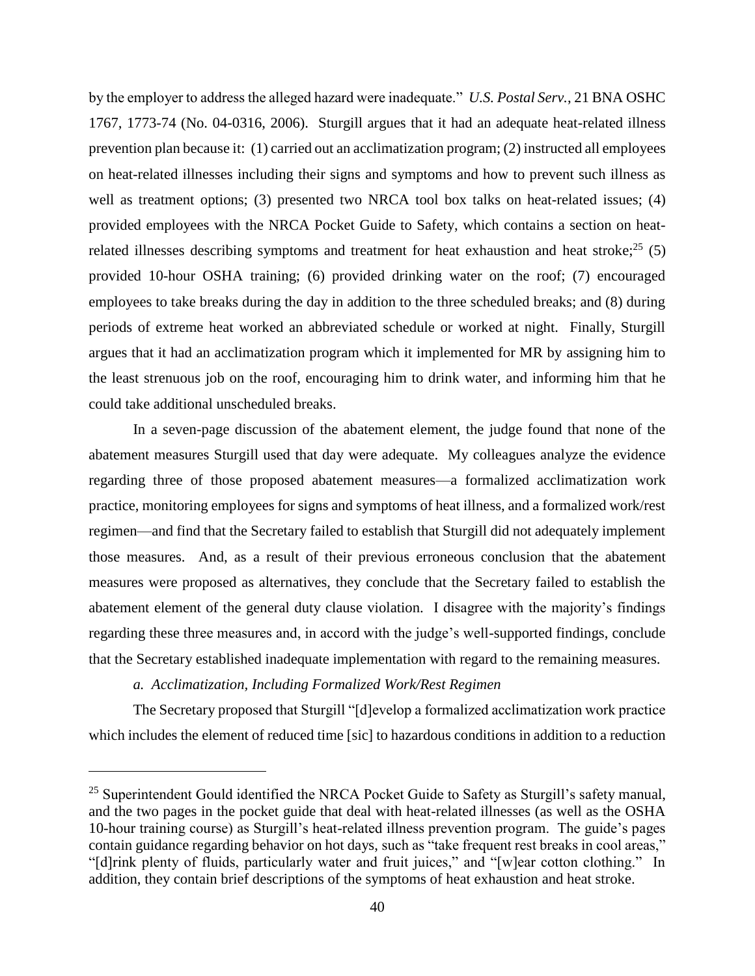by the employer to address the alleged hazard were inadequate." *U.S. Postal Serv.*, 21 BNA OSHC 1767, 1773-74 (No. 04-0316, 2006). Sturgill argues that it had an adequate heat-related illness prevention plan because it: (1) carried out an acclimatization program; (2) instructed all employees on heat-related illnesses including their signs and symptoms and how to prevent such illness as well as treatment options; (3) presented two NRCA tool box talks on heat-related issues; (4) provided employees with the NRCA Pocket Guide to Safety, which contains a section on heatrelated illnesses describing symptoms and treatment for heat exhaustion and heat stroke; $^{25}$  (5) provided 10-hour OSHA training; (6) provided drinking water on the roof; (7) encouraged employees to take breaks during the day in addition to the three scheduled breaks; and (8) during periods of extreme heat worked an abbreviated schedule or worked at night. Finally, Sturgill argues that it had an acclimatization program which it implemented for MR by assigning him to the least strenuous job on the roof, encouraging him to drink water, and informing him that he could take additional unscheduled breaks.

In a seven-page discussion of the abatement element, the judge found that none of the abatement measures Sturgill used that day were adequate. My colleagues analyze the evidence regarding three of those proposed abatement measures—a formalized acclimatization work practice, monitoring employees for signs and symptoms of heat illness, and a formalized work/rest regimen—and find that the Secretary failed to establish that Sturgill did not adequately implement those measures. And, as a result of their previous erroneous conclusion that the abatement measures were proposed as alternatives, they conclude that the Secretary failed to establish the abatement element of the general duty clause violation. I disagree with the majority's findings regarding these three measures and, in accord with the judge's well-supported findings, conclude that the Secretary established inadequate implementation with regard to the remaining measures.

# *a. Acclimatization, Including Formalized Work/Rest Regimen*

 $\overline{a}$ 

The Secretary proposed that Sturgill "[d]evelop a formalized acclimatization work practice which includes the element of reduced time [sic] to hazardous conditions in addition to a reduction

 $25$  Superintendent Gould identified the NRCA Pocket Guide to Safety as Sturgill's safety manual, and the two pages in the pocket guide that deal with heat-related illnesses (as well as the OSHA 10-hour training course) as Sturgill's heat-related illness prevention program. The guide's pages contain guidance regarding behavior on hot days, such as "take frequent rest breaks in cool areas," "[d]rink plenty of fluids, particularly water and fruit juices," and "[w]ear cotton clothing." In addition, they contain brief descriptions of the symptoms of heat exhaustion and heat stroke.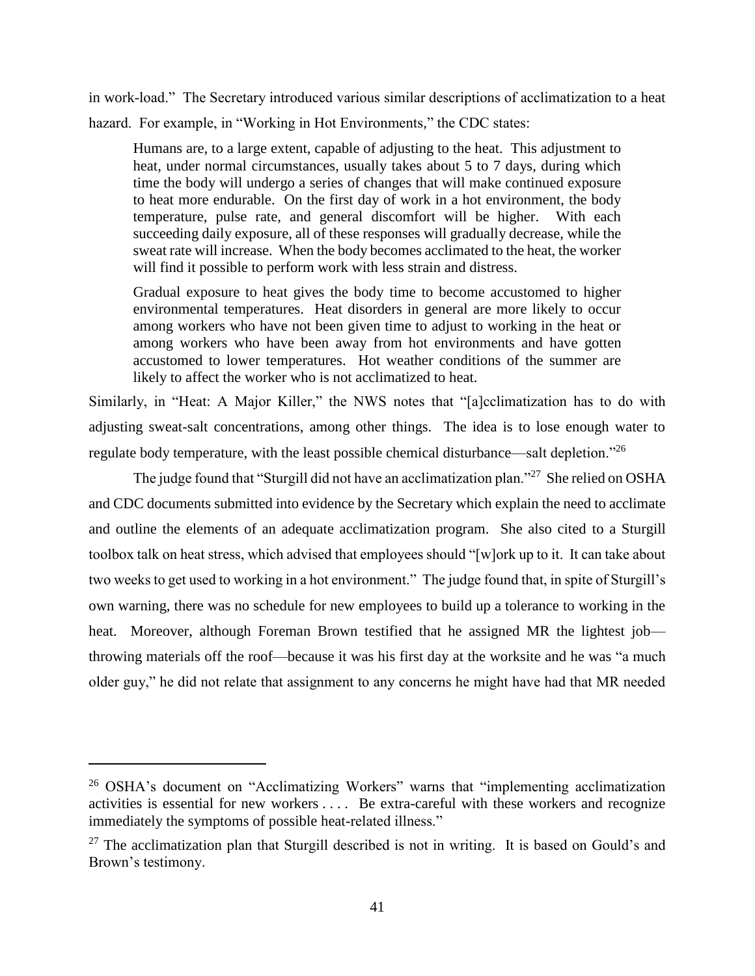in work-load." The Secretary introduced various similar descriptions of acclimatization to a heat hazard. For example, in "Working in Hot Environments," the CDC states:

Humans are, to a large extent, capable of adjusting to the heat. This adjustment to heat, under normal circumstances, usually takes about 5 to 7 days, during which time the body will undergo a series of changes that will make continued exposure to heat more endurable. On the first day of work in a hot environment, the body temperature, pulse rate, and general discomfort will be higher. With each succeeding daily exposure, all of these responses will gradually decrease, while the sweat rate will increase. When the body becomes acclimated to the heat, the worker will find it possible to perform work with less strain and distress.

Gradual exposure to heat gives the body time to become accustomed to higher environmental temperatures. Heat disorders in general are more likely to occur among workers who have not been given time to adjust to working in the heat or among workers who have been away from hot environments and have gotten accustomed to lower temperatures. Hot weather conditions of the summer are likely to affect the worker who is not acclimatized to heat.

Similarly, in "Heat: A Major Killer," the NWS notes that "[a]cclimatization has to do with adjusting sweat-salt concentrations, among other things. The idea is to lose enough water to regulate body temperature, with the least possible chemical disturbance—salt depletion."<sup>26</sup>

The judge found that "Sturgill did not have an acclimatization plan."<sup>27</sup> She relied on OSHA and CDC documents submitted into evidence by the Secretary which explain the need to acclimate and outline the elements of an adequate acclimatization program. She also cited to a Sturgill toolbox talk on heat stress, which advised that employees should "[w]ork up to it. It can take about two weeks to get used to working in a hot environment." The judge found that, in spite of Sturgill's own warning, there was no schedule for new employees to build up a tolerance to working in the heat. Moreover, although Foreman Brown testified that he assigned MR the lightest job throwing materials off the roof—because it was his first day at the worksite and he was "a much older guy," he did not relate that assignment to any concerns he might have had that MR needed

<sup>&</sup>lt;sup>26</sup> OSHA's document on "Acclimatizing Workers" warns that "implementing acclimatization activities is essential for new workers . . . . Be extra-careful with these workers and recognize immediately the symptoms of possible heat-related illness."

 $27$  The acclimatization plan that Sturgill described is not in writing. It is based on Gould's and Brown's testimony.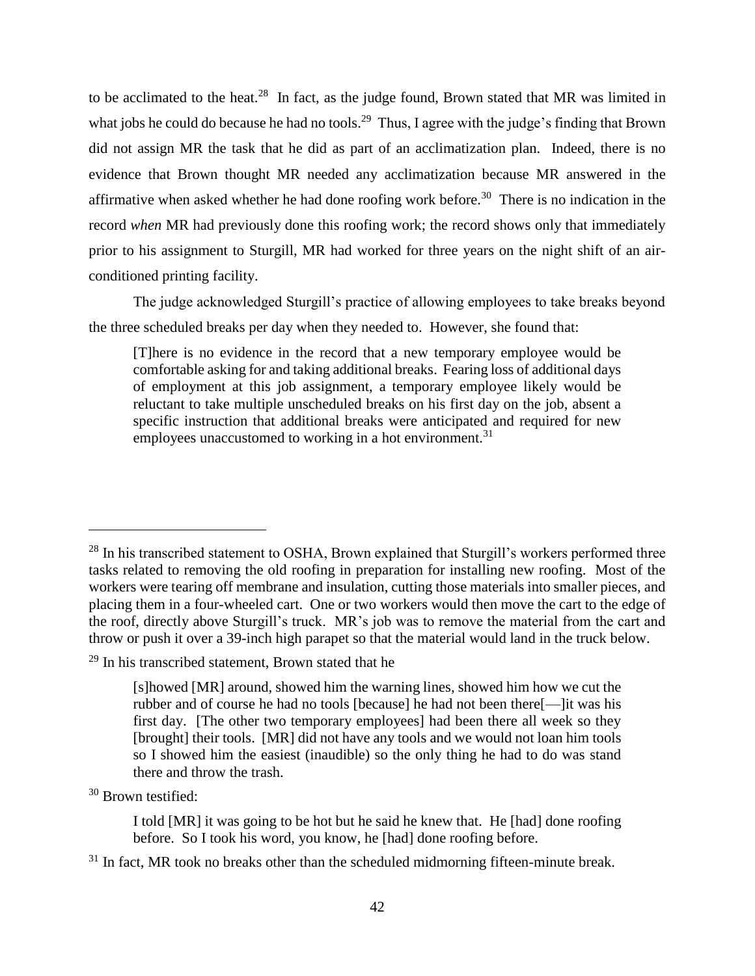to be acclimated to the heat.<sup>28</sup> In fact, as the judge found, Brown stated that MR was limited in what jobs he could do because he had no tools.<sup>29</sup> Thus, I agree with the judge's finding that Brown did not assign MR the task that he did as part of an acclimatization plan. Indeed, there is no evidence that Brown thought MR needed any acclimatization because MR answered in the affirmative when asked whether he had done roofing work before.<sup>30</sup> There is no indication in the record *when* MR had previously done this roofing work; the record shows only that immediately prior to his assignment to Sturgill, MR had worked for three years on the night shift of an airconditioned printing facility.

The judge acknowledged Sturgill's practice of allowing employees to take breaks beyond the three scheduled breaks per day when they needed to. However, she found that:

[T]here is no evidence in the record that a new temporary employee would be comfortable asking for and taking additional breaks. Fearing loss of additional days of employment at this job assignment, a temporary employee likely would be reluctant to take multiple unscheduled breaks on his first day on the job, absent a specific instruction that additional breaks were anticipated and required for new employees unaccustomed to working in a hot environment.<sup>31</sup>

<sup>30</sup> Brown testified:

<sup>&</sup>lt;sup>28</sup> In his transcribed statement to OSHA, Brown explained that Sturgill's workers performed three tasks related to removing the old roofing in preparation for installing new roofing. Most of the workers were tearing off membrane and insulation, cutting those materials into smaller pieces, and placing them in a four-wheeled cart. One or two workers would then move the cart to the edge of the roof, directly above Sturgill's truck. MR's job was to remove the material from the cart and throw or push it over a 39-inch high parapet so that the material would land in the truck below.

 $29$  In his transcribed statement, Brown stated that he

<sup>[</sup>s]howed [MR] around, showed him the warning lines, showed him how we cut the rubber and of course he had no tools [because] he had not been there[—]it was his first day. [The other two temporary employees] had been there all week so they [brought] their tools. [MR] did not have any tools and we would not loan him tools so I showed him the easiest (inaudible) so the only thing he had to do was stand there and throw the trash.

I told [MR] it was going to be hot but he said he knew that. He [had] done roofing before. So I took his word, you know, he [had] done roofing before.

 $31$  In fact, MR took no breaks other than the scheduled midmorning fifteen-minute break.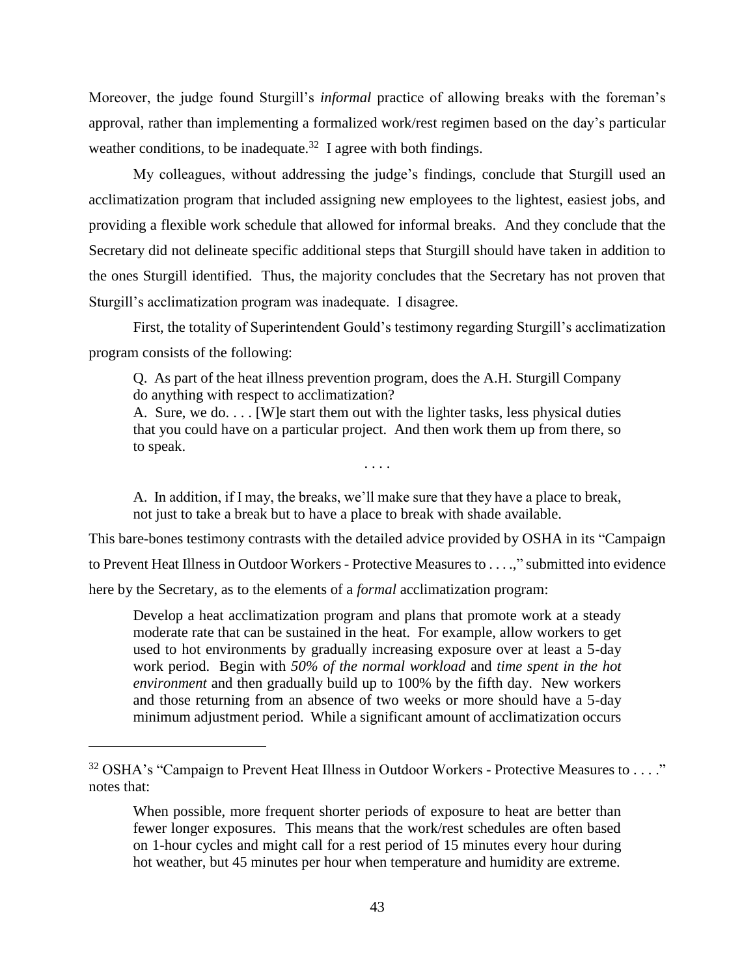Moreover, the judge found Sturgill's *informal* practice of allowing breaks with the foreman's approval, rather than implementing a formalized work/rest regimen based on the day's particular weather conditions, to be inadequate.<sup>32</sup> I agree with both findings.

My colleagues, without addressing the judge's findings, conclude that Sturgill used an acclimatization program that included assigning new employees to the lightest, easiest jobs, and providing a flexible work schedule that allowed for informal breaks. And they conclude that the Secretary did not delineate specific additional steps that Sturgill should have taken in addition to the ones Sturgill identified. Thus, the majority concludes that the Secretary has not proven that Sturgill's acclimatization program was inadequate. I disagree.

First, the totality of Superintendent Gould's testimony regarding Sturgill's acclimatization program consists of the following:

Q. As part of the heat illness prevention program, does the A.H. Sturgill Company do anything with respect to acclimatization?

A. Sure, we do. . . . [W]e start them out with the lighter tasks, less physical duties that you could have on a particular project. And then work them up from there, so to speak.

. . . .

A. In addition, if I may, the breaks, we'll make sure that they have a place to break, not just to take a break but to have a place to break with shade available.

This bare-bones testimony contrasts with the detailed advice provided by OSHA in its "Campaign to Prevent Heat Illness in Outdoor Workers - Protective Measures to . . . .," submitted into evidence here by the Secretary, as to the elements of a *formal* acclimatization program:

Develop a heat acclimatization program and plans that promote work at a steady moderate rate that can be sustained in the heat. For example, allow workers to get used to hot environments by gradually increasing exposure over at least a 5-day work period. Begin with *50% of the normal workload* and *time spent in the hot environment* and then gradually build up to 100% by the fifth day. New workers and those returning from an absence of two weeks or more should have a 5-day minimum adjustment period. While a significant amount of acclimatization occurs

<sup>&</sup>lt;sup>32</sup> OSHA's "Campaign to Prevent Heat Illness in Outdoor Workers - Protective Measures to . . . ." notes that:

When possible, more frequent shorter periods of exposure to heat are better than fewer longer exposures. This means that the work/rest schedules are often based on 1-hour cycles and might call for a rest period of 15 minutes every hour during hot weather, but 45 minutes per hour when temperature and humidity are extreme.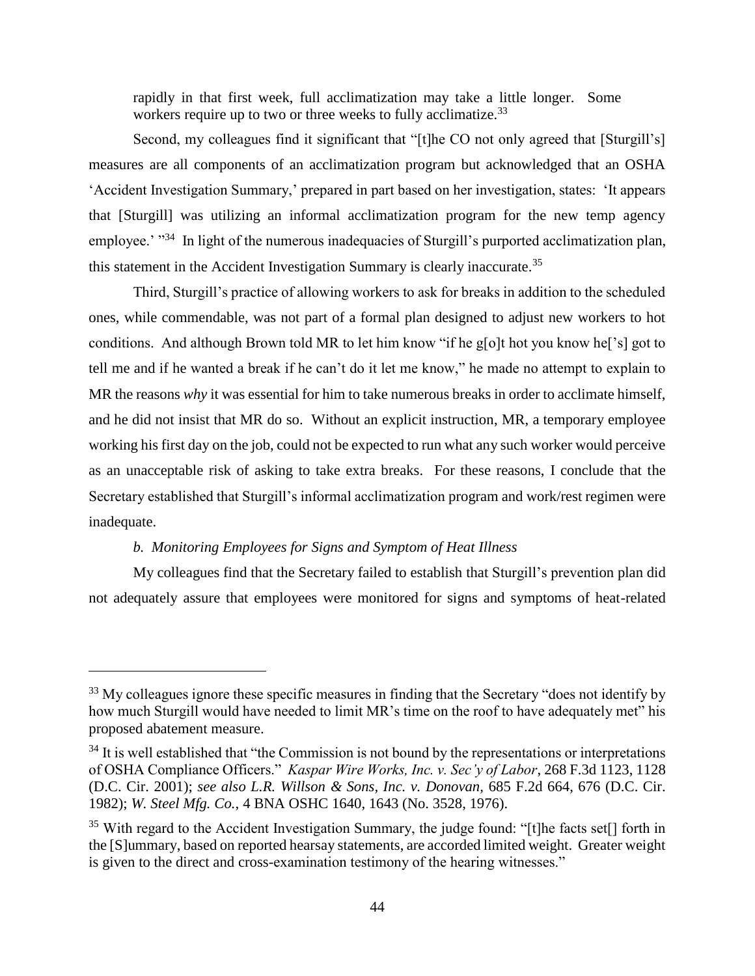rapidly in that first week, full acclimatization may take a little longer. Some workers require up to two or three weeks to fully acclimatize.<sup>33</sup>

Second, my colleagues find it significant that "[t]he CO not only agreed that [Sturgill's] measures are all components of an acclimatization program but acknowledged that an OSHA 'Accident Investigation Summary,' prepared in part based on her investigation, states: 'It appears that [Sturgill] was utilizing an informal acclimatization program for the new temp agency employee.' "<sup>34</sup> In light of the numerous inadequacies of Sturgill's purported acclimatization plan, this statement in the Accident Investigation Summary is clearly inaccurate.<sup>35</sup>

Third, Sturgill's practice of allowing workers to ask for breaks in addition to the scheduled ones, while commendable, was not part of a formal plan designed to adjust new workers to hot conditions. And although Brown told MR to let him know "if he g[o]t hot you know he['s] got to tell me and if he wanted a break if he can't do it let me know," he made no attempt to explain to MR the reasons *why* it was essential for him to take numerous breaks in order to acclimate himself, and he did not insist that MR do so. Without an explicit instruction, MR, a temporary employee working his first day on the job, could not be expected to run what any such worker would perceive as an unacceptable risk of asking to take extra breaks. For these reasons, I conclude that the Secretary established that Sturgill's informal acclimatization program and work/rest regimen were inadequate.

## *b. Monitoring Employees for Signs and Symptom of Heat Illness*

 $\overline{a}$ 

My colleagues find that the Secretary failed to establish that Sturgill's prevention plan did not adequately assure that employees were monitored for signs and symptoms of heat-related

<sup>&</sup>lt;sup>33</sup> My colleagues ignore these specific measures in finding that the Secretary "does not identify by how much Sturgill would have needed to limit MR's time on the roof to have adequately met" his proposed abatement measure.

 $34$  It is well established that "the Commission is not bound by the representations or interpretations of OSHA Compliance Officers." *Kaspar Wire Works, Inc. v. Sec'y of Labor*, 268 F.3d 1123, 1128 (D.C. Cir. 2001); *see also L.R. Willson & Sons, Inc. v. Donovan,* 685 F.2d 664, 676 (D.C. Cir. 1982); *W. Steel Mfg. Co.*, 4 BNA OSHC 1640, 1643 (No. 3528, 1976).

 $35$  With regard to the Accident Investigation Summary, the judge found: "[t]he facts set[] forth in the [S]ummary, based on reported hearsay statements, are accorded limited weight. Greater weight is given to the direct and cross-examination testimony of the hearing witnesses."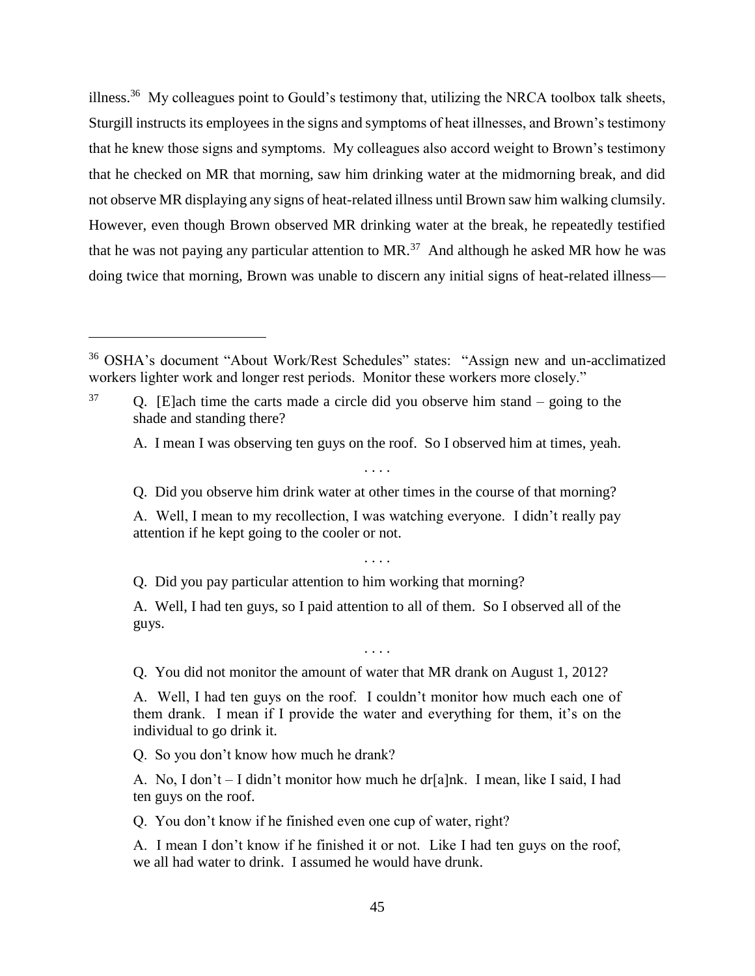illness.<sup>36</sup> My colleagues point to Gould's testimony that, utilizing the NRCA toolbox talk sheets, Sturgill instructs its employees in the signs and symptoms of heat illnesses, and Brown's testimony that he knew those signs and symptoms. My colleagues also accord weight to Brown's testimony that he checked on MR that morning, saw him drinking water at the midmorning break, and did not observe MR displaying any signs of heat-related illness until Brown saw him walking clumsily. However, even though Brown observed MR drinking water at the break, he repeatedly testified that he was not paying any particular attention to  $MR$ .<sup>37</sup> And although he asked MR how he was doing twice that morning, Brown was unable to discern any initial signs of heat-related illness—

A. I mean I was observing ten guys on the roof. So I observed him at times, yeah.

. . . . Q. Did you observe him drink water at other times in the course of that morning?

A. Well, I mean to my recollection, I was watching everyone. I didn't really pay attention if he kept going to the cooler or not.

. . . .

Q. Did you pay particular attention to him working that morning?

A. Well, I had ten guys, so I paid attention to all of them. So I observed all of the guys.

. . . .

Q. You did not monitor the amount of water that MR drank on August 1, 2012?

A. Well, I had ten guys on the roof. I couldn't monitor how much each one of them drank. I mean if I provide the water and everything for them, it's on the individual to go drink it.

Q. So you don't know how much he drank?

 $\overline{a}$ 

A. No, I don't – I didn't monitor how much he dr[a]nk. I mean, like I said, I had ten guys on the roof.

Q. You don't know if he finished even one cup of water, right?

A. I mean I don't know if he finished it or not. Like I had ten guys on the roof, we all had water to drink. I assumed he would have drunk.

<sup>36</sup> OSHA's document "About Work/Rest Schedules" states: "Assign new and un-acclimatized workers lighter work and longer rest periods. Monitor these workers more closely."

<sup>37</sup> Q. [E]ach time the carts made a circle did you observe him stand – going to the shade and standing there?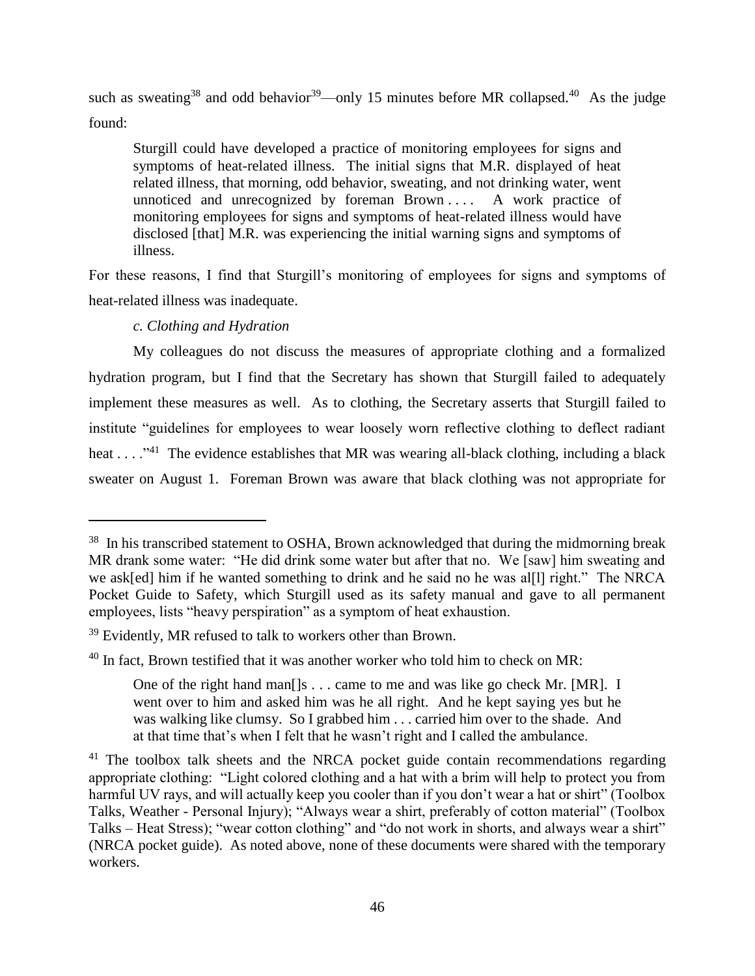such as sweating<sup>38</sup> and odd behavior<sup>39</sup>—only 15 minutes before MR collapsed.<sup>40</sup> As the judge found:

Sturgill could have developed a practice of monitoring employees for signs and symptoms of heat-related illness. The initial signs that M.R. displayed of heat related illness, that morning, odd behavior, sweating, and not drinking water, went unnoticed and unrecognized by foreman Brown .... A work practice of monitoring employees for signs and symptoms of heat-related illness would have disclosed [that] M.R. was experiencing the initial warning signs and symptoms of illness.

For these reasons, I find that Sturgill's monitoring of employees for signs and symptoms of heat-related illness was inadequate.

# *c. Clothing and Hydration*

 $\overline{a}$ 

My colleagues do not discuss the measures of appropriate clothing and a formalized hydration program, but I find that the Secretary has shown that Sturgill failed to adequately implement these measures as well. As to clothing, the Secretary asserts that Sturgill failed to institute "guidelines for employees to wear loosely worn reflective clothing to deflect radiant heat . . . . "<sup>41</sup> The evidence establishes that MR was wearing all-black clothing, including a black sweater on August 1. Foreman Brown was aware that black clothing was not appropriate for

<sup>&</sup>lt;sup>38</sup> In his transcribed statement to OSHA, Brown acknowledged that during the midmorning break MR drank some water: "He did drink some water but after that no. We [saw] him sweating and we ask[ed] him if he wanted something to drink and he said no he was al[l] right." The NRCA Pocket Guide to Safety, which Sturgill used as its safety manual and gave to all permanent employees, lists "heavy perspiration" as a symptom of heat exhaustion.

<sup>&</sup>lt;sup>39</sup> Evidently, MR refused to talk to workers other than Brown.

 $40$  In fact, Brown testified that it was another worker who told him to check on MR:

One of the right hand man[]s . . . came to me and was like go check Mr. [MR]. I went over to him and asked him was he all right. And he kept saying yes but he was walking like clumsy. So I grabbed him . . . carried him over to the shade. And at that time that's when I felt that he wasn't right and I called the ambulance.

 $41$  The toolbox talk sheets and the NRCA pocket guide contain recommendations regarding appropriate clothing: "Light colored clothing and a hat with a brim will help to protect you from harmful UV rays, and will actually keep you cooler than if you don't wear a hat or shirt" (Toolbox Talks, Weather - Personal Injury); "Always wear a shirt, preferably of cotton material" (Toolbox Talks – Heat Stress); "wear cotton clothing" and "do not work in shorts, and always wear a shirt" (NRCA pocket guide). As noted above, none of these documents were shared with the temporary workers.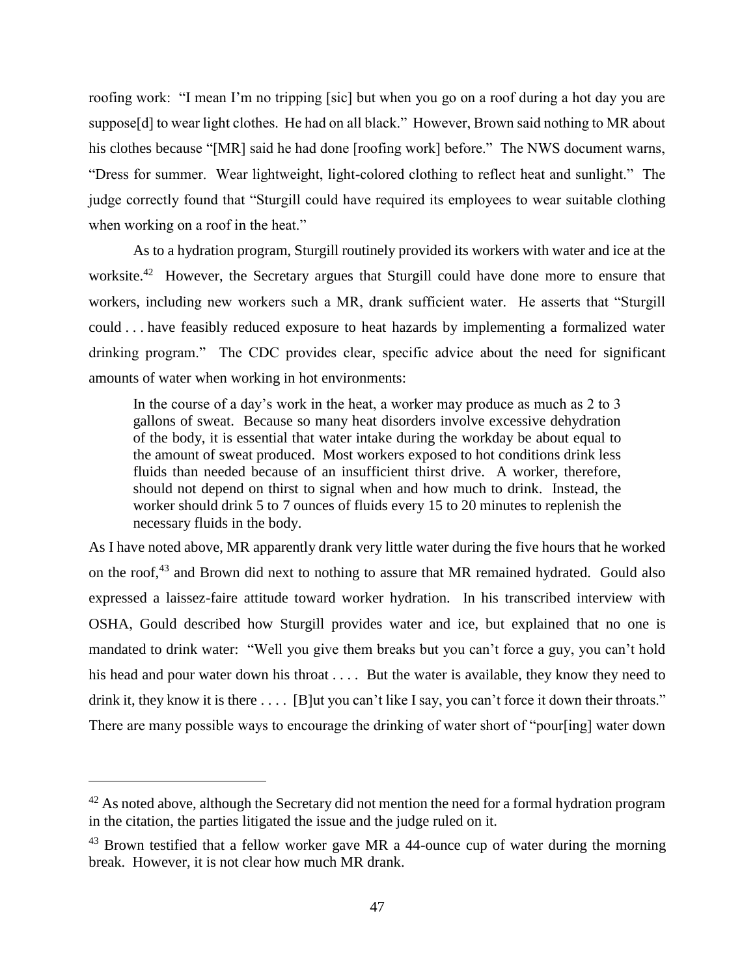roofing work: "I mean I'm no tripping [sic] but when you go on a roof during a hot day you are suppose[d] to wear light clothes. He had on all black." However, Brown said nothing to MR about his clothes because "[MR] said he had done [roofing work] before." The NWS document warns, "Dress for summer. Wear lightweight, light-colored clothing to reflect heat and sunlight." The judge correctly found that "Sturgill could have required its employees to wear suitable clothing when working on a roof in the heat."

As to a hydration program, Sturgill routinely provided its workers with water and ice at the worksite.<sup>42</sup> However, the Secretary argues that Sturgill could have done more to ensure that workers, including new workers such a MR, drank sufficient water. He asserts that "Sturgill could . . . have feasibly reduced exposure to heat hazards by implementing a formalized water drinking program." The CDC provides clear, specific advice about the need for significant amounts of water when working in hot environments:

In the course of a day's work in the heat, a worker may produce as much as 2 to 3 gallons of sweat. Because so many heat disorders involve excessive dehydration of the body, it is essential that water intake during the workday be about equal to the amount of sweat produced. Most workers exposed to hot conditions drink less fluids than needed because of an insufficient thirst drive. A worker, therefore, should not depend on thirst to signal when and how much to drink. Instead, the worker should drink 5 to 7 ounces of fluids every 15 to 20 minutes to replenish the necessary fluids in the body.

As I have noted above, MR apparently drank very little water during the five hours that he worked on the roof,<sup>43</sup> and Brown did next to nothing to assure that MR remained hydrated. Gould also expressed a laissez-faire attitude toward worker hydration. In his transcribed interview with OSHA, Gould described how Sturgill provides water and ice, but explained that no one is mandated to drink water: "Well you give them breaks but you can't force a guy, you can't hold his head and pour water down his throat . . . . But the water is available, they know they need to drink it, they know it is there .... [B]ut you can't like I say, you can't force it down their throats." There are many possible ways to encourage the drinking of water short of "pour[ing] water down

 $42$  As noted above, although the Secretary did not mention the need for a formal hydration program in the citation, the parties litigated the issue and the judge ruled on it.

 $43$  Brown testified that a fellow worker gave MR a 44-ounce cup of water during the morning break. However, it is not clear how much MR drank.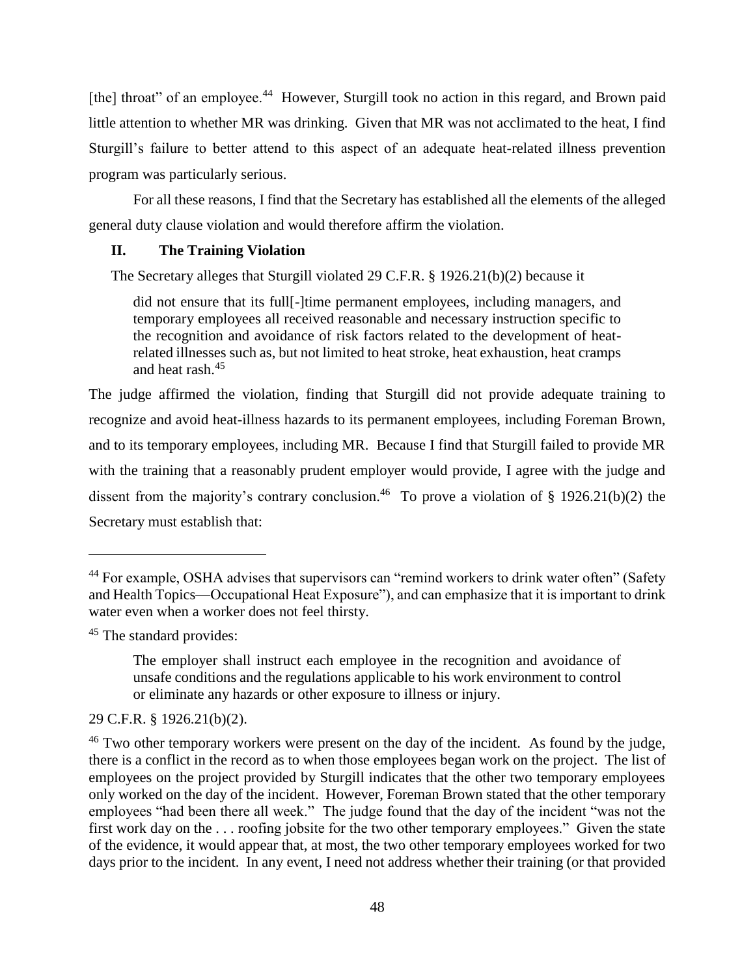[the] throat" of an employee.<sup>44</sup> However, Sturgill took no action in this regard, and Brown paid little attention to whether MR was drinking. Given that MR was not acclimated to the heat, I find Sturgill's failure to better attend to this aspect of an adequate heat-related illness prevention program was particularly serious.

For all these reasons, I find that the Secretary has established all the elements of the alleged general duty clause violation and would therefore affirm the violation.

# **II. The Training Violation**

The Secretary alleges that Sturgill violated 29 C.F.R. § 1926.21(b)(2) because it

did not ensure that its full[-]time permanent employees, including managers, and temporary employees all received reasonable and necessary instruction specific to the recognition and avoidance of risk factors related to the development of heatrelated illnesses such as, but not limited to heat stroke, heat exhaustion, heat cramps and heat rash.<sup>45</sup>

The judge affirmed the violation, finding that Sturgill did not provide adequate training to recognize and avoid heat-illness hazards to its permanent employees, including Foreman Brown, and to its temporary employees, including MR. Because I find that Sturgill failed to provide MR with the training that a reasonably prudent employer would provide, I agree with the judge and dissent from the majority's contrary conclusion.<sup>46</sup> To prove a violation of § 1926.21(b)(2) the Secretary must establish that:

 $\overline{a}$ 

29 C.F.R. § 1926.21(b)(2).

<sup>&</sup>lt;sup>44</sup> For example, OSHA advises that supervisors can "remind workers to drink water often" (Safety and Health Topics—Occupational Heat Exposure"), and can emphasize that it is important to drink water even when a worker does not feel thirsty.

<sup>&</sup>lt;sup>45</sup> The standard provides:

The employer shall instruct each employee in the recognition and avoidance of unsafe conditions and the regulations applicable to his work environment to control or eliminate any hazards or other exposure to illness or injury.

<sup>&</sup>lt;sup>46</sup> Two other temporary workers were present on the day of the incident. As found by the judge, there is a conflict in the record as to when those employees began work on the project. The list of employees on the project provided by Sturgill indicates that the other two temporary employees only worked on the day of the incident. However, Foreman Brown stated that the other temporary employees "had been there all week." The judge found that the day of the incident "was not the first work day on the . . . roofing jobsite for the two other temporary employees." Given the state of the evidence, it would appear that, at most, the two other temporary employees worked for two days prior to the incident. In any event, I need not address whether their training (or that provided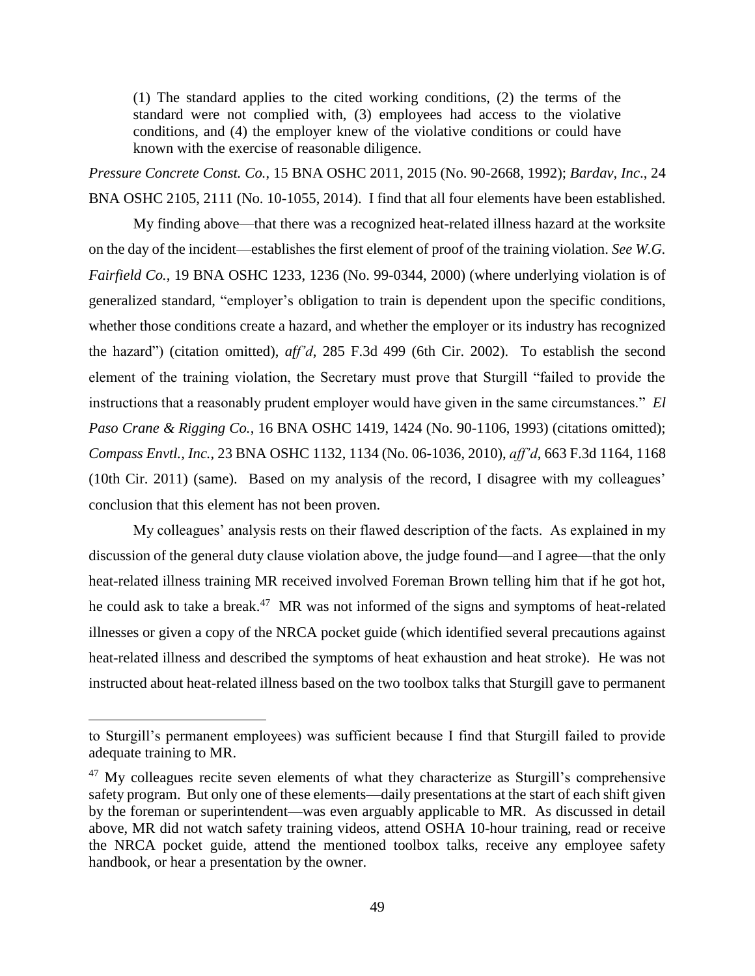(1) The standard applies to the cited working conditions, (2) the terms of the standard were not complied with, (3) employees had access to the violative conditions, and (4) the employer knew of the violative conditions or could have known with the exercise of reasonable diligence.

*Pressure Concrete Const. Co.*, 15 BNA OSHC 2011, 2015 (No. 90-2668, 1992); *Bardav, Inc*., 24 BNA OSHC 2105, 2111 (No. 10-1055, 2014). I find that all four elements have been established.

My finding above—that there was a recognized heat-related illness hazard at the worksite on the day of the incident—establishes the first element of proof of the training violation. *See W.G. Fairfield Co.*, 19 BNA OSHC 1233, 1236 (No. 99-0344, 2000) (where underlying violation is of generalized standard, "employer's obligation to train is dependent upon the specific conditions, whether those conditions create a hazard, and whether the employer or its industry has recognized the hazard") (citation omitted), *aff'd*, 285 F.3d 499 (6th Cir. 2002). To establish the second element of the training violation, the Secretary must prove that Sturgill "failed to provide the instructions that a reasonably prudent employer would have given in the same circumstances." *El Paso Crane & Rigging Co.*, 16 BNA OSHC 1419, 1424 (No. 90-1106, 1993) (citations omitted); *Compass Envtl., Inc.*, 23 BNA OSHC 1132, 1134 (No. 06-1036, 2010), *aff'd*, 663 F.3d 1164, 1168 (10th Cir. 2011) (same). Based on my analysis of the record, I disagree with my colleagues' conclusion that this element has not been proven.

My colleagues' analysis rests on their flawed description of the facts. As explained in my discussion of the general duty clause violation above, the judge found—and I agree—that the only heat-related illness training MR received involved Foreman Brown telling him that if he got hot, he could ask to take a break.<sup>47</sup> MR was not informed of the signs and symptoms of heat-related illnesses or given a copy of the NRCA pocket guide (which identified several precautions against heat-related illness and described the symptoms of heat exhaustion and heat stroke). He was not instructed about heat-related illness based on the two toolbox talks that Sturgill gave to permanent

to Sturgill's permanent employees) was sufficient because I find that Sturgill failed to provide adequate training to MR.

 $47$  My colleagues recite seven elements of what they characterize as Sturgill's comprehensive safety program. But only one of these elements—daily presentations at the start of each shift given by the foreman or superintendent—was even arguably applicable to MR. As discussed in detail above, MR did not watch safety training videos, attend OSHA 10-hour training, read or receive the NRCA pocket guide, attend the mentioned toolbox talks, receive any employee safety handbook, or hear a presentation by the owner.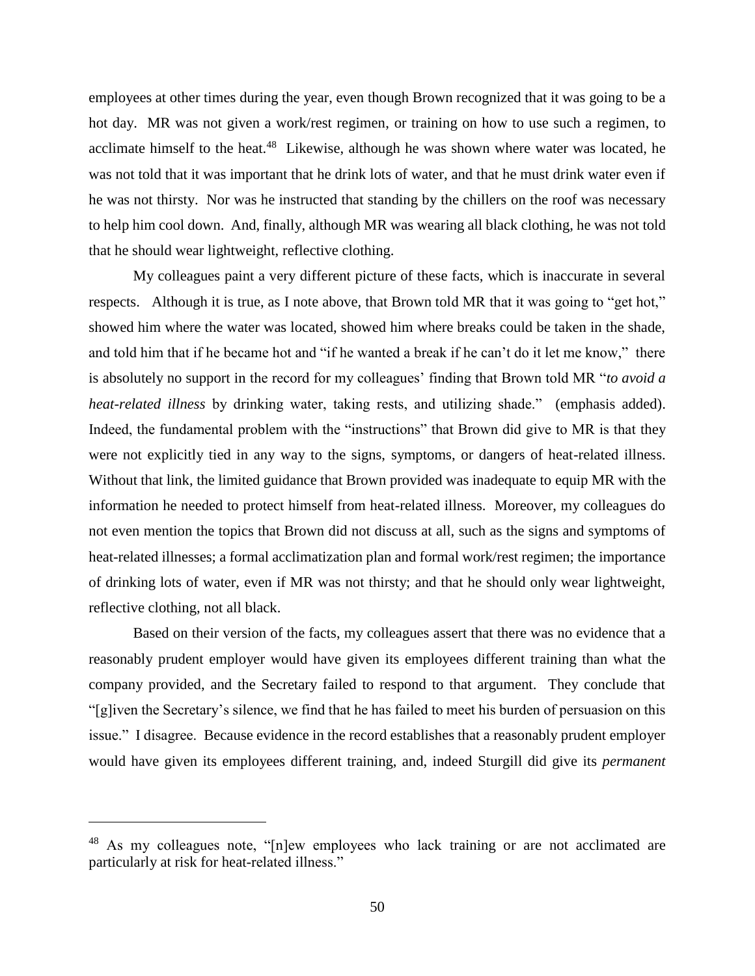employees at other times during the year, even though Brown recognized that it was going to be a hot day. MR was not given a work/rest regimen, or training on how to use such a regimen, to acclimate himself to the heat.<sup>48</sup> Likewise, although he was shown where water was located, he was not told that it was important that he drink lots of water, and that he must drink water even if he was not thirsty. Nor was he instructed that standing by the chillers on the roof was necessary to help him cool down. And, finally, although MR was wearing all black clothing, he was not told that he should wear lightweight, reflective clothing.

My colleagues paint a very different picture of these facts, which is inaccurate in several respects. Although it is true, as I note above, that Brown told MR that it was going to "get hot," showed him where the water was located, showed him where breaks could be taken in the shade, and told him that if he became hot and "if he wanted a break if he can't do it let me know," there is absolutely no support in the record for my colleagues' finding that Brown told MR "*to avoid a heat-related illness* by drinking water, taking rests, and utilizing shade." (emphasis added). Indeed, the fundamental problem with the "instructions" that Brown did give to MR is that they were not explicitly tied in any way to the signs, symptoms, or dangers of heat-related illness. Without that link, the limited guidance that Brown provided was inadequate to equip MR with the information he needed to protect himself from heat-related illness. Moreover, my colleagues do not even mention the topics that Brown did not discuss at all, such as the signs and symptoms of heat-related illnesses; a formal acclimatization plan and formal work/rest regimen; the importance of drinking lots of water, even if MR was not thirsty; and that he should only wear lightweight, reflective clothing, not all black.

Based on their version of the facts, my colleagues assert that there was no evidence that a reasonably prudent employer would have given its employees different training than what the company provided, and the Secretary failed to respond to that argument. They conclude that "[g]iven the Secretary's silence, we find that he has failed to meet his burden of persuasion on this issue." I disagree. Because evidence in the record establishes that a reasonably prudent employer would have given its employees different training, and, indeed Sturgill did give its *permanent* 

<sup>&</sup>lt;sup>48</sup> As my colleagues note, "[n]ew employees who lack training or are not acclimated are particularly at risk for heat-related illness."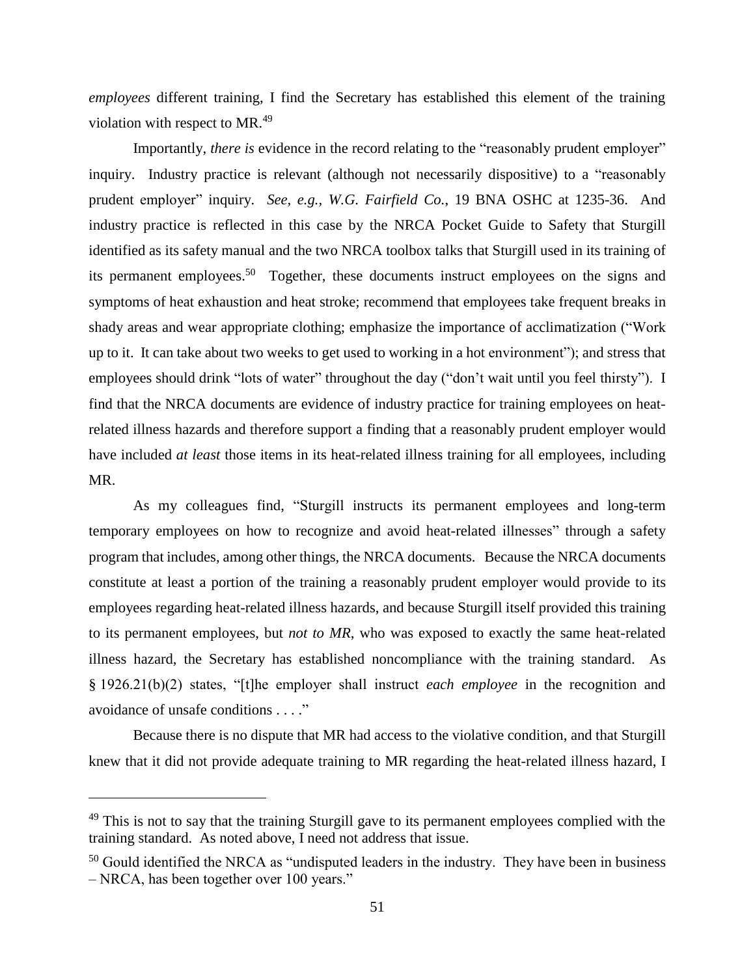*employees* different training, I find the Secretary has established this element of the training violation with respect to MR.<sup>49</sup>

Importantly, *there is* evidence in the record relating to the "reasonably prudent employer" inquiry. Industry practice is relevant (although not necessarily dispositive) to a "reasonably prudent employer" inquiry. *See, e.g., W.G. Fairfield Co.*, 19 BNA OSHC at 1235-36. And industry practice is reflected in this case by the NRCA Pocket Guide to Safety that Sturgill identified as its safety manual and the two NRCA toolbox talks that Sturgill used in its training of its permanent employees.<sup>50</sup> Together, these documents instruct employees on the signs and symptoms of heat exhaustion and heat stroke; recommend that employees take frequent breaks in shady areas and wear appropriate clothing; emphasize the importance of acclimatization ("Work up to it. It can take about two weeks to get used to working in a hot environment"); and stress that employees should drink "lots of water" throughout the day ("don't wait until you feel thirsty"). I find that the NRCA documents are evidence of industry practice for training employees on heatrelated illness hazards and therefore support a finding that a reasonably prudent employer would have included *at least* those items in its heat-related illness training for all employees, including MR.

As my colleagues find, "Sturgill instructs its permanent employees and long-term temporary employees on how to recognize and avoid heat-related illnesses" through a safety program that includes, among other things, the NRCA documents. Because the NRCA documents constitute at least a portion of the training a reasonably prudent employer would provide to its employees regarding heat-related illness hazards, and because Sturgill itself provided this training to its permanent employees, but *not to MR*, who was exposed to exactly the same heat-related illness hazard, the Secretary has established noncompliance with the training standard. As § 1926.21(b)(2) states, "[t]he employer shall instruct *each employee* in the recognition and avoidance of unsafe conditions . . . ."

Because there is no dispute that MR had access to the violative condition, and that Sturgill knew that it did not provide adequate training to MR regarding the heat-related illness hazard, I

 $49$  This is not to say that the training Sturgill gave to its permanent employees complied with the training standard. As noted above, I need not address that issue.

<sup>&</sup>lt;sup>50</sup> Gould identified the NRCA as "undisputed leaders in the industry. They have been in business – NRCA, has been together over 100 years."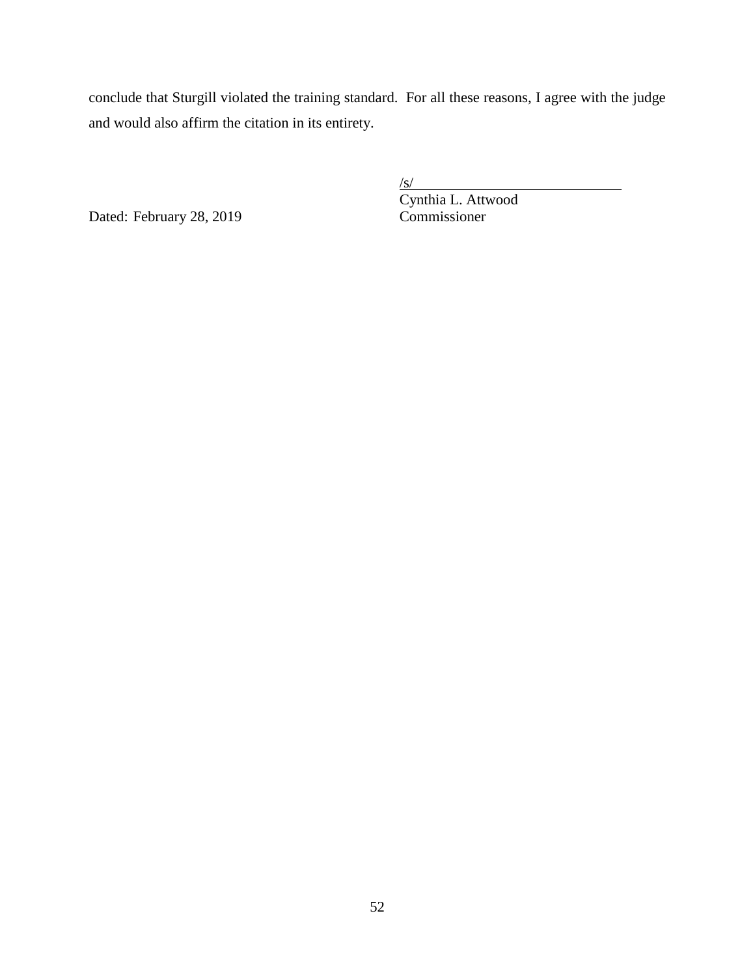conclude that Sturgill violated the training standard. For all these reasons, I agree with the judge and would also affirm the citation in its entirety.

Dated: February 28, 2019 Commissioner

 $\sqrt{s/}$ Cynthia L. Attwood

52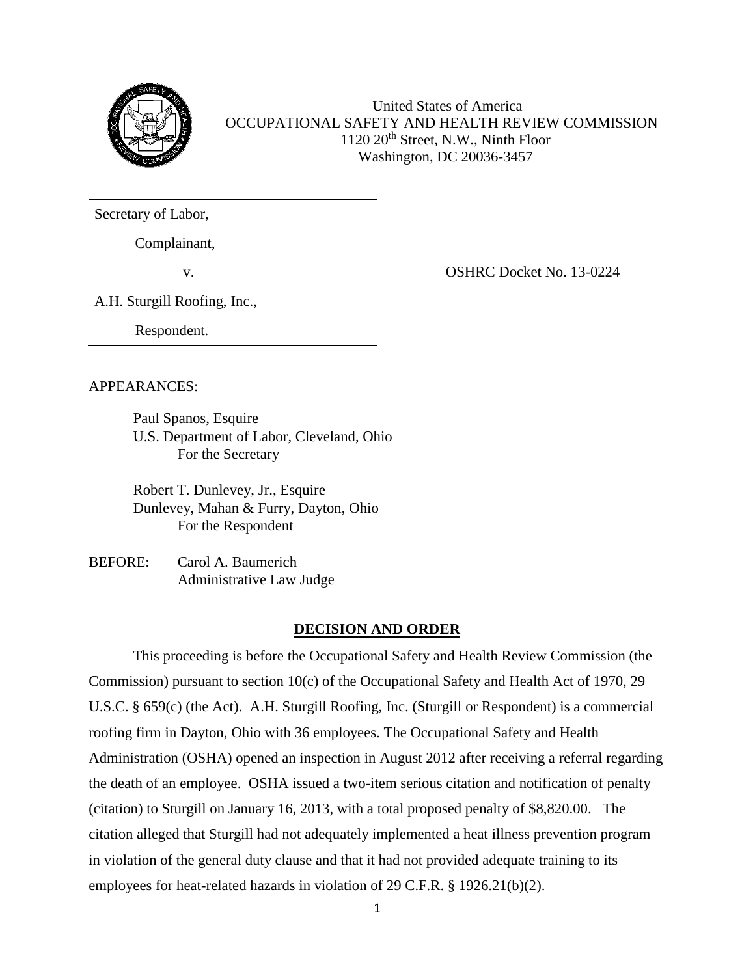

United States of America OCCUPATIONAL SAFETY AND HEALTH REVIEW COMMISSION 1120 20<sup>th</sup> Street, N.W., Ninth Floor Washington, DC 20036-3457

Secretary of Labor,

Complainant,

v.

A.H. Sturgill Roofing, Inc.,

Respondent.

APPEARANCES:

Paul Spanos, Esquire U.S. Department of Labor, Cleveland, Ohio For the Secretary

Robert T. Dunlevey, Jr., Esquire Dunlevey, Mahan & Furry, Dayton, Ohio For the Respondent

BEFORE: Carol A. Baumerich Administrative Law Judge

## **DECISION AND ORDER**

This proceeding is before the Occupational Safety and Health Review Commission (the Commission) pursuant to section 10(c) of the Occupational Safety and Health Act of 1970, 29 U.S.C. § 659(c) (the Act). A.H. Sturgill Roofing, Inc. (Sturgill or Respondent) is a commercial roofing firm in Dayton, Ohio with 36 employees. The Occupational Safety and Health Administration (OSHA) opened an inspection in August 2012 after receiving a referral regarding the death of an employee. OSHA issued a two-item serious citation and notification of penalty (citation) to Sturgill on January 16, 2013, with a total proposed penalty of \$8,820.00. The citation alleged that Sturgill had not adequately implemented a heat illness prevention program in violation of the general duty clause and that it had not provided adequate training to its employees for heat-related hazards in violation of 29 C.F.R. § 1926.21(b)(2).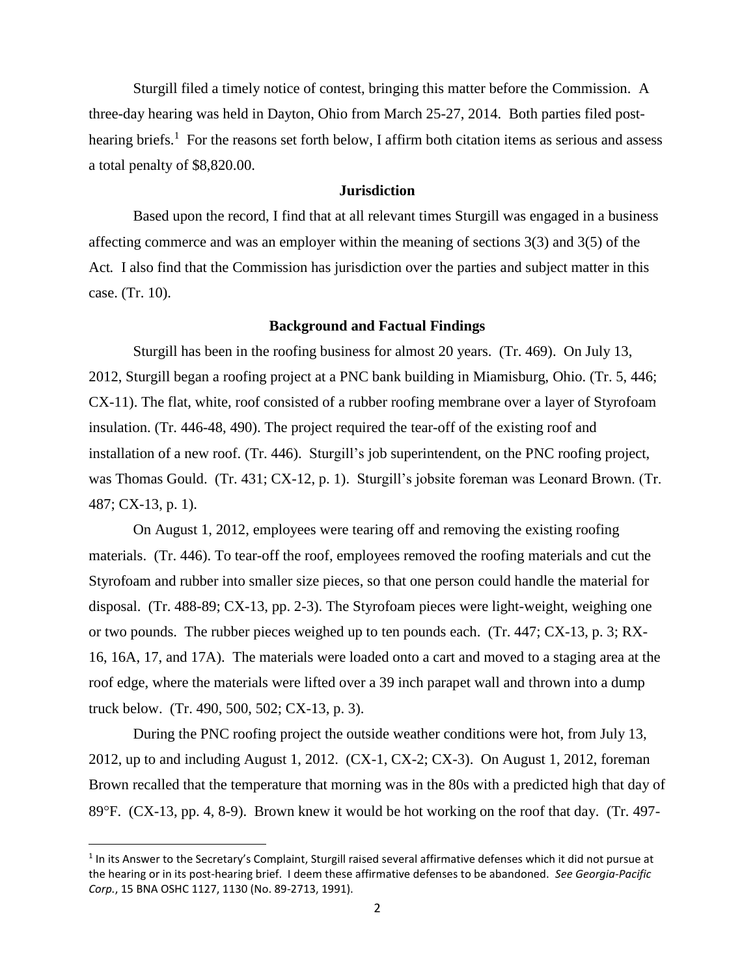Sturgill filed a timely notice of contest, bringing this matter before the Commission. A three-day hearing was held in Dayton, Ohio from March 25-27, 2014. Both parties filed posthearing briefs.<sup>1</sup> For the reasons set forth below, I affirm both citation items as serious and assess a total penalty of \$8,820.00.

## **Jurisdiction**

Based upon the record, I find that at all relevant times Sturgill was engaged in a business affecting commerce and was an employer within the meaning of sections 3(3) and 3(5) of the Act*.* I also find that the Commission has jurisdiction over the parties and subject matter in this case. (Tr. 10).

#### **Background and Factual Findings**

Sturgill has been in the roofing business for almost 20 years. (Tr. 469). On July 13, 2012, Sturgill began a roofing project at a PNC bank building in Miamisburg, Ohio. (Tr. 5, 446; CX-11). The flat, white, roof consisted of a rubber roofing membrane over a layer of Styrofoam insulation. (Tr. 446-48, 490). The project required the tear-off of the existing roof and installation of a new roof. (Tr. 446). Sturgill's job superintendent, on the PNC roofing project, was Thomas Gould. (Tr. 431; CX-12, p. 1). Sturgill's jobsite foreman was Leonard Brown. (Tr. 487; CX-13, p. 1).

On August 1, 2012, employees were tearing off and removing the existing roofing materials. (Tr. 446). To tear-off the roof, employees removed the roofing materials and cut the Styrofoam and rubber into smaller size pieces, so that one person could handle the material for disposal. (Tr. 488-89; CX-13, pp. 2-3). The Styrofoam pieces were light-weight, weighing one or two pounds. The rubber pieces weighed up to ten pounds each. (Tr. 447; CX-13, p. 3; RX-16, 16A, 17, and 17A). The materials were loaded onto a cart and moved to a staging area at the roof edge, where the materials were lifted over a 39 inch parapet wall and thrown into a dump truck below. (Tr. 490, 500, 502; CX-13, p. 3).

During the PNC roofing project the outside weather conditions were hot, from July 13, 2012, up to and including August 1, 2012. (CX-1, CX-2; CX-3). On August 1, 2012, foreman Brown recalled that the temperature that morning was in the 80s with a predicted high that day of 89F. (CX-13, pp. 4, 8-9). Brown knew it would be hot working on the roof that day. (Tr. 497-

 $1$ In its Answer to the Secretary's Complaint, Sturgill raised several affirmative defenses which it did not pursue at the hearing or in its post-hearing brief. I deem these affirmative defenses to be abandoned. *[See Georgia-Pacific](http://web2.westlaw.com/find/default.wl?mt=FederalGovernment&db=0003227&rs=WLW13.04&tc=-1&rp=%2ffind%2fdefault.wl&findtype=Y&ordoc=2009427901&serialnum=1991434471&vr=2.0&fn=_top&sv=Split&tf=-1&referencepositiontype=S&pbc=0CD84A80&referenceposition=1130&utid=1)  Corp.*[, 15 BNA OSHC 1127, 1130 \(No. 89-2713, 1991\).](http://web2.westlaw.com/find/default.wl?mt=FederalGovernment&db=0003227&rs=WLW13.04&tc=-1&rp=%2ffind%2fdefault.wl&findtype=Y&ordoc=2009427901&serialnum=1991434471&vr=2.0&fn=_top&sv=Split&tf=-1&referencepositiontype=S&pbc=0CD84A80&referenceposition=1130&utid=1)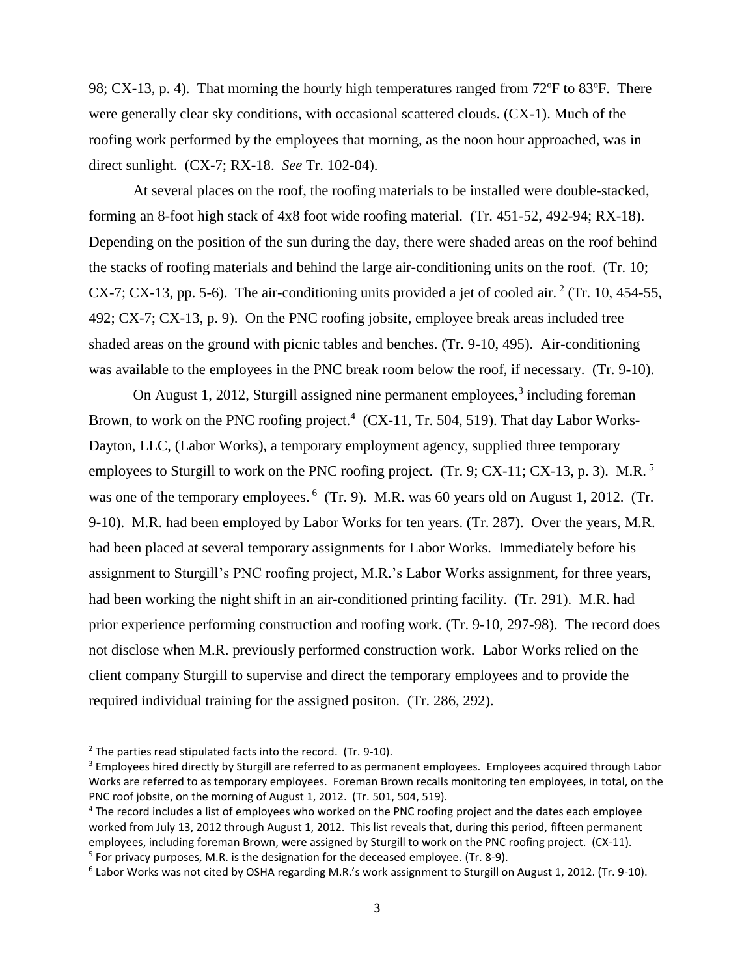98; CX-13, p. 4). That morning the hourly high temperatures ranged from 72ºF to 83ºF. There were generally clear sky conditions, with occasional scattered clouds. (CX-1). Much of the roofing work performed by the employees that morning, as the noon hour approached, was in direct sunlight. (CX-7; RX-18. *See* Tr. 102-04).

At several places on the roof, the roofing materials to be installed were double-stacked, forming an 8-foot high stack of 4x8 foot wide roofing material. (Tr. 451-52, 492-94; RX-18). Depending on the position of the sun during the day, there were shaded areas on the roof behind the stacks of roofing materials and behind the large air-conditioning units on the roof. (Tr. 10; CX-7; CX-13, pp. 5-6). The air-conditioning units provided a jet of cooled air.<sup>2</sup> (Tr. 10, 454-55, 492; CX-7; CX-13, p. 9). On the PNC roofing jobsite, employee break areas included tree shaded areas on the ground with picnic tables and benches. (Tr. 9-10, 495). Air-conditioning was available to the employees in the PNC break room below the roof, if necessary. (Tr. 9-10).

On August 1, 2012, Sturgill assigned nine permanent employees, $3$  including foreman Brown, to work on the PNC roofing project.<sup>4</sup> (CX-11, Tr. 504, 519). That day Labor Works-Dayton, LLC, (Labor Works), a temporary employment agency, supplied three temporary employees to Sturgill to work on the PNC roofing project. (Tr. 9; CX-11; CX-13, p. 3). M.R.<sup>5</sup> was one of the temporary employees. <sup>6</sup> (Tr. 9). M.R. was 60 years old on August 1, 2012. (Tr. 9-10). M.R. had been employed by Labor Works for ten years. (Tr. 287). Over the years, M.R. had been placed at several temporary assignments for Labor Works. Immediately before his assignment to Sturgill's PNC roofing project, M.R.'s Labor Works assignment, for three years, had been working the night shift in an air-conditioned printing facility. (Tr. 291). M.R. had prior experience performing construction and roofing work. (Tr. 9-10, 297-98). The record does not disclose when M.R. previously performed construction work. Labor Works relied on the client company Sturgill to supervise and direct the temporary employees and to provide the required individual training for the assigned positon. (Tr. 286, 292).

<sup>&</sup>lt;sup>2</sup> The parties read stipulated facts into the record. (Tr. 9-10).

<sup>&</sup>lt;sup>3</sup> Employees hired directly by Sturgill are referred to as permanent employees. Employees acquired through Labor Works are referred to as temporary employees. Foreman Brown recalls monitoring ten employees, in total, on the PNC roof jobsite, on the morning of August 1, 2012. (Tr. 501, 504, 519).

<sup>4</sup> The record includes a list of employees who worked on the PNC roofing project and the dates each employee worked from July 13, 2012 through August 1, 2012. This list reveals that, during this period, fifteen permanent employees, including foreman Brown, were assigned by Sturgill to work on the PNC roofing project. (CX-11). <sup>5</sup> For privacy purposes, M.R. is the designation for the deceased employee. (Tr. 8-9).

<sup>6</sup> Labor Works was not cited by OSHA regarding M.R.'s work assignment to Sturgill on August 1, 2012. (Tr. 9-10).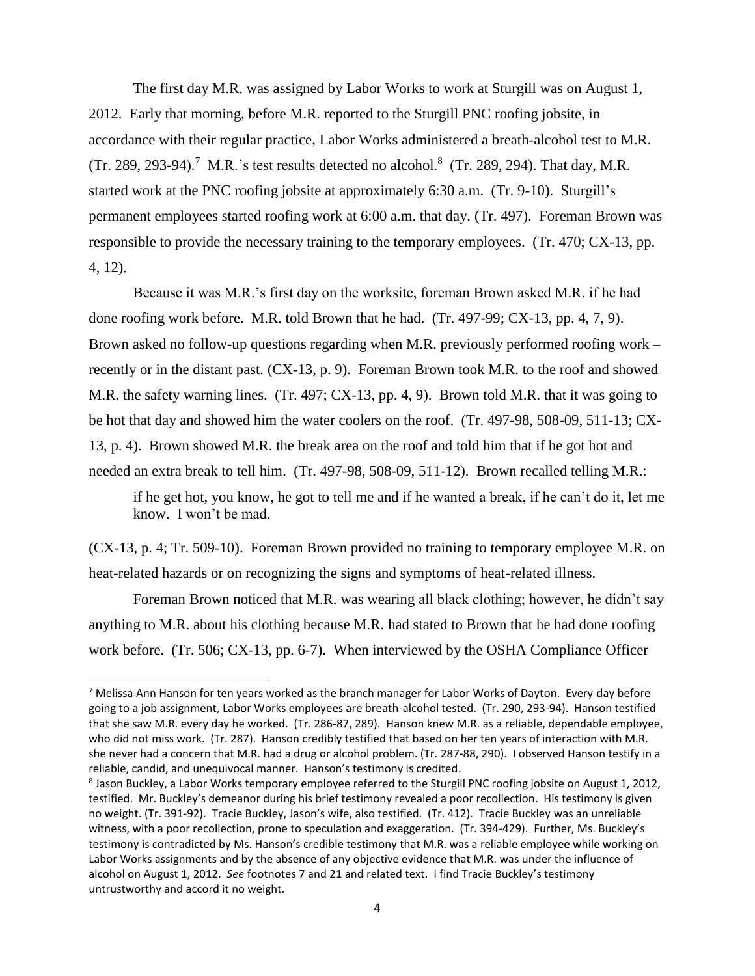The first day M.R. was assigned by Labor Works to work at Sturgill was on August 1, 2012. Early that morning, before M.R. reported to the Sturgill PNC roofing jobsite, in accordance with their regular practice, Labor Works administered a breath-alcohol test to M.R. (Tr. 289, 293-94).<sup>7</sup> M.R.'s test results detected no alcohol.<sup>8</sup> (Tr. 289, 294). That day, M.R. started work at the PNC roofing jobsite at approximately 6:30 a.m. (Tr. 9-10). Sturgill's permanent employees started roofing work at 6:00 a.m. that day. (Tr. 497). Foreman Brown was responsible to provide the necessary training to the temporary employees. (Tr. 470; CX-13, pp. 4, 12).

Because it was M.R.'s first day on the worksite, foreman Brown asked M.R. if he had done roofing work before. M.R. told Brown that he had. (Tr. 497-99; CX-13, pp. 4, 7, 9). Brown asked no follow-up questions regarding when M.R. previously performed roofing work – recently or in the distant past. (CX-13, p. 9). Foreman Brown took M.R. to the roof and showed M.R. the safety warning lines. (Tr. 497; CX-13, pp. 4, 9). Brown told M.R. that it was going to be hot that day and showed him the water coolers on the roof. (Tr. 497-98, 508-09, 511-13; CX-13, p. 4). Brown showed M.R. the break area on the roof and told him that if he got hot and needed an extra break to tell him. (Tr. 497-98, 508-09, 511-12). Brown recalled telling M.R.:

if he get hot, you know, he got to tell me and if he wanted a break, if he can't do it, let me know. I won't be mad.

(CX-13, p. 4; Tr. 509-10). Foreman Brown provided no training to temporary employee M.R. on heat-related hazards or on recognizing the signs and symptoms of heat-related illness.

Foreman Brown noticed that M.R. was wearing all black clothing; however, he didn't say anything to M.R. about his clothing because M.R. had stated to Brown that he had done roofing work before. (Tr. 506; CX-13, pp. 6-7). When interviewed by the OSHA Compliance Officer

 $7$  Melissa Ann Hanson for ten years worked as the branch manager for Labor Works of Dayton. Every day before going to a job assignment, Labor Works employees are breath-alcohol tested. (Tr. 290, 293-94). Hanson testified that she saw M.R. every day he worked. (Tr. 286-87, 289). Hanson knew M.R. as a reliable, dependable employee, who did not miss work. (Tr. 287). Hanson credibly testified that based on her ten years of interaction with M.R. she never had a concern that M.R. had a drug or alcohol problem. (Tr. 287-88, 290). I observed Hanson testify in a reliable, candid, and unequivocal manner. Hanson's testimony is credited.

<sup>&</sup>lt;sup>8</sup> Jason Buckley, a Labor Works temporary employee referred to the Sturgill PNC roofing jobsite on August 1, 2012, testified. Mr. Buckley's demeanor during his brief testimony revealed a poor recollection. His testimony is given no weight. (Tr. 391-92). Tracie Buckley, Jason's wife, also testified. (Tr. 412). Tracie Buckley was an unreliable witness, with a poor recollection, prone to speculation and exaggeration. (Tr. 394-429). Further, Ms. Buckley's testimony is contradicted by Ms. Hanson's credible testimony that M.R. was a reliable employee while working on Labor Works assignments and by the absence of any objective evidence that M.R. was under the influence of alcohol on August 1, 2012. *See* footnotes 7 and 21 and related text. I find Tracie Buckley's testimony untrustworthy and accord it no weight.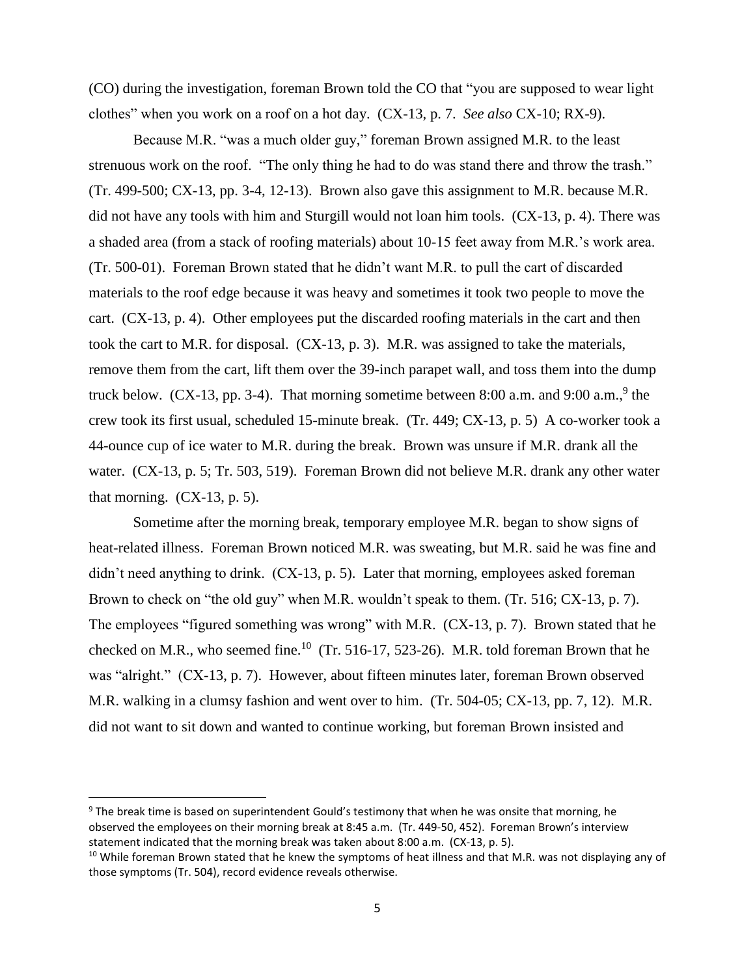(CO) during the investigation, foreman Brown told the CO that "you are supposed to wear light clothes" when you work on a roof on a hot day. (CX-13, p. 7. *See also* CX-10; RX-9).

Because M.R. "was a much older guy," foreman Brown assigned M.R. to the least strenuous work on the roof. "The only thing he had to do was stand there and throw the trash." (Tr. 499-500; CX-13, pp. 3-4, 12-13). Brown also gave this assignment to M.R. because M.R. did not have any tools with him and Sturgill would not loan him tools. (CX-13, p. 4). There was a shaded area (from a stack of roofing materials) about 10-15 feet away from M.R.'s work area. (Tr. 500-01). Foreman Brown stated that he didn't want M.R. to pull the cart of discarded materials to the roof edge because it was heavy and sometimes it took two people to move the cart. (CX-13, p. 4). Other employees put the discarded roofing materials in the cart and then took the cart to M.R. for disposal. (CX-13, p. 3). M.R. was assigned to take the materials, remove them from the cart, lift them over the 39-inch parapet wall, and toss them into the dump truck below.  $(CX-13, pp. 3-4)$ . That morning sometime between 8:00 a.m. and 9:00 a.m.,<sup>9</sup> the crew took its first usual, scheduled 15-minute break. (Tr. 449; CX-13, p. 5) A co-worker took a 44-ounce cup of ice water to M.R. during the break. Brown was unsure if M.R. drank all the water. (CX-13, p. 5; Tr. 503, 519). Foreman Brown did not believe M.R. drank any other water that morning.  $(CX-13, p. 5)$ .

Sometime after the morning break, temporary employee M.R. began to show signs of heat-related illness. Foreman Brown noticed M.R. was sweating, but M.R. said he was fine and didn't need anything to drink. (CX-13, p. 5). Later that morning, employees asked foreman Brown to check on "the old guy" when M.R. wouldn't speak to them. (Tr. 516; CX-13, p. 7). The employees "figured something was wrong" with M.R. (CX-13, p. 7). Brown stated that he checked on M.R., who seemed fine.<sup>10</sup> (Tr. 516-17, 523-26). M.R. told foreman Brown that he was "alright." (CX-13, p. 7). However, about fifteen minutes later, foreman Brown observed M.R. walking in a clumsy fashion and went over to him. (Tr. 504-05; CX-13, pp. 7, 12). M.R. did not want to sit down and wanted to continue working, but foreman Brown insisted and

<sup>&</sup>lt;sup>9</sup> The break time is based on superintendent Gould's testimony that when he was onsite that morning, he observed the employees on their morning break at 8:45 a.m. (Tr. 449-50, 452). Foreman Brown's interview statement indicated that the morning break was taken about 8:00 a.m. (CX-13, p. 5).

<sup>&</sup>lt;sup>10</sup> While foreman Brown stated that he knew the symptoms of heat illness and that M.R. was not displaying any of those symptoms (Tr. 504), record evidence reveals otherwise.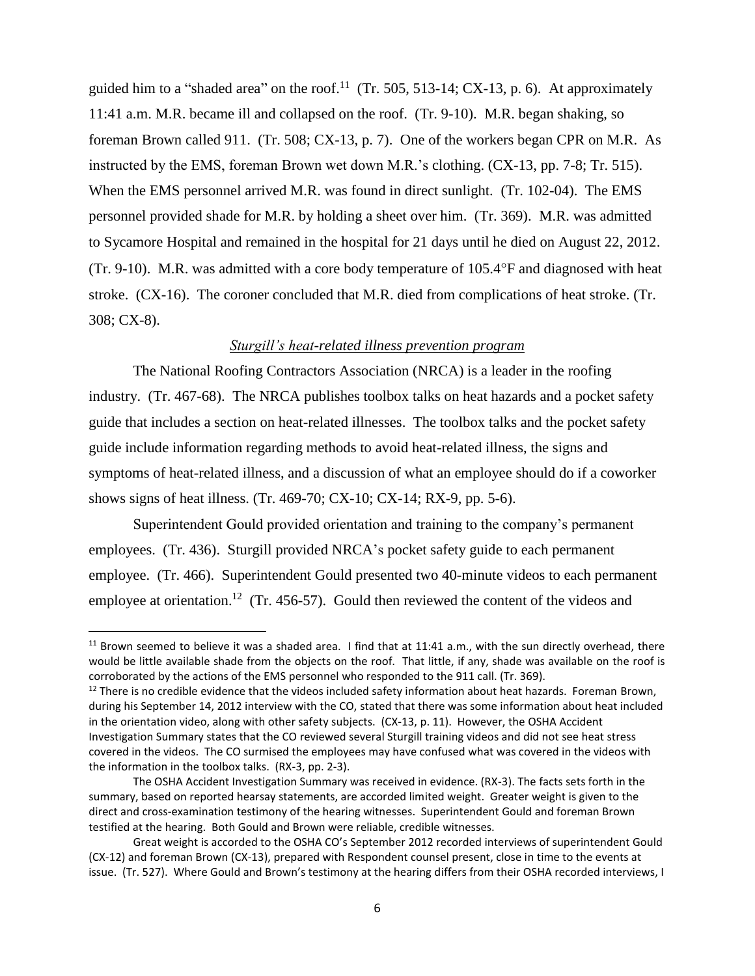guided him to a "shaded area" on the roof.<sup>11</sup> (Tr. 505, 513-14; CX-13, p. 6). At approximately 11:41 a.m. M.R. became ill and collapsed on the roof. (Tr. 9-10). M.R. began shaking, so foreman Brown called 911. (Tr. 508; CX-13, p. 7). One of the workers began CPR on M.R. As instructed by the EMS, foreman Brown wet down M.R.'s clothing. (CX-13, pp. 7-8; Tr. 515). When the EMS personnel arrived M.R. was found in direct sunlight. (Tr. 102-04). The EMS personnel provided shade for M.R. by holding a sheet over him. (Tr. 369). M.R. was admitted to Sycamore Hospital and remained in the hospital for 21 days until he died on August 22, 2012. (Tr. 9-10). M.R. was admitted with a core body temperature of  $105.4^{\circ}$ F and diagnosed with heat stroke. (CX-16). The coroner concluded that M.R. died from complications of heat stroke. (Tr. 308; CX-8).

## *Sturgill's heat-related illness prevention program*

The National Roofing Contractors Association (NRCA) is a leader in the roofing industry. (Tr. 467-68). The NRCA publishes toolbox talks on heat hazards and a pocket safety guide that includes a section on heat-related illnesses. The toolbox talks and the pocket safety guide include information regarding methods to avoid heat-related illness, the signs and symptoms of heat-related illness, and a discussion of what an employee should do if a coworker shows signs of heat illness. (Tr. 469-70; CX-10; CX-14; RX-9, pp. 5-6).

Superintendent Gould provided orientation and training to the company's permanent employees. (Tr. 436). Sturgill provided NRCA's pocket safety guide to each permanent employee. (Tr. 466). Superintendent Gould presented two 40-minute videos to each permanent employee at orientation.<sup>12</sup> (Tr. 456-57). Gould then reviewed the content of the videos and

<sup>&</sup>lt;sup>11</sup> Brown seemed to believe it was a shaded area. I find that at 11:41 a.m., with the sun directly overhead, there would be little available shade from the objects on the roof. That little, if any, shade was available on the roof is corroborated by the actions of the EMS personnel who responded to the 911 call. (Tr. 369).

 $12$  There is no credible evidence that the videos included safety information about heat hazards. Foreman Brown, during his September 14, 2012 interview with the CO, stated that there was some information about heat included in the orientation video, along with other safety subjects. (CX-13, p. 11). However, the OSHA Accident Investigation Summary states that the CO reviewed several Sturgill training videos and did not see heat stress covered in the videos. The CO surmised the employees may have confused what was covered in the videos with the information in the toolbox talks. (RX-3, pp. 2-3).

The OSHA Accident Investigation Summary was received in evidence. (RX-3). The facts sets forth in the summary, based on reported hearsay statements, are accorded limited weight. Greater weight is given to the direct and cross-examination testimony of the hearing witnesses. Superintendent Gould and foreman Brown testified at the hearing. Both Gould and Brown were reliable, credible witnesses.

Great weight is accorded to the OSHA CO's September 2012 recorded interviews of superintendent Gould (CX-12) and foreman Brown (CX-13), prepared with Respondent counsel present, close in time to the events at issue. (Tr. 527). Where Gould and Brown's testimony at the hearing differs from their OSHA recorded interviews, I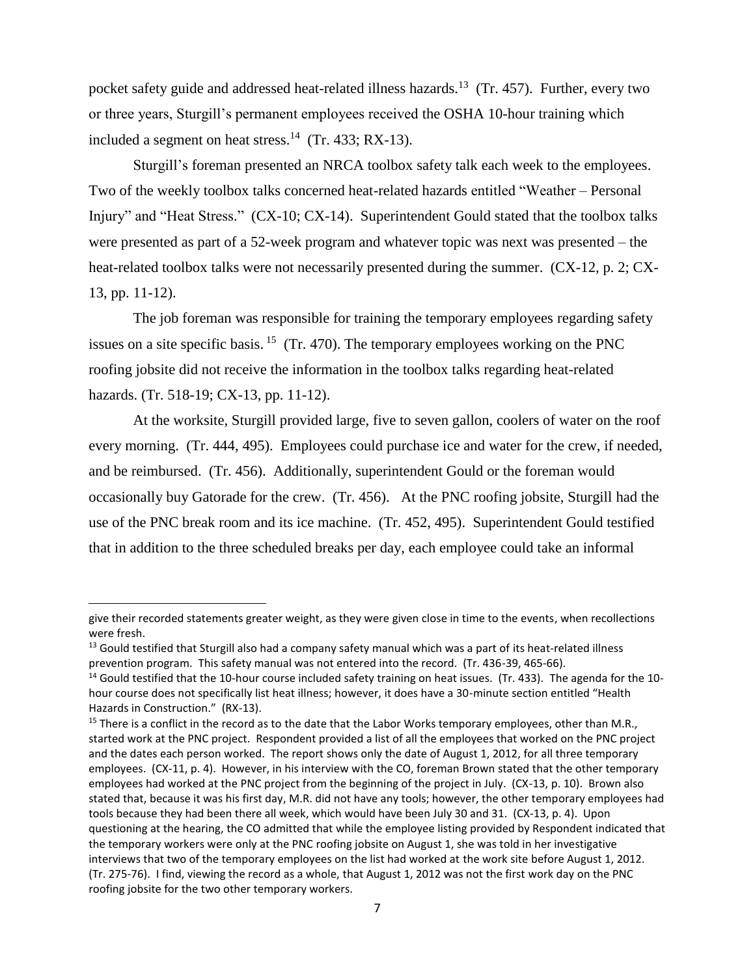pocket safety guide and addressed heat-related illness hazards.<sup>13</sup> (Tr. 457). Further, every two or three years, Sturgill's permanent employees received the OSHA 10-hour training which included a segment on heat stress.<sup>14</sup> (Tr. 433; RX-13).

Sturgill's foreman presented an NRCA toolbox safety talk each week to the employees. Two of the weekly toolbox talks concerned heat-related hazards entitled "Weather – Personal Injury" and "Heat Stress." (CX-10; CX-14). Superintendent Gould stated that the toolbox talks were presented as part of a 52-week program and whatever topic was next was presented – the heat-related toolbox talks were not necessarily presented during the summer. (CX-12, p. 2; CX-13, pp. 11-12).

The job foreman was responsible for training the temporary employees regarding safety issues on a site specific basis.  $15$  (Tr. 470). The temporary employees working on the PNC roofing jobsite did not receive the information in the toolbox talks regarding heat-related hazards. (Tr. 518-19; CX-13, pp. 11-12).

At the worksite, Sturgill provided large, five to seven gallon, coolers of water on the roof every morning. (Tr. 444, 495). Employees could purchase ice and water for the crew, if needed, and be reimbursed. (Tr. 456). Additionally, superintendent Gould or the foreman would occasionally buy Gatorade for the crew. (Tr. 456). At the PNC roofing jobsite, Sturgill had the use of the PNC break room and its ice machine. (Tr. 452, 495). Superintendent Gould testified that in addition to the three scheduled breaks per day, each employee could take an informal

give their recorded statements greater weight, as they were given close in time to the events, when recollections were fresh.

<sup>&</sup>lt;sup>13</sup> Gould testified that Sturgill also had a company safety manual which was a part of its heat-related illness prevention program. This safety manual was not entered into the record. (Tr. 436-39, 465-66).

 $14$  Gould testified that the 10-hour course included safety training on heat issues. (Tr. 433). The agenda for the 10hour course does not specifically list heat illness; however, it does have a 30-minute section entitled "Health Hazards in Construction." (RX-13).

<sup>&</sup>lt;sup>15</sup> There is a conflict in the record as to the date that the Labor Works temporary employees, other than M.R., started work at the PNC project. Respondent provided a list of all the employees that worked on the PNC project and the dates each person worked. The report shows only the date of August 1, 2012, for all three temporary employees. (CX-11, p. 4). However, in his interview with the CO, foreman Brown stated that the other temporary employees had worked at the PNC project from the beginning of the project in July. (CX-13, p. 10). Brown also stated that, because it was his first day, M.R. did not have any tools; however, the other temporary employees had tools because they had been there all week, which would have been July 30 and 31. (CX-13, p. 4). Upon questioning at the hearing, the CO admitted that while the employee listing provided by Respondent indicated that the temporary workers were only at the PNC roofing jobsite on August 1, she was told in her investigative interviews that two of the temporary employees on the list had worked at the work site before August 1, 2012. (Tr. 275-76). I find, viewing the record as a whole, that August 1, 2012 was not the first work day on the PNC roofing jobsite for the two other temporary workers.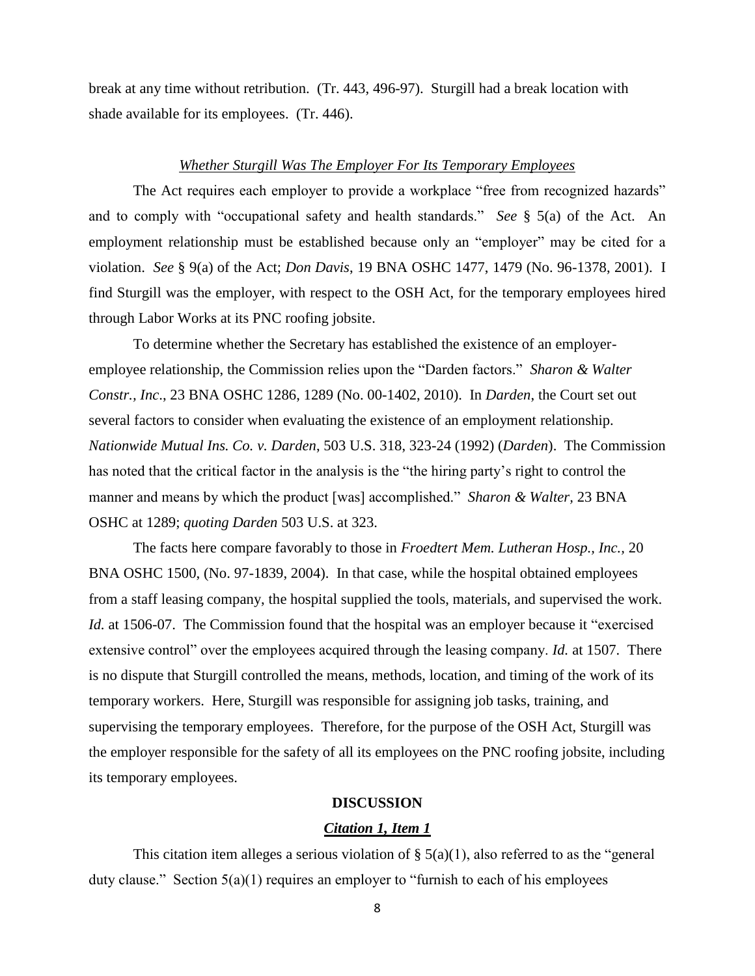break at any time without retribution. (Tr. 443, 496-97). Sturgill had a break location with shade available for its employees. (Tr. 446).

## *Whether Sturgill Was The Employer For Its Temporary Employees*

The Act requires each employer to provide a workplace "free from recognized hazards" and to comply with "occupational safety and health standards." *See* § 5(a) of the Act. An employment relationship must be established because only an "employer" may be cited for a violation. *See* § 9(a) of the Act; *Don Davis*, 19 BNA OSHC 1477, 1479 (No. 96-1378, 2001). I find Sturgill was the employer, with respect to the OSH Act, for the temporary employees hired through Labor Works at its PNC roofing jobsite.

To determine whether the Secretary has established the existence of an employeremployee relationship, the Commission relies upon the "Darden factors." *Sharon & Walter Constr., Inc*., 23 BNA OSHC 1286, 1289 (No. 00-1402, 2010). In *Darden*, the Court set out several factors to consider when evaluating the existence of an employment relationship. *Nationwide Mutual Ins. Co. v. Darden*, 503 U.S. 318, 323-24 (1992) (*Darden*). The Commission has noted that the critical factor in the analysis is the "the hiring party's right to control the manner and means by which the product [was] accomplished." *Sharon & Walter,* 23 BNA OSHC at 1289; *quoting Darden* 503 U.S. at 323.

The facts here compare favorably to those in *Froedtert Mem. Lutheran Hosp., Inc.,* 20 BNA OSHC 1500, (No. 97-1839, 2004). In that case, while the hospital obtained employees from a staff leasing company, the hospital supplied the tools, materials, and supervised the work. *Id.* at 1506-07. The Commission found that the hospital was an employer because it "exercised" extensive control" over the employees acquired through the leasing company. *Id.* at 1507. There is no dispute that Sturgill controlled the means, methods, location, and timing of the work of its temporary workers. Here, Sturgill was responsible for assigning job tasks, training, and supervising the temporary employees. Therefore, for the purpose of the OSH Act, Sturgill was the employer responsible for the safety of all its employees on the PNC roofing jobsite, including its temporary employees.

#### **DISCUSSION**

#### *Citation 1, Item 1*

This citation item alleges a serious violation of  $\S(5(a)(1))$ , also referred to as the "general" duty clause." Section 5(a)(1) requires an employer to "furnish to each of his employees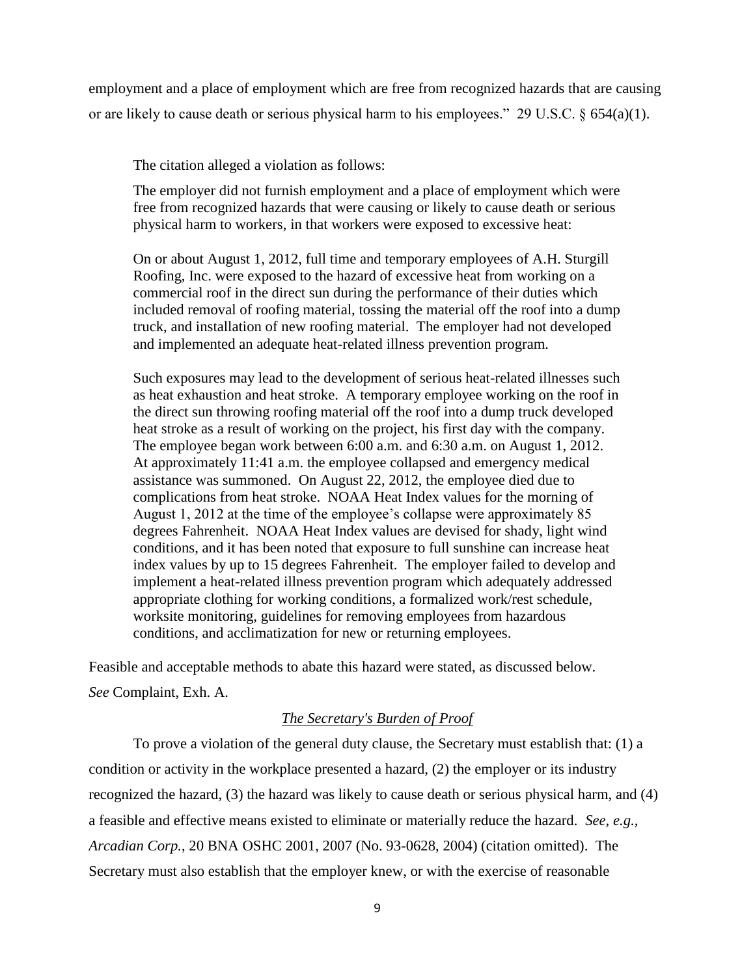employment and a place of employment which are free from recognized hazards that are causing or are likely to cause death or serious physical harm to his employees." 29 U.S.C. § 654(a)(1).

The citation alleged a violation as follows:

The employer did not furnish employment and a place of employment which were free from recognized hazards that were causing or likely to cause death or serious physical harm to workers, in that workers were exposed to excessive heat:

On or about August 1, 2012, full time and temporary employees of A.H. Sturgill Roofing, Inc. were exposed to the hazard of excessive heat from working on a commercial roof in the direct sun during the performance of their duties which included removal of roofing material, tossing the material off the roof into a dump truck, and installation of new roofing material. The employer had not developed and implemented an adequate heat-related illness prevention program.

Such exposures may lead to the development of serious heat-related illnesses such as heat exhaustion and heat stroke. A temporary employee working on the roof in the direct sun throwing roofing material off the roof into a dump truck developed heat stroke as a result of working on the project, his first day with the company. The employee began work between 6:00 a.m. and 6:30 a.m. on August 1, 2012. At approximately 11:41 a.m. the employee collapsed and emergency medical assistance was summoned. On August 22, 2012, the employee died due to complications from heat stroke. NOAA Heat Index values for the morning of August 1, 2012 at the time of the employee's collapse were approximately 85 degrees Fahrenheit. NOAA Heat Index values are devised for shady, light wind conditions, and it has been noted that exposure to full sunshine can increase heat index values by up to 15 degrees Fahrenheit. The employer failed to develop and implement a heat-related illness prevention program which adequately addressed appropriate clothing for working conditions, a formalized work/rest schedule, worksite monitoring, guidelines for removing employees from hazardous conditions, and acclimatization for new or returning employees.

Feasible and acceptable methods to abate this hazard were stated, as discussed below. *See* Complaint, Exh. A.

## *The Secretary's Burden of Proof*

To prove a violation of the general duty clause, the Secretary must establish that: (1) a condition or activity in the workplace presented a hazard, (2) the employer or its industry recognized the hazard, (3) the hazard was likely to cause death or serious physical harm, and (4) a feasible and effective means existed to eliminate or materially reduce the hazard. *See, e.g., Arcadian Corp.*, 20 BNA OSHC 2001, 2007 (No. 93-0628, 2004) (citation omitted). The Secretary must also establish that the employer knew, or with the exercise of reasonable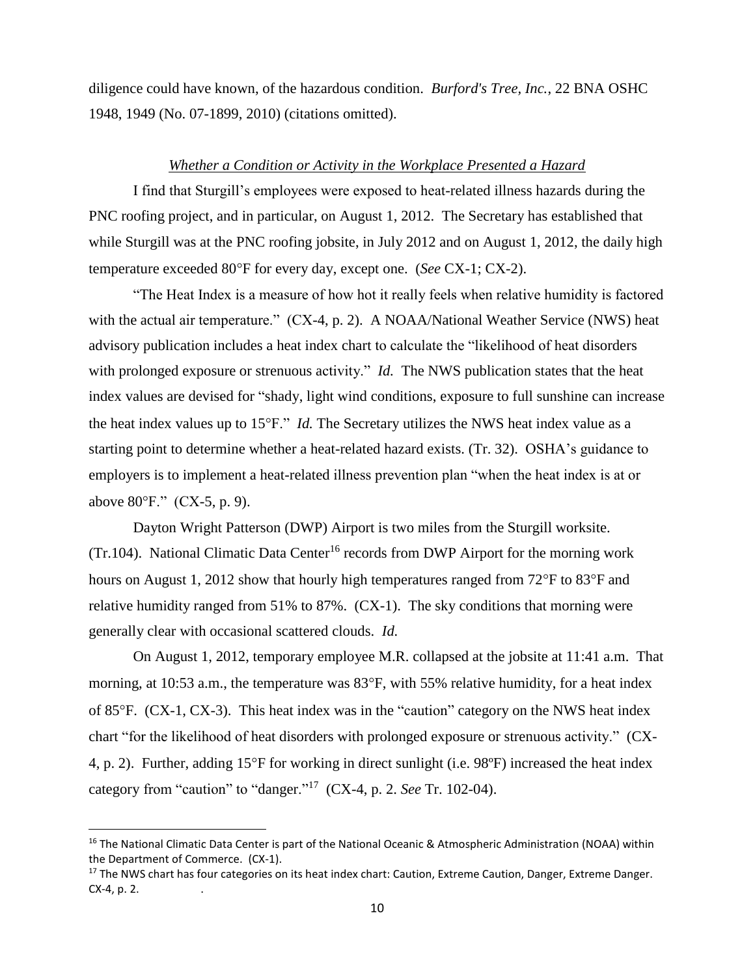diligence could have known, of the hazardous condition. *Burford's Tree, Inc.*, 22 BNA OSHC 1948, 1949 (No. 07-1899, 2010) (citations omitted).

## *Whether a Condition or Activity in the Workplace Presented a Hazard*

I find that Sturgill's employees were exposed to heat-related illness hazards during the PNC roofing project, and in particular, on August 1, 2012. The Secretary has established that while Sturgill was at the PNC roofing jobsite, in July 2012 and on August 1, 2012, the daily high temperature exceeded 80°F for every day, except one. (*See* CX-1; CX-2).

"The Heat Index is a measure of how hot it really feels when relative humidity is factored with the actual air temperature." (CX-4, p. 2). A NOAA/National Weather Service (NWS) heat advisory publication includes a heat index chart to calculate the "likelihood of heat disorders with prolonged exposure or strenuous activity." *Id.* The NWS publication states that the heat index values are devised for "shady, light wind conditions, exposure to full sunshine can increase the heat index values up to 15°F." *Id.* The Secretary utilizes the NWS heat index value as a starting point to determine whether a heat-related hazard exists. (Tr. 32). OSHA's guidance to employers is to implement a heat-related illness prevention plan "when the heat index is at or above  $80^{\circ}$ F." (CX-5, p. 9).

Dayton Wright Patterson (DWP) Airport is two miles from the Sturgill worksite. (Tr.104). National Climatic Data Center<sup>16</sup> records from DWP Airport for the morning work hours on August 1, 2012 show that hourly high temperatures ranged from  $72^{\circ}$ F to  $83^{\circ}$ F and relative humidity ranged from 51% to 87%. (CX-1). The sky conditions that morning were generally clear with occasional scattered clouds. *Id.*

On August 1, 2012, temporary employee M.R. collapsed at the jobsite at 11:41 a.m. That morning, at 10:53 a.m., the temperature was  $83^{\circ}$ F, with 55% relative humidity, for a heat index of 85F. (CX-1, CX-3). This heat index was in the "caution" category on the NWS heat index chart "for the likelihood of heat disorders with prolonged exposure or strenuous activity." (CX-4, p. 2). Further, adding 15°F for working in direct sunlight (i.e. 98°F) increased the heat index category from "caution" to "danger."<sup>17</sup> (CX-4, p. 2. *See* Tr. 102-04).

<sup>&</sup>lt;sup>16</sup> The National Climatic Data Center is part of the National Oceanic & Atmospheric Administration (NOAA) within the Department of Commerce. (CX-1).

<sup>&</sup>lt;sup>17</sup> The NWS chart has four categories on its heat index chart: Caution, Extreme Caution, Danger, Extreme Danger. CX-4, p. 2.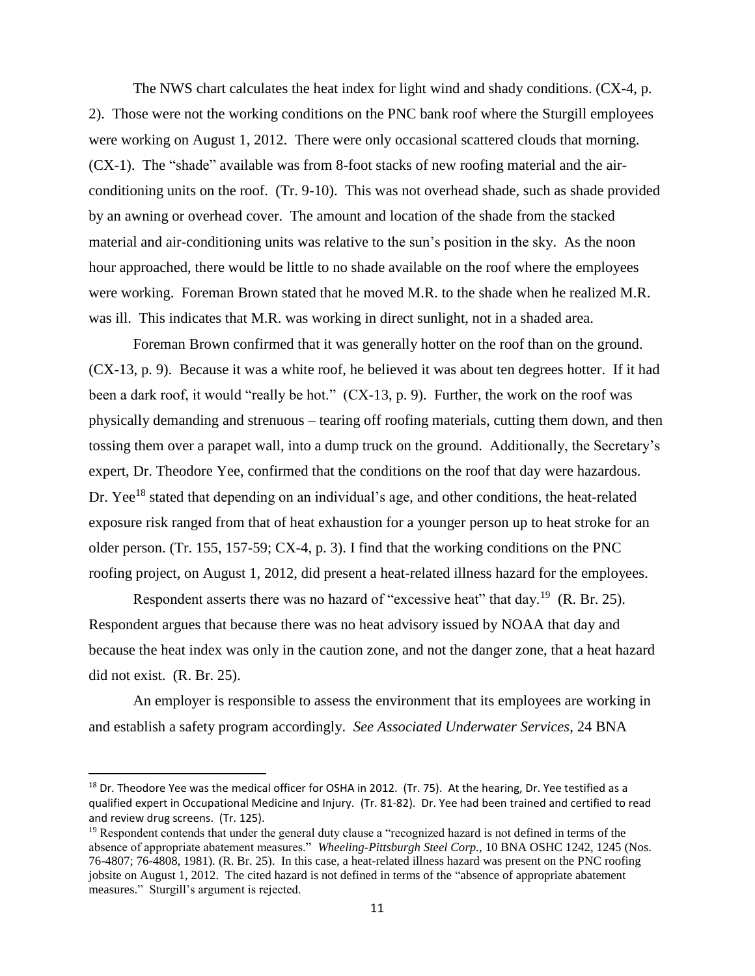The NWS chart calculates the heat index for light wind and shady conditions. (CX-4, p. 2). Those were not the working conditions on the PNC bank roof where the Sturgill employees were working on August 1, 2012. There were only occasional scattered clouds that morning. (CX-1). The "shade" available was from 8-foot stacks of new roofing material and the airconditioning units on the roof. (Tr. 9-10). This was not overhead shade, such as shade provided by an awning or overhead cover. The amount and location of the shade from the stacked material and air-conditioning units was relative to the sun's position in the sky. As the noon hour approached, there would be little to no shade available on the roof where the employees were working. Foreman Brown stated that he moved M.R. to the shade when he realized M.R. was ill. This indicates that M.R. was working in direct sunlight, not in a shaded area.

 Foreman Brown confirmed that it was generally hotter on the roof than on the ground. (CX-13, p. 9). Because it was a white roof, he believed it was about ten degrees hotter. If it had been a dark roof, it would "really be hot." (CX-13, p. 9). Further, the work on the roof was physically demanding and strenuous – tearing off roofing materials, cutting them down, and then tossing them over a parapet wall, into a dump truck on the ground. Additionally, the Secretary's expert, Dr. Theodore Yee, confirmed that the conditions on the roof that day were hazardous. Dr. Yee<sup>18</sup> stated that depending on an individual's age, and other conditions, the heat-related exposure risk ranged from that of heat exhaustion for a younger person up to heat stroke for an older person. (Tr. 155, 157-59; CX-4, p. 3). I find that the working conditions on the PNC roofing project, on August 1, 2012, did present a heat-related illness hazard for the employees.

Respondent asserts there was no hazard of "excessive heat" that day.<sup>19</sup> (R. Br. 25). Respondent argues that because there was no heat advisory issued by NOAA that day and because the heat index was only in the caution zone, and not the danger zone, that a heat hazard did not exist. (R. Br. 25).

An employer is responsible to assess the environment that its employees are working in and establish a safety program accordingly. *See Associated Underwater Services*, 24 BNA

<sup>&</sup>lt;sup>18</sup> Dr. Theodore Yee was the medical officer for OSHA in 2012. (Tr. 75). At the hearing, Dr. Yee testified as a qualified expert in Occupational Medicine and Injury. (Tr. 81-82). Dr. Yee had been trained and certified to read and review drug screens. (Tr. 125).

<sup>&</sup>lt;sup>19</sup> Respondent contends that under the general duty clause a "recognized hazard is not defined in terms of the absence of appropriate abatement measures." *Wheeling-Pittsburgh Steel Corp.,* 10 BNA OSHC 1242, 1245 (Nos. 76-4807; 76-4808, 1981). (R. Br. 25). In this case, a heat-related illness hazard was present on the PNC roofing jobsite on August 1, 2012. The cited hazard is not defined in terms of the "absence of appropriate abatement measures." Sturgill's argument is rejected.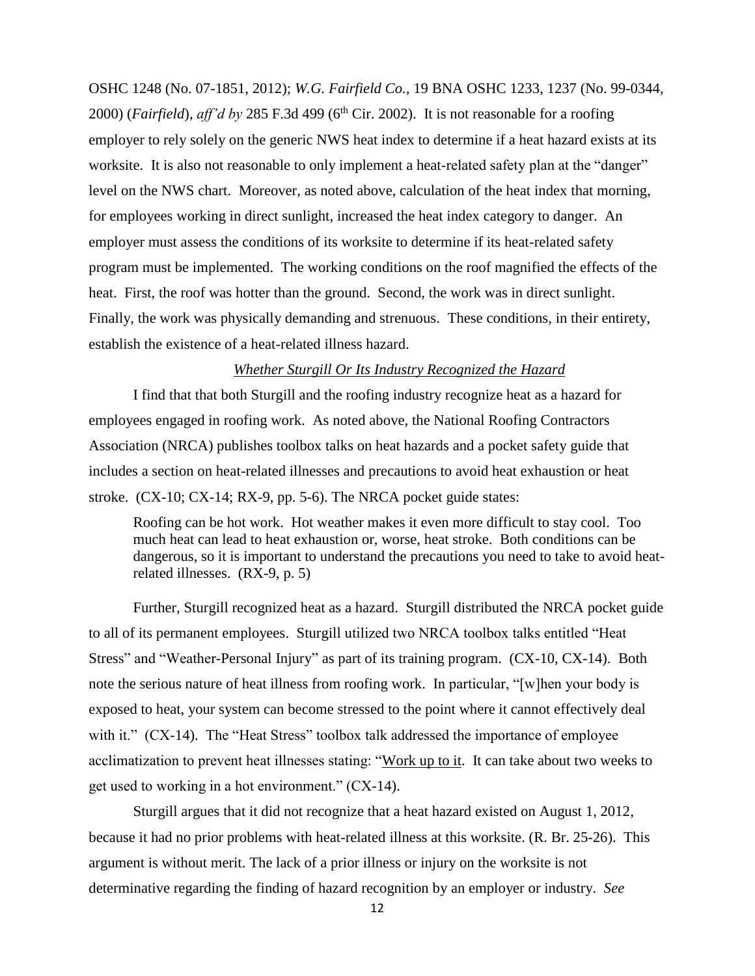OSHC 1248 (No. 07-1851, 2012); *W.G. Fairfield Co.,* 19 BNA OSHC 1233, 1237 (No. 99-0344, 2000) (*Fairfield*),  $\alpha$ *ff'd by* 285 F.3d 499 ( $6<sup>th</sup>$  Cir. 2002). It is not reasonable for a roofing employer to rely solely on the generic NWS heat index to determine if a heat hazard exists at its worksite. It is also not reasonable to only implement a heat-related safety plan at the "danger" level on the NWS chart. Moreover, as noted above, calculation of the heat index that morning, for employees working in direct sunlight, increased the heat index category to danger. An employer must assess the conditions of its worksite to determine if its heat-related safety program must be implemented. The working conditions on the roof magnified the effects of the heat. First, the roof was hotter than the ground. Second, the work was in direct sunlight. Finally, the work was physically demanding and strenuous. These conditions, in their entirety, establish the existence of a heat-related illness hazard.

#### *Whether Sturgill Or Its Industry Recognized the Hazard*

I find that that both Sturgill and the roofing industry recognize heat as a hazard for employees engaged in roofing work. As noted above, the National Roofing Contractors Association (NRCA) publishes toolbox talks on heat hazards and a pocket safety guide that includes a section on heat-related illnesses and precautions to avoid heat exhaustion or heat stroke. (CX-10; CX-14; RX-9, pp. 5-6). The NRCA pocket guide states:

Roofing can be hot work. Hot weather makes it even more difficult to stay cool. Too much heat can lead to heat exhaustion or, worse, heat stroke. Both conditions can be dangerous, so it is important to understand the precautions you need to take to avoid heatrelated illnesses. (RX-9, p. 5)

Further, Sturgill recognized heat as a hazard. Sturgill distributed the NRCA pocket guide to all of its permanent employees. Sturgill utilized two NRCA toolbox talks entitled "Heat Stress" and "Weather-Personal Injury" as part of its training program. (CX-10, CX-14). Both note the serious nature of heat illness from roofing work. In particular, "[w]hen your body is exposed to heat, your system can become stressed to the point where it cannot effectively deal with it." (CX-14). The "Heat Stress" toolbox talk addressed the importance of employee acclimatization to prevent heat illnesses stating: "Work up to it. It can take about two weeks to get used to working in a hot environment." (CX-14).

Sturgill argues that it did not recognize that a heat hazard existed on August 1, 2012, because it had no prior problems with heat-related illness at this worksite. (R. Br. 25-26). This argument is without merit. The lack of a prior illness or injury on the worksite is not determinative regarding the finding of hazard recognition by an employer or industry. *See*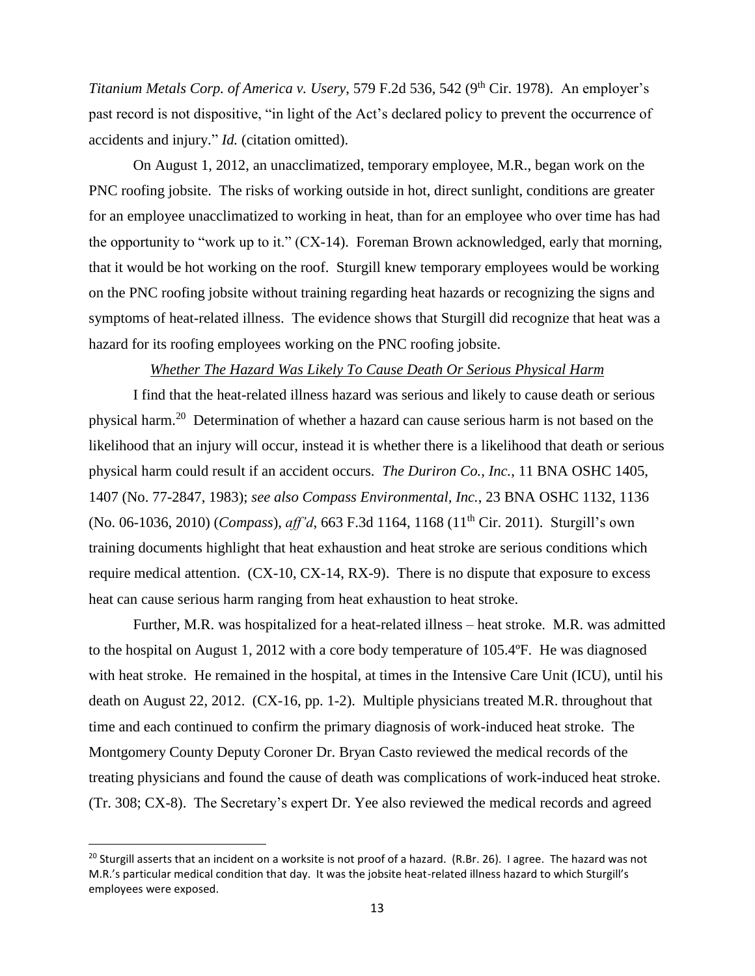*Titanium Metals Corp. of America v. Usery, 579 F.2d 536, 542 (9<sup>th</sup> Cir. 1978). An employer's* past record is not dispositive, "in light of the Act's declared policy to prevent the occurrence of accidents and injury." *Id.* (citation omitted).

On August 1, 2012, an unacclimatized, temporary employee, M.R., began work on the PNC roofing jobsite. The risks of working outside in hot, direct sunlight, conditions are greater for an employee unacclimatized to working in heat, than for an employee who over time has had the opportunity to "work up to it." (CX-14). Foreman Brown acknowledged, early that morning, that it would be hot working on the roof. Sturgill knew temporary employees would be working on the PNC roofing jobsite without training regarding heat hazards or recognizing the signs and symptoms of heat-related illness. The evidence shows that Sturgill did recognize that heat was a hazard for its roofing employees working on the PNC roofing jobsite.

#### *Whether The Hazard Was Likely To Cause Death Or Serious Physical Harm*

I find that the heat-related illness hazard was serious and likely to cause death or serious physical harm.<sup>20</sup> Determination of whether a hazard can cause serious harm is not based on the likelihood that an injury will occur, instead it is whether there is a likelihood that death or serious physical harm could result if an accident occurs. *The Duriron Co., Inc.*, 11 BNA OSHC 1405, 1407 (No. 77-2847, 1983); *see also Compass Environmental, Inc.*, 23 BNA OSHC 1132, 1136 (No. 06-1036, 2010) (*Compass*), *aff'd*, 663 F.3d 1164, 1168 (11th Cir. 2011). Sturgill's own training documents highlight that heat exhaustion and heat stroke are serious conditions which require medical attention. (CX-10, CX-14, RX-9). There is no dispute that exposure to excess heat can cause serious harm ranging from heat exhaustion to heat stroke.

Further, M.R. was hospitalized for a heat-related illness – heat stroke. M.R. was admitted to the hospital on August 1, 2012 with a core body temperature of 105.4ºF. He was diagnosed with heat stroke. He remained in the hospital, at times in the Intensive Care Unit (ICU), until his death on August 22, 2012. (CX-16, pp. 1-2). Multiple physicians treated M.R. throughout that time and each continued to confirm the primary diagnosis of work-induced heat stroke. The Montgomery County Deputy Coroner Dr. Bryan Casto reviewed the medical records of the treating physicians and found the cause of death was complications of work-induced heat stroke. (Tr. 308; CX-8). The Secretary's expert Dr. Yee also reviewed the medical records and agreed

<sup>&</sup>lt;sup>20</sup> Sturgill asserts that an incident on a worksite is not proof of a hazard. (R.Br. 26). I agree. The hazard was not M.R.'s particular medical condition that day. It was the jobsite heat-related illness hazard to which Sturgill's employees were exposed.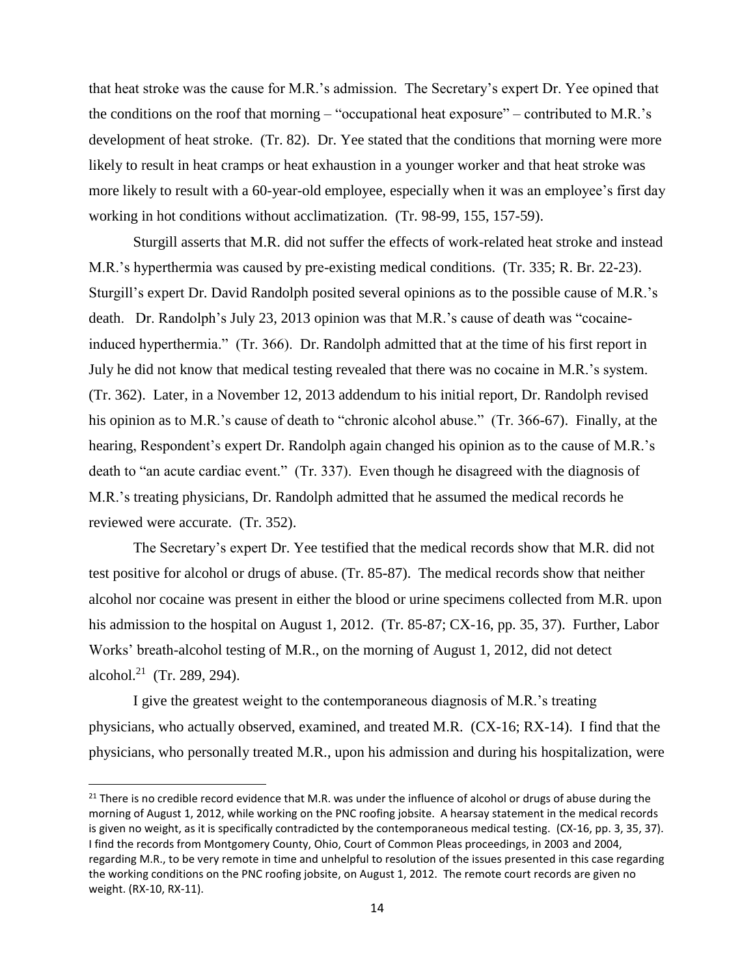that heat stroke was the cause for M.R.'s admission. The Secretary's expert Dr. Yee opined that the conditions on the roof that morning – "occupational heat exposure" – contributed to M.R.'s development of heat stroke. (Tr. 82). Dr. Yee stated that the conditions that morning were more likely to result in heat cramps or heat exhaustion in a younger worker and that heat stroke was more likely to result with a 60-year-old employee, especially when it was an employee's first day working in hot conditions without acclimatization. (Tr. 98-99, 155, 157-59).

Sturgill asserts that M.R. did not suffer the effects of work-related heat stroke and instead M.R.'s hyperthermia was caused by pre-existing medical conditions. (Tr. 335; R. Br. 22-23). Sturgill's expert Dr. David Randolph posited several opinions as to the possible cause of M.R.'s death. Dr. Randolph's July 23, 2013 opinion was that M.R.'s cause of death was "cocaineinduced hyperthermia." (Tr. 366). Dr. Randolph admitted that at the time of his first report in July he did not know that medical testing revealed that there was no cocaine in M.R.'s system. (Tr. 362). Later, in a November 12, 2013 addendum to his initial report, Dr. Randolph revised his opinion as to M.R.'s cause of death to "chronic alcohol abuse." (Tr. 366-67). Finally, at the hearing, Respondent's expert Dr. Randolph again changed his opinion as to the cause of M.R.'s death to "an acute cardiac event." (Tr. 337). Even though he disagreed with the diagnosis of M.R.'s treating physicians, Dr. Randolph admitted that he assumed the medical records he reviewed were accurate. (Tr. 352).

The Secretary's expert Dr. Yee testified that the medical records show that M.R. did not test positive for alcohol or drugs of abuse. (Tr. 85-87). The medical records show that neither alcohol nor cocaine was present in either the blood or urine specimens collected from M.R. upon his admission to the hospital on August 1, 2012. (Tr. 85-87; CX-16, pp. 35, 37). Further, Labor Works' breath-alcohol testing of M.R., on the morning of August 1, 2012, did not detect alcohol.<sup>21</sup> (Tr. 289, 294).

I give the greatest weight to the contemporaneous diagnosis of M.R.'s treating physicians, who actually observed, examined, and treated M.R. (CX-16; RX-14). I find that the physicians, who personally treated M.R., upon his admission and during his hospitalization, were

<sup>&</sup>lt;sup>21</sup> There is no credible record evidence that M.R. was under the influence of alcohol or drugs of abuse during the morning of August 1, 2012, while working on the PNC roofing jobsite. A hearsay statement in the medical records is given no weight, as it is specifically contradicted by the contemporaneous medical testing. (CX-16, pp. 3, 35, 37). I find the records from Montgomery County, Ohio, Court of Common Pleas proceedings, in 2003 and 2004, regarding M.R., to be very remote in time and unhelpful to resolution of the issues presented in this case regarding the working conditions on the PNC roofing jobsite, on August 1, 2012. The remote court records are given no weight. (RX-10, RX-11).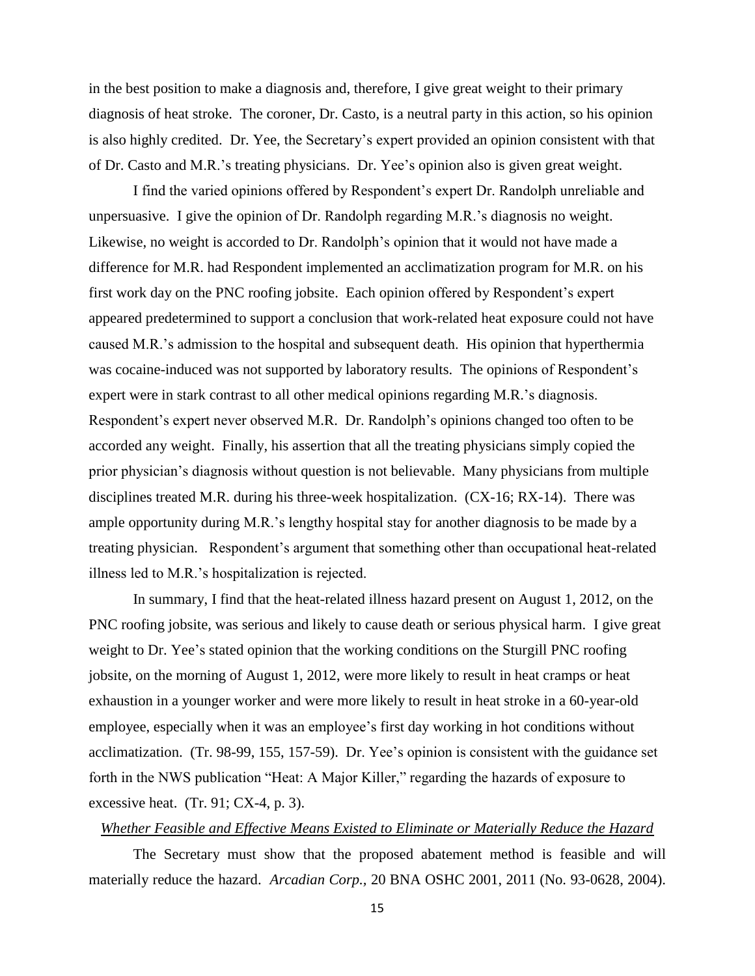in the best position to make a diagnosis and, therefore, I give great weight to their primary diagnosis of heat stroke. The coroner, Dr. Casto, is a neutral party in this action, so his opinion is also highly credited. Dr. Yee, the Secretary's expert provided an opinion consistent with that of Dr. Casto and M.R.'s treating physicians. Dr. Yee's opinion also is given great weight.

I find the varied opinions offered by Respondent's expert Dr. Randolph unreliable and unpersuasive. I give the opinion of Dr. Randolph regarding M.R.'s diagnosis no weight. Likewise, no weight is accorded to Dr. Randolph's opinion that it would not have made a difference for M.R. had Respondent implemented an acclimatization program for M.R. on his first work day on the PNC roofing jobsite. Each opinion offered by Respondent's expert appeared predetermined to support a conclusion that work-related heat exposure could not have caused M.R.'s admission to the hospital and subsequent death. His opinion that hyperthermia was cocaine-induced was not supported by laboratory results. The opinions of Respondent's expert were in stark contrast to all other medical opinions regarding M.R.'s diagnosis. Respondent's expert never observed M.R. Dr. Randolph's opinions changed too often to be accorded any weight. Finally, his assertion that all the treating physicians simply copied the prior physician's diagnosis without question is not believable. Many physicians from multiple disciplines treated M.R. during his three-week hospitalization. (CX-16; RX-14). There was ample opportunity during M.R.'s lengthy hospital stay for another diagnosis to be made by a treating physician. Respondent's argument that something other than occupational heat-related illness led to M.R.'s hospitalization is rejected.

In summary, I find that the heat-related illness hazard present on August 1, 2012, on the PNC roofing jobsite, was serious and likely to cause death or serious physical harm. I give great weight to Dr. Yee's stated opinion that the working conditions on the Sturgill PNC roofing jobsite, on the morning of August 1, 2012, were more likely to result in heat cramps or heat exhaustion in a younger worker and were more likely to result in heat stroke in a 60-year-old employee, especially when it was an employee's first day working in hot conditions without acclimatization. (Tr. 98-99, 155, 157-59). Dr. Yee's opinion is consistent with the guidance set forth in the NWS publication "Heat: A Major Killer," regarding the hazards of exposure to excessive heat. (Tr. 91; CX-4, p. 3).

## *Whether Feasible and Effective Means Existed to Eliminate or Materially Reduce the Hazard*

The Secretary must show that the proposed abatement method is feasible and will materially reduce the hazard. *Arcadian Corp.,* 20 BNA OSHC 2001, 2011 (No. 93-0628, 2004).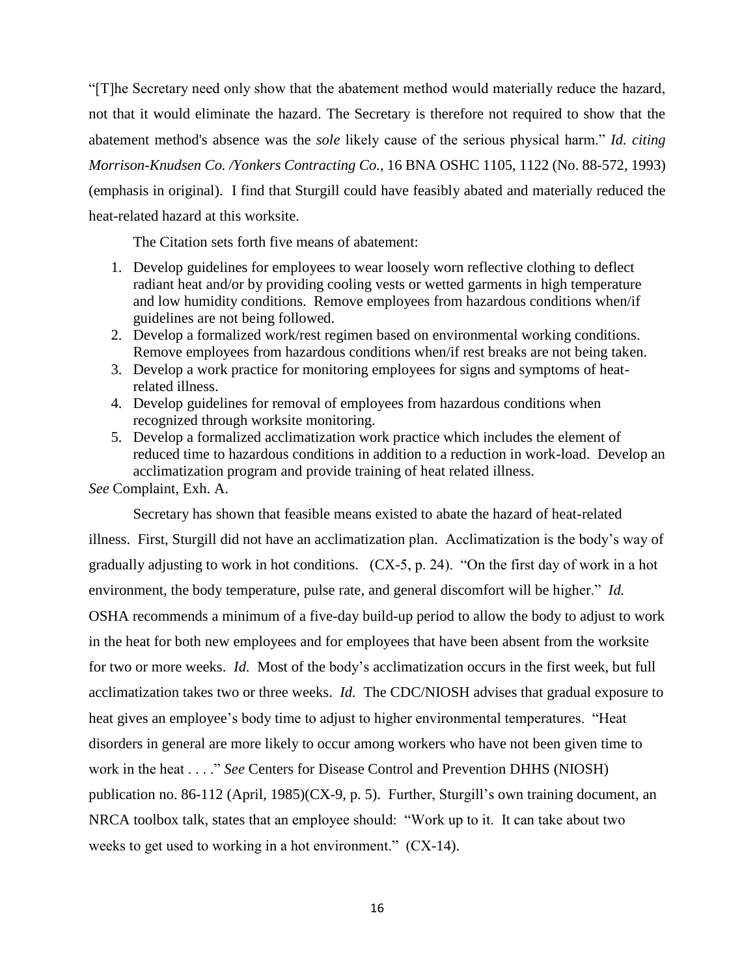"[T]he Secretary need only show that the abatement method would materially reduce the hazard, not that it would eliminate the hazard. The Secretary is therefore not required to show that the abatement method's absence was the *sole* likely cause of the serious physical harm." *Id. citing Morrison-Knudsen Co. /Yonkers Contracting Co.*, 16 BNA OSHC 1105, 1122 (No. 88-572, 1993) (emphasis in original). I find that Sturgill could have feasibly abated and materially reduced the heat-related hazard at this worksite.

The Citation sets forth five means of abatement:

- 1. Develop guidelines for employees to wear loosely worn reflective clothing to deflect radiant heat and/or by providing cooling vests or wetted garments in high temperature and low humidity conditions. Remove employees from hazardous conditions when/if guidelines are not being followed.
- 2. Develop a formalized work/rest regimen based on environmental working conditions. Remove employees from hazardous conditions when/if rest breaks are not being taken.
- 3. Develop a work practice for monitoring employees for signs and symptoms of heatrelated illness.
- 4. Develop guidelines for removal of employees from hazardous conditions when recognized through worksite monitoring.
- 5. Develop a formalized acclimatization work practice which includes the element of reduced time to hazardous conditions in addition to a reduction in work-load. Develop an acclimatization program and provide training of heat related illness.

*See* Complaint, Exh. A.

Secretary has shown that feasible means existed to abate the hazard of heat-related illness. First, Sturgill did not have an acclimatization plan. Acclimatization is the body's way of gradually adjusting to work in hot conditions. (CX-5, p. 24). "On the first day of work in a hot environment, the body temperature, pulse rate, and general discomfort will be higher." *Id.* OSHA recommends a minimum of a five-day build-up period to allow the body to adjust to work in the heat for both new employees and for employees that have been absent from the worksite for two or more weeks. *Id.* Most of the body's acclimatization occurs in the first week, but full acclimatization takes two or three weeks. *Id.* The CDC/NIOSH advises that gradual exposure to heat gives an employee's body time to adjust to higher environmental temperatures. "Heat disorders in general are more likely to occur among workers who have not been given time to work in the heat . . . ." *See* Centers for Disease Control and Prevention DHHS (NIOSH) publication no. 86-112 (April, 1985)(CX-9, p. 5). Further, Sturgill's own training document, an NRCA toolbox talk, states that an employee should: "Work up to it. It can take about two weeks to get used to working in a hot environment." (CX-14).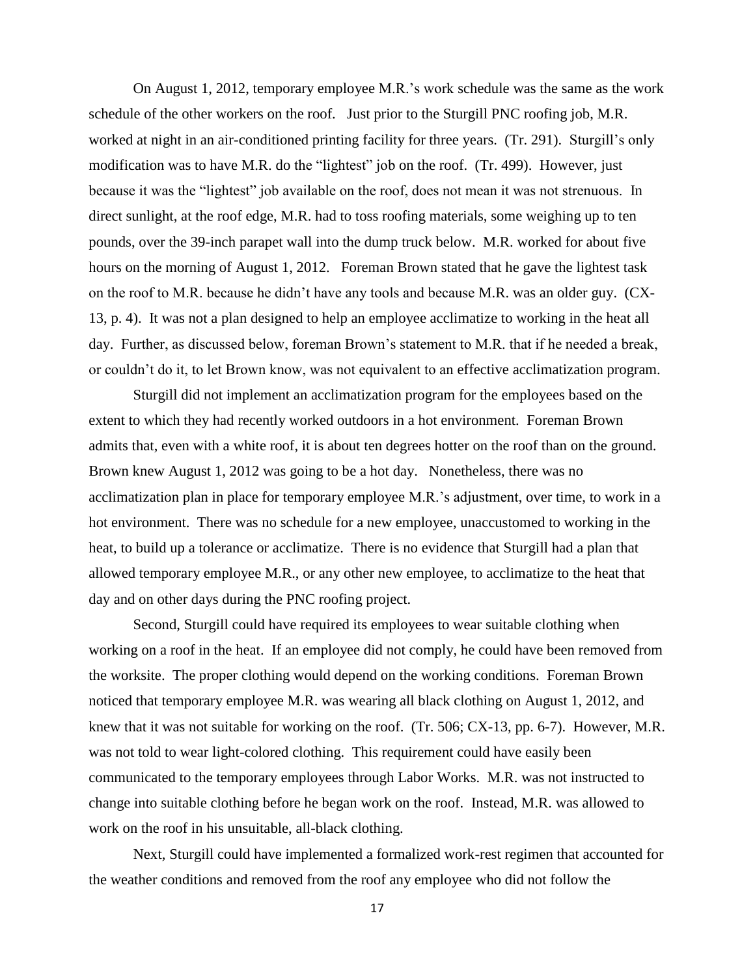On August 1, 2012, temporary employee M.R.'s work schedule was the same as the work schedule of the other workers on the roof. Just prior to the Sturgill PNC roofing job, M.R. worked at night in an air-conditioned printing facility for three years. (Tr. 291). Sturgill's only modification was to have M.R. do the "lightest" job on the roof. (Tr. 499). However, just because it was the "lightest" job available on the roof, does not mean it was not strenuous. In direct sunlight, at the roof edge, M.R. had to toss roofing materials, some weighing up to ten pounds, over the 39-inch parapet wall into the dump truck below. M.R. worked for about five hours on the morning of August 1, 2012. Foreman Brown stated that he gave the lightest task on the roof to M.R. because he didn't have any tools and because M.R. was an older guy. (CX-13, p. 4). It was not a plan designed to help an employee acclimatize to working in the heat all day. Further, as discussed below, foreman Brown's statement to M.R. that if he needed a break, or couldn't do it, to let Brown know, was not equivalent to an effective acclimatization program.

Sturgill did not implement an acclimatization program for the employees based on the extent to which they had recently worked outdoors in a hot environment. Foreman Brown admits that, even with a white roof, it is about ten degrees hotter on the roof than on the ground. Brown knew August 1, 2012 was going to be a hot day. Nonetheless, there was no acclimatization plan in place for temporary employee M.R.'s adjustment, over time, to work in a hot environment. There was no schedule for a new employee, unaccustomed to working in the heat, to build up a tolerance or acclimatize. There is no evidence that Sturgill had a plan that allowed temporary employee M.R., or any other new employee, to acclimatize to the heat that day and on other days during the PNC roofing project.

Second, Sturgill could have required its employees to wear suitable clothing when working on a roof in the heat. If an employee did not comply, he could have been removed from the worksite. The proper clothing would depend on the working conditions. Foreman Brown noticed that temporary employee M.R. was wearing all black clothing on August 1, 2012, and knew that it was not suitable for working on the roof. (Tr. 506; CX-13, pp. 6-7). However, M.R. was not told to wear light-colored clothing. This requirement could have easily been communicated to the temporary employees through Labor Works. M.R. was not instructed to change into suitable clothing before he began work on the roof. Instead, M.R. was allowed to work on the roof in his unsuitable, all-black clothing.

Next, Sturgill could have implemented a formalized work-rest regimen that accounted for the weather conditions and removed from the roof any employee who did not follow the

17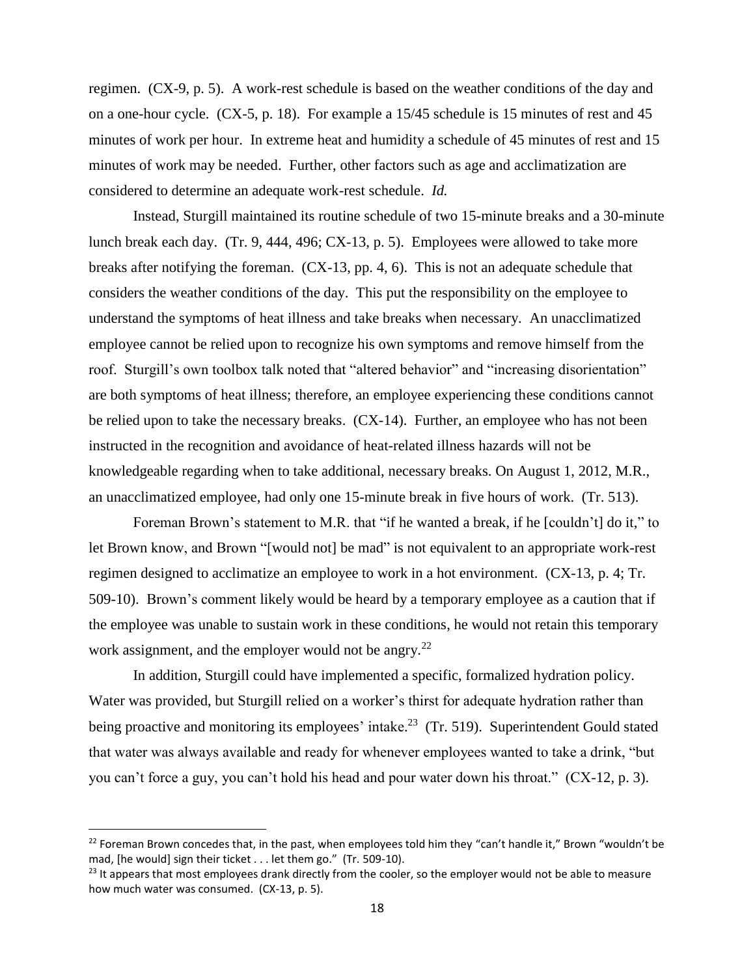regimen. (CX-9, p. 5). A work-rest schedule is based on the weather conditions of the day and on a one-hour cycle. (CX-5, p. 18). For example a 15/45 schedule is 15 minutes of rest and 45 minutes of work per hour. In extreme heat and humidity a schedule of 45 minutes of rest and 15 minutes of work may be needed. Further, other factors such as age and acclimatization are considered to determine an adequate work-rest schedule. *Id.* 

Instead, Sturgill maintained its routine schedule of two 15-minute breaks and a 30-minute lunch break each day. (Tr. 9, 444, 496; CX-13, p. 5). Employees were allowed to take more breaks after notifying the foreman. (CX-13, pp. 4, 6). This is not an adequate schedule that considers the weather conditions of the day. This put the responsibility on the employee to understand the symptoms of heat illness and take breaks when necessary. An unacclimatized employee cannot be relied upon to recognize his own symptoms and remove himself from the roof. Sturgill's own toolbox talk noted that "altered behavior" and "increasing disorientation" are both symptoms of heat illness; therefore, an employee experiencing these conditions cannot be relied upon to take the necessary breaks. (CX-14). Further, an employee who has not been instructed in the recognition and avoidance of heat-related illness hazards will not be knowledgeable regarding when to take additional, necessary breaks. On August 1, 2012, M.R., an unacclimatized employee, had only one 15-minute break in five hours of work. (Tr. 513).

Foreman Brown's statement to M.R. that "if he wanted a break, if he [couldn't] do it," to let Brown know, and Brown "[would not] be mad" is not equivalent to an appropriate work-rest regimen designed to acclimatize an employee to work in a hot environment. (CX-13, p. 4; Tr. 509-10). Brown's comment likely would be heard by a temporary employee as a caution that if the employee was unable to sustain work in these conditions, he would not retain this temporary work assignment, and the employer would not be angry. $^{22}$ 

In addition, Sturgill could have implemented a specific, formalized hydration policy. Water was provided, but Sturgill relied on a worker's thirst for adequate hydration rather than being proactive and monitoring its employees' intake.<sup>23</sup> (Tr. 519). Superintendent Gould stated that water was always available and ready for whenever employees wanted to take a drink, "but you can't force a guy, you can't hold his head and pour water down his throat." (CX-12, p. 3).

 $^{22}$  Foreman Brown concedes that, in the past, when employees told him they "can't handle it," Brown "wouldn't be mad, [he would] sign their ticket . . . let them go." (Tr. 509-10).

<sup>&</sup>lt;sup>23</sup> It appears that most employees drank directly from the cooler, so the employer would not be able to measure how much water was consumed. (CX-13, p. 5).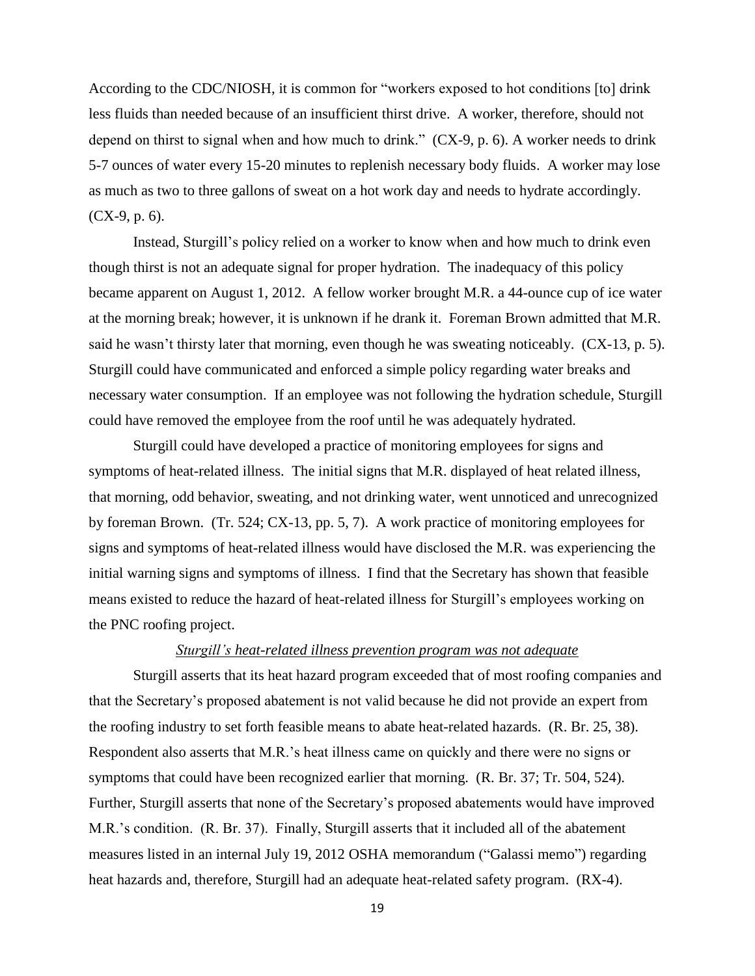According to the CDC/NIOSH, it is common for "workers exposed to hot conditions [to] drink less fluids than needed because of an insufficient thirst drive. A worker, therefore, should not depend on thirst to signal when and how much to drink." (CX-9, p. 6). A worker needs to drink 5-7 ounces of water every 15-20 minutes to replenish necessary body fluids. A worker may lose as much as two to three gallons of sweat on a hot work day and needs to hydrate accordingly. (CX-9, p. 6).

Instead, Sturgill's policy relied on a worker to know when and how much to drink even though thirst is not an adequate signal for proper hydration. The inadequacy of this policy became apparent on August 1, 2012. A fellow worker brought M.R. a 44-ounce cup of ice water at the morning break; however, it is unknown if he drank it. Foreman Brown admitted that M.R. said he wasn't thirsty later that morning, even though he was sweating noticeably. (CX-13, p. 5). Sturgill could have communicated and enforced a simple policy regarding water breaks and necessary water consumption. If an employee was not following the hydration schedule, Sturgill could have removed the employee from the roof until he was adequately hydrated.

Sturgill could have developed a practice of monitoring employees for signs and symptoms of heat-related illness. The initial signs that M.R. displayed of heat related illness, that morning, odd behavior, sweating, and not drinking water, went unnoticed and unrecognized by foreman Brown. (Tr. 524; CX-13, pp. 5, 7). A work practice of monitoring employees for signs and symptoms of heat-related illness would have disclosed the M.R. was experiencing the initial warning signs and symptoms of illness. I find that the Secretary has shown that feasible means existed to reduce the hazard of heat-related illness for Sturgill's employees working on the PNC roofing project.

## *Sturgill's heat-related illness prevention program was not adequate*

Sturgill asserts that its heat hazard program exceeded that of most roofing companies and that the Secretary's proposed abatement is not valid because he did not provide an expert from the roofing industry to set forth feasible means to abate heat-related hazards. (R. Br. 25, 38). Respondent also asserts that M.R.'s heat illness came on quickly and there were no signs or symptoms that could have been recognized earlier that morning. (R. Br. 37; Tr. 504, 524). Further, Sturgill asserts that none of the Secretary's proposed abatements would have improved M.R.'s condition. (R. Br. 37). Finally, Sturgill asserts that it included all of the abatement measures listed in an internal July 19, 2012 OSHA memorandum ("Galassi memo") regarding heat hazards and, therefore, Sturgill had an adequate heat-related safety program. (RX-4).

19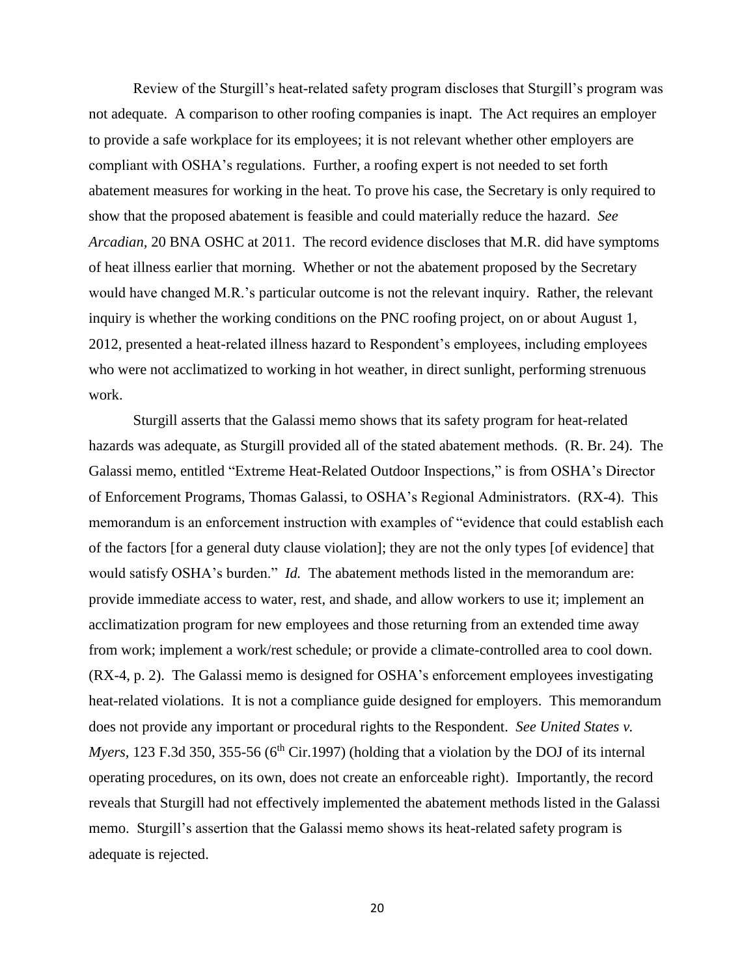Review of the Sturgill's heat-related safety program discloses that Sturgill's program was not adequate. A comparison to other roofing companies is inapt. The Act requires an employer to provide a safe workplace for its employees; it is not relevant whether other employers are compliant with OSHA's regulations. Further, a roofing expert is not needed to set forth abatement measures for working in the heat. To prove his case, the Secretary is only required to show that the proposed abatement is feasible and could materially reduce the hazard. *See Arcadian,* 20 BNA OSHC at 2011. The record evidence discloses that M.R. did have symptoms of heat illness earlier that morning. Whether or not the abatement proposed by the Secretary would have changed M.R.'s particular outcome is not the relevant inquiry. Rather, the relevant inquiry is whether the working conditions on the PNC roofing project, on or about August 1, 2012, presented a heat-related illness hazard to Respondent's employees, including employees who were not acclimatized to working in hot weather, in direct sunlight, performing strenuous work.

Sturgill asserts that the Galassi memo shows that its safety program for heat-related hazards was adequate, as Sturgill provided all of the stated abatement methods. (R. Br. 24). The Galassi memo, entitled "Extreme Heat-Related Outdoor Inspections," is from OSHA's Director of Enforcement Programs, Thomas Galassi, to OSHA's Regional Administrators. (RX-4). This memorandum is an enforcement instruction with examples of "evidence that could establish each of the factors [for a general duty clause violation]; they are not the only types [of evidence] that would satisfy OSHA's burden." *Id.* The abatement methods listed in the memorandum are: provide immediate access to water, rest, and shade, and allow workers to use it; implement an acclimatization program for new employees and those returning from an extended time away from work; implement a work/rest schedule; or provide a climate-controlled area to cool down. (RX-4, p. 2). The Galassi memo is designed for OSHA's enforcement employees investigating heat-related violations. It is not a compliance guide designed for employers. This memorandum does not provide any important or procedural rights to the Respondent. *See United States v. Myers,* 123 F.3d 350, 355-56 (6<sup>th</sup> Cir.1997) (holding that a violation by the DOJ of its internal operating procedures, on its own, does not create an enforceable right). Importantly, the record reveals that Sturgill had not effectively implemented the abatement methods listed in the Galassi memo. Sturgill's assertion that the Galassi memo shows its heat-related safety program is adequate is rejected.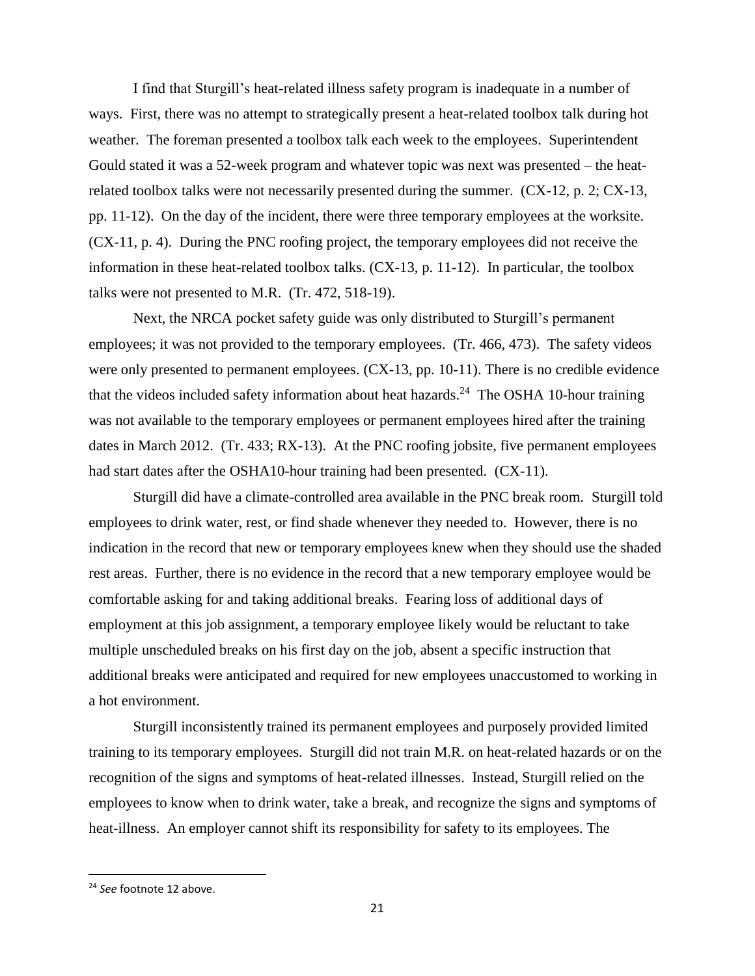I find that Sturgill's heat-related illness safety program is inadequate in a number of ways. First, there was no attempt to strategically present a heat-related toolbox talk during hot weather. The foreman presented a toolbox talk each week to the employees. Superintendent Gould stated it was a 52-week program and whatever topic was next was presented – the heatrelated toolbox talks were not necessarily presented during the summer. (CX-12, p. 2; CX-13, pp. 11-12). On the day of the incident, there were three temporary employees at the worksite. (CX-11, p. 4). During the PNC roofing project, the temporary employees did not receive the information in these heat-related toolbox talks. (CX-13, p. 11-12). In particular, the toolbox talks were not presented to M.R. (Tr. 472, 518-19).

Next, the NRCA pocket safety guide was only distributed to Sturgill's permanent employees; it was not provided to the temporary employees. (Tr. 466, 473). The safety videos were only presented to permanent employees. (CX-13, pp. 10-11). There is no credible evidence that the videos included safety information about heat hazards.<sup>24</sup> The OSHA 10-hour training was not available to the temporary employees or permanent employees hired after the training dates in March 2012. (Tr. 433; RX-13). At the PNC roofing jobsite, five permanent employees had start dates after the OSHA10-hour training had been presented. (CX-11).

Sturgill did have a climate-controlled area available in the PNC break room. Sturgill told employees to drink water, rest, or find shade whenever they needed to. However, there is no indication in the record that new or temporary employees knew when they should use the shaded rest areas. Further, there is no evidence in the record that a new temporary employee would be comfortable asking for and taking additional breaks. Fearing loss of additional days of employment at this job assignment, a temporary employee likely would be reluctant to take multiple unscheduled breaks on his first day on the job, absent a specific instruction that additional breaks were anticipated and required for new employees unaccustomed to working in a hot environment.

Sturgill inconsistently trained its permanent employees and purposely provided limited training to its temporary employees. Sturgill did not train M.R. on heat-related hazards or on the recognition of the signs and symptoms of heat-related illnesses. Instead, Sturgill relied on the employees to know when to drink water, take a break, and recognize the signs and symptoms of heat-illness. An employer cannot shift its responsibility for safety to its employees. The

<sup>24</sup> *See* footnote 12 above.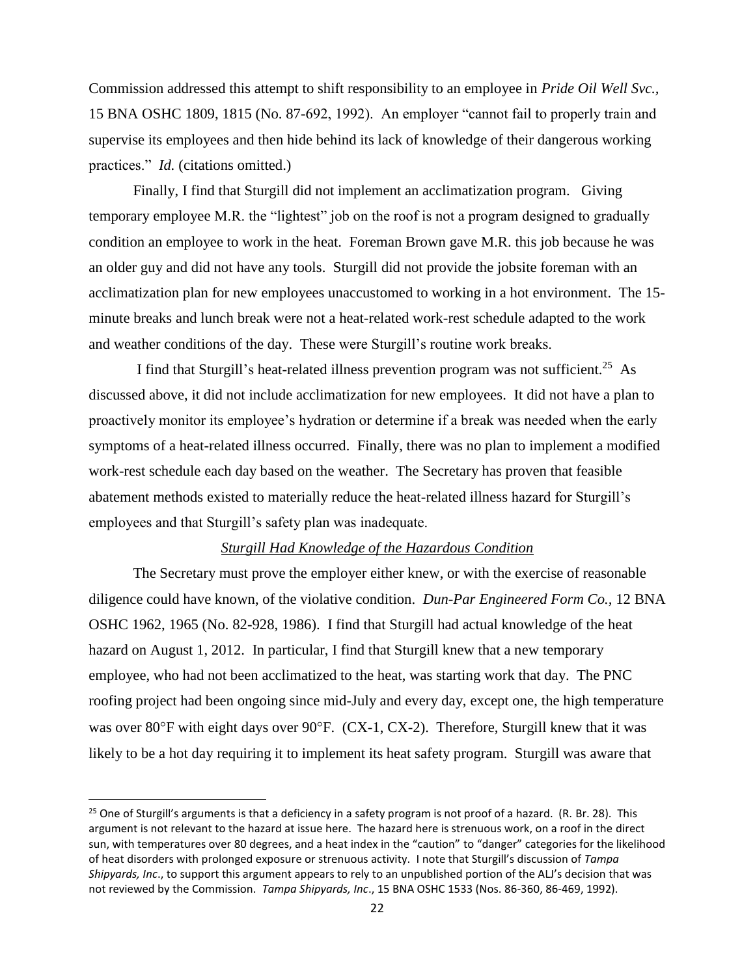Commission addressed this attempt to shift responsibility to an employee in *Pride Oil Well Svc.,*  15 BNA OSHC 1809, 1815 (No. 87-692, 1992). An employer "cannot fail to properly train and supervise its employees and then hide behind its lack of knowledge of their dangerous working practices." *Id.* (citations omitted.)

Finally, I find that Sturgill did not implement an acclimatization program. Giving temporary employee M.R. the "lightest" job on the roof is not a program designed to gradually condition an employee to work in the heat. Foreman Brown gave M.R. this job because he was an older guy and did not have any tools. Sturgill did not provide the jobsite foreman with an acclimatization plan for new employees unaccustomed to working in a hot environment. The 15 minute breaks and lunch break were not a heat-related work-rest schedule adapted to the work and weather conditions of the day. These were Sturgill's routine work breaks.

I find that Sturgill's heat-related illness prevention program was not sufficient.<sup>25</sup> As discussed above, it did not include acclimatization for new employees. It did not have a plan to proactively monitor its employee's hydration or determine if a break was needed when the early symptoms of a heat-related illness occurred. Finally, there was no plan to implement a modified work-rest schedule each day based on the weather. The Secretary has proven that feasible abatement methods existed to materially reduce the heat-related illness hazard for Sturgill's employees and that Sturgill's safety plan was inadequate.

## *Sturgill Had Knowledge of the Hazardous Condition*

The Secretary must prove the employer either knew, or with the exercise of reasonable diligence could have known, of the violative condition. *Dun-Par Engineered Form Co.,* 12 BNA OSHC 1962, 1965 (No. 82-928, 1986). I find that Sturgill had actual knowledge of the heat hazard on August 1, 2012. In particular, I find that Sturgill knew that a new temporary employee, who had not been acclimatized to the heat, was starting work that day. The PNC roofing project had been ongoing since mid-July and every day, except one, the high temperature was over 80°F with eight days over 90°F. (CX-1, CX-2). Therefore, Sturgill knew that it was likely to be a hot day requiring it to implement its heat safety program. Sturgill was aware that

<sup>&</sup>lt;sup>25</sup> One of Sturgill's arguments is that a deficiency in a safety program is not proof of a hazard. (R. Br. 28). This argument is not relevant to the hazard at issue here. The hazard here is strenuous work, on a roof in the direct sun, with temperatures over 80 degrees, and a heat index in the "caution" to "danger" categories for the likelihood of heat disorders with prolonged exposure or strenuous activity. I note that Sturgill's discussion of *Tampa Shipyards, Inc*., to support this argument appears to rely to an unpublished portion of the ALJ's decision that was not reviewed by the Commission. *Tampa Shipyards, Inc*., 15 BNA OSHC 1533 (Nos. 86-360, 86-469, 1992).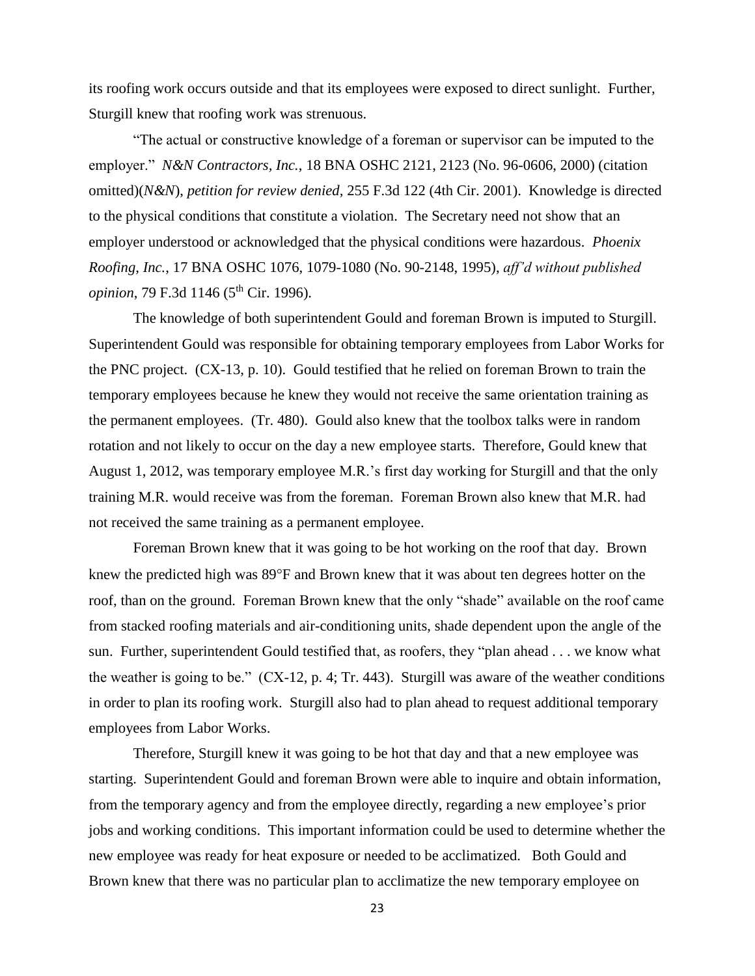its roofing work occurs outside and that its employees were exposed to direct sunlight. Further, Sturgill knew that roofing work was strenuous.

"The actual or constructive knowledge of a foreman or supervisor can be imputed to the employer." *N&N Contractors, Inc.*, 18 BNA OSHC 2121, 2123 (No. 96-0606, 2000) (citation omitted)(*N&N*), *petition for review denied,* 255 F.3d 122 (4th Cir. 2001). Knowledge is directed to the physical conditions that constitute a violation. The Secretary need not show that an employer understood or acknowledged that the physical conditions were hazardous. *Phoenix Roofing, Inc.*, 17 BNA OSHC 1076, 1079-1080 (No. 90-2148, 1995), *aff'd without published opinion*, 79 F.3d 1146 (5<sup>th</sup> Cir. 1996).

The knowledge of both superintendent Gould and foreman Brown is imputed to Sturgill. Superintendent Gould was responsible for obtaining temporary employees from Labor Works for the PNC project. (CX-13, p. 10). Gould testified that he relied on foreman Brown to train the temporary employees because he knew they would not receive the same orientation training as the permanent employees. (Tr. 480). Gould also knew that the toolbox talks were in random rotation and not likely to occur on the day a new employee starts. Therefore, Gould knew that August 1, 2012, was temporary employee M.R.'s first day working for Sturgill and that the only training M.R. would receive was from the foreman. Foreman Brown also knew that M.R. had not received the same training as a permanent employee.

Foreman Brown knew that it was going to be hot working on the roof that day. Brown knew the predicted high was 89°F and Brown knew that it was about ten degrees hotter on the roof, than on the ground. Foreman Brown knew that the only "shade" available on the roof came from stacked roofing materials and air-conditioning units, shade dependent upon the angle of the sun. Further, superintendent Gould testified that, as roofers, they "plan ahead . . . we know what the weather is going to be." (CX-12, p. 4; Tr. 443). Sturgill was aware of the weather conditions in order to plan its roofing work. Sturgill also had to plan ahead to request additional temporary employees from Labor Works.

Therefore, Sturgill knew it was going to be hot that day and that a new employee was starting. Superintendent Gould and foreman Brown were able to inquire and obtain information, from the temporary agency and from the employee directly, regarding a new employee's prior jobs and working conditions. This important information could be used to determine whether the new employee was ready for heat exposure or needed to be acclimatized. Both Gould and Brown knew that there was no particular plan to acclimatize the new temporary employee on

23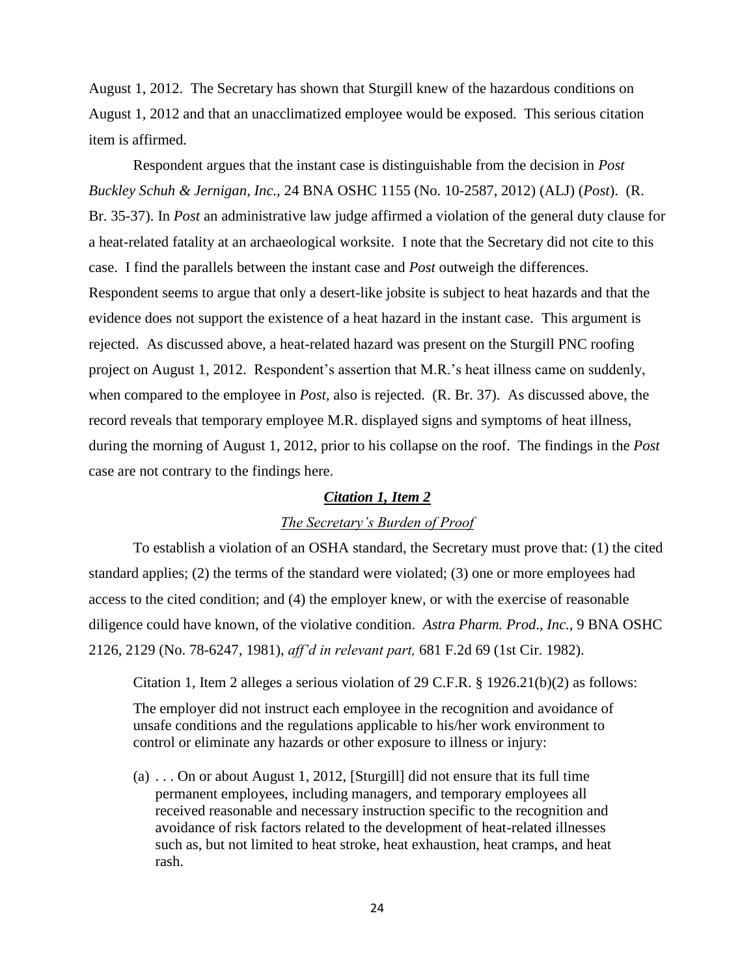August 1, 2012. The Secretary has shown that Sturgill knew of the hazardous conditions on August 1, 2012 and that an unacclimatized employee would be exposed. This serious citation item is affirmed.

Respondent argues that the instant case is distinguishable from the decision in *Post Buckley Schuh & Jernigan, Inc.,* 24 BNA OSHC 1155 (No. 10-2587, 2012) (ALJ) (*Post*). (R. Br. 35-37). In *Post* an administrative law judge affirmed a violation of the general duty clause for a heat-related fatality at an archaeological worksite. I note that the Secretary did not cite to this case. I find the parallels between the instant case and *Post* outweigh the differences. Respondent seems to argue that only a desert-like jobsite is subject to heat hazards and that the evidence does not support the existence of a heat hazard in the instant case. This argument is rejected. As discussed above, a heat-related hazard was present on the Sturgill PNC roofing project on August 1, 2012. Respondent's assertion that M.R.'s heat illness came on suddenly, when compared to the employee in *Post,* also is rejected. (R. Br. 37). As discussed above, the record reveals that temporary employee M.R. displayed signs and symptoms of heat illness, during the morning of August 1, 2012, prior to his collapse on the roof. The findings in the *Post*  case are not contrary to the findings here.

### *Citation 1, Item 2*

# *The Secretary's Burden of Proof*

To establish a violation of an OSHA standard, the Secretary must prove that: (1) the cited standard applies; (2) the terms of the standard were violated; (3) one or more employees had access to the cited condition; and (4) the employer knew, or with the exercise of reasonable diligence could have known, of the violative condition. *Astra Pharm. Prod*., *Inc.*, 9 BNA OSHC 2126, 2129 (No. 78-6247, 1981), *aff'd in relevant part,* 681 F.2d 69 (1st Cir. 1982).

Citation 1, Item 2 alleges a serious violation of 29 C.F.R. § 1926.21(b)(2) as follows:

The employer did not instruct each employee in the recognition and avoidance of unsafe conditions and the regulations applicable to his/her work environment to control or eliminate any hazards or other exposure to illness or injury:

(a) . . . On or about August 1, 2012, [Sturgill] did not ensure that its full time permanent employees, including managers, and temporary employees all received reasonable and necessary instruction specific to the recognition and avoidance of risk factors related to the development of heat-related illnesses such as, but not limited to heat stroke, heat exhaustion, heat cramps, and heat rash.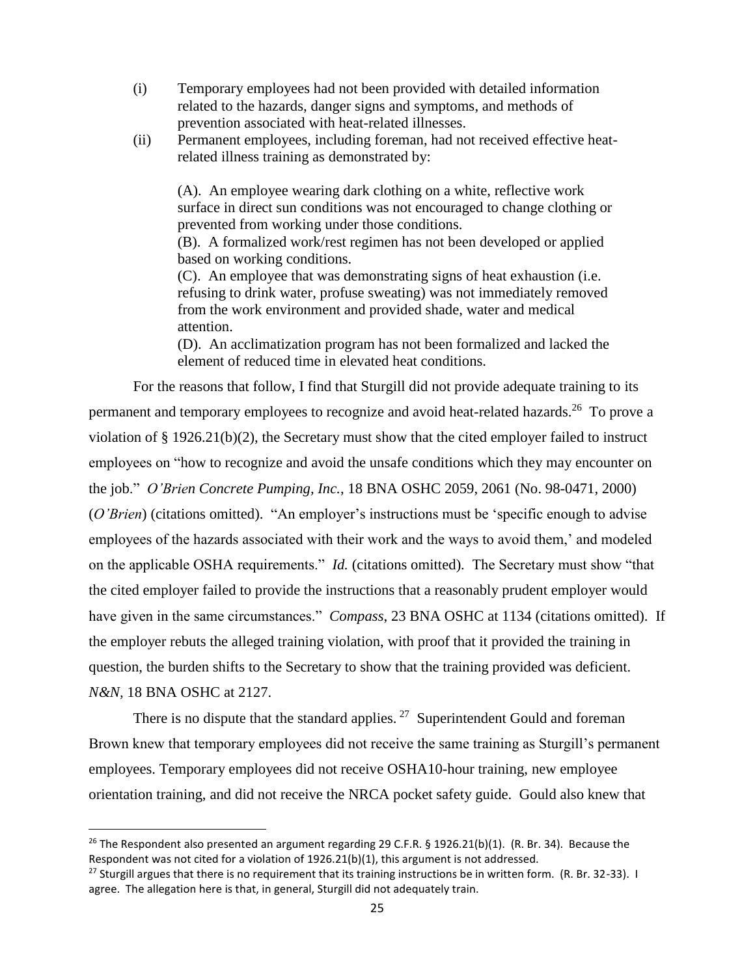- (i) Temporary employees had not been provided with detailed information related to the hazards, danger signs and symptoms, and methods of prevention associated with heat-related illnesses.
- (ii) Permanent employees, including foreman, had not received effective heatrelated illness training as demonstrated by:

(A). An employee wearing dark clothing on a white, reflective work surface in direct sun conditions was not encouraged to change clothing or prevented from working under those conditions.

(B). A formalized work/rest regimen has not been developed or applied based on working conditions.

(C). An employee that was demonstrating signs of heat exhaustion (i.e. refusing to drink water, profuse sweating) was not immediately removed from the work environment and provided shade, water and medical attention.

(D). An acclimatization program has not been formalized and lacked the element of reduced time in elevated heat conditions.

For the reasons that follow, I find that Sturgill did not provide adequate training to its permanent and temporary employees to recognize and avoid heat-related hazards.<sup>26</sup> To prove a violation of § 1926.21(b)(2), the Secretary must show that the cited employer failed to instruct employees on "how to recognize and avoid the unsafe conditions which they may encounter on the job." *O'Brien Concrete Pumping, Inc.*, 18 BNA OSHC 2059, 2061 (No. 98-0471, 2000) (*O'Brien*) (citations omitted). "An employer's instructions must be 'specific enough to advise employees of the hazards associated with their work and the ways to avoid them,' and modeled on the applicable OSHA requirements." *Id.* (citations omitted). The Secretary must show "that the cited employer failed to provide the instructions that a reasonably prudent employer would have given in the same circumstances." *Compass*, 23 BNA OSHC at 1134 (citations omitted). If the employer rebuts the alleged training violation, with proof that it provided the training in question, the burden shifts to the Secretary to show that the training provided was deficient. *N&N,* 18 BNA OSHC at 2127.

There is no dispute that the standard applies.  $27$  Superintendent Gould and foreman Brown knew that temporary employees did not receive the same training as Sturgill's permanent employees. Temporary employees did not receive OSHA10-hour training, new employee orientation training, and did not receive the NRCA pocket safety guide. Gould also knew that

<sup>&</sup>lt;sup>26</sup> The Respondent also presented an argument regarding 29 C.F.R. § 1926.21(b)(1). (R. Br. 34). Because the Respondent was not cited for a violation of 1926.21(b)(1), this argument is not addressed.

<sup>&</sup>lt;sup>27</sup> Sturgill argues that there is no requirement that its training instructions be in written form. (R. Br. 32-33). I agree. The allegation here is that, in general, Sturgill did not adequately train.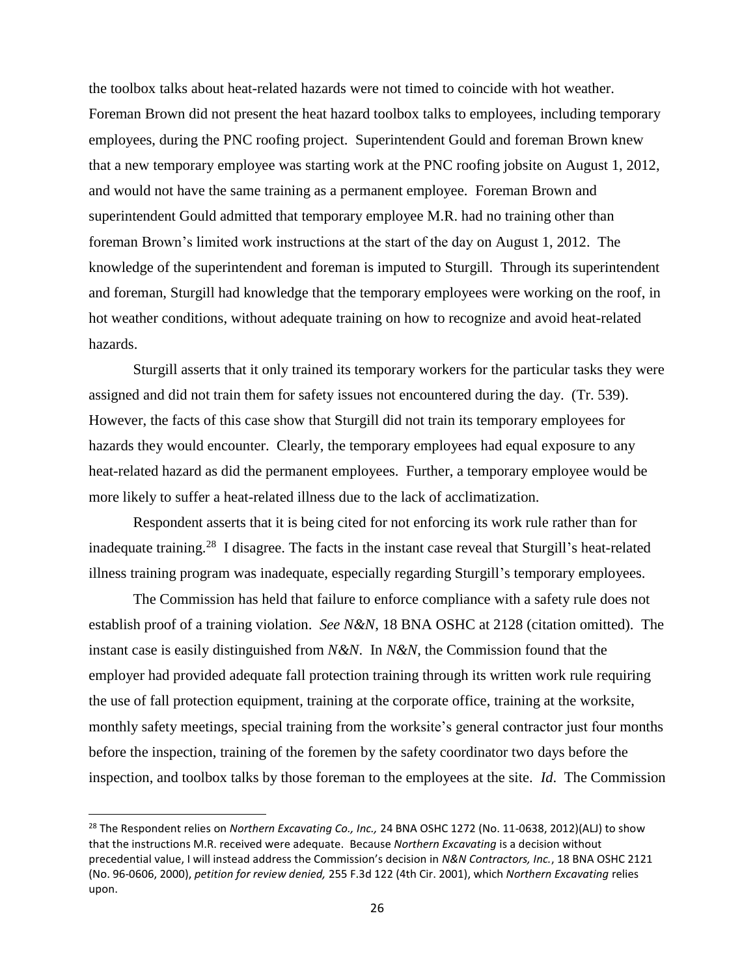the toolbox talks about heat-related hazards were not timed to coincide with hot weather. Foreman Brown did not present the heat hazard toolbox talks to employees, including temporary employees, during the PNC roofing project. Superintendent Gould and foreman Brown knew that a new temporary employee was starting work at the PNC roofing jobsite on August 1, 2012, and would not have the same training as a permanent employee. Foreman Brown and superintendent Gould admitted that temporary employee M.R. had no training other than foreman Brown's limited work instructions at the start of the day on August 1, 2012. The knowledge of the superintendent and foreman is imputed to Sturgill. Through its superintendent and foreman, Sturgill had knowledge that the temporary employees were working on the roof, in hot weather conditions, without adequate training on how to recognize and avoid heat-related hazards.

Sturgill asserts that it only trained its temporary workers for the particular tasks they were assigned and did not train them for safety issues not encountered during the day. (Tr. 539). However, the facts of this case show that Sturgill did not train its temporary employees for hazards they would encounter. Clearly, the temporary employees had equal exposure to any heat-related hazard as did the permanent employees. Further, a temporary employee would be more likely to suffer a heat-related illness due to the lack of acclimatization.

Respondent asserts that it is being cited for not enforcing its work rule rather than for inadequate training.<sup>28</sup> I disagree. The facts in the instant case reveal that Sturgill's heat-related illness training program was inadequate, especially regarding Sturgill's temporary employees.

The Commission has held that failure to enforce compliance with a safety rule does not establish proof of a training violation. *See N&N*, 18 BNA OSHC at 2128 (citation omitted). The instant case is easily distinguished from *N&N*. In *N&N*, the Commission found that the employer had provided adequate fall protection training through its written work rule requiring the use of fall protection equipment, training at the corporate office, training at the worksite, monthly safety meetings, special training from the worksite's general contractor just four months before the inspection, training of the foremen by the safety coordinator two days before the inspection, and toolbox talks by those foreman to the employees at the site. *Id*. The Commission

<sup>28</sup> The Respondent relies on *Northern Excavating Co., Inc.,* 24 BNA OSHC 1272 (No. 11-0638, 2012)(ALJ) to show that the instructions M.R. received were adequate. Because *Northern Excavating* is a decision without precedential value, I will instead address the Commission's decision in *N&N Contractors, Inc.*, 18 BNA OSHC 2121 (No. 96-0606, 2000), *petition for review denied,* 255 F.3d 122 (4th Cir. 2001), which *Northern Excavating* relies upon.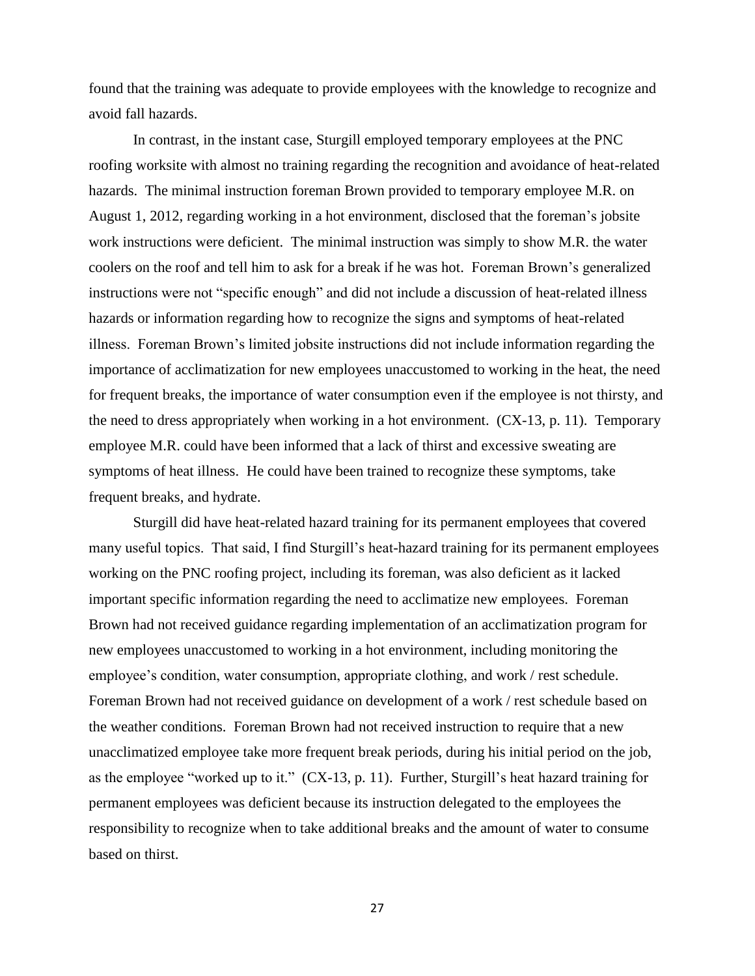found that the training was adequate to provide employees with the knowledge to recognize and avoid fall hazards.

In contrast, in the instant case, Sturgill employed temporary employees at the PNC roofing worksite with almost no training regarding the recognition and avoidance of heat-related hazards. The minimal instruction foreman Brown provided to temporary employee M.R. on August 1, 2012, regarding working in a hot environment, disclosed that the foreman's jobsite work instructions were deficient. The minimal instruction was simply to show M.R. the water coolers on the roof and tell him to ask for a break if he was hot. Foreman Brown's generalized instructions were not "specific enough" and did not include a discussion of heat-related illness hazards or information regarding how to recognize the signs and symptoms of heat-related illness. Foreman Brown's limited jobsite instructions did not include information regarding the importance of acclimatization for new employees unaccustomed to working in the heat, the need for frequent breaks, the importance of water consumption even if the employee is not thirsty, and the need to dress appropriately when working in a hot environment. (CX-13, p. 11). Temporary employee M.R. could have been informed that a lack of thirst and excessive sweating are symptoms of heat illness. He could have been trained to recognize these symptoms, take frequent breaks, and hydrate.

Sturgill did have heat-related hazard training for its permanent employees that covered many useful topics. That said, I find Sturgill's heat-hazard training for its permanent employees working on the PNC roofing project, including its foreman, was also deficient as it lacked important specific information regarding the need to acclimatize new employees. Foreman Brown had not received guidance regarding implementation of an acclimatization program for new employees unaccustomed to working in a hot environment, including monitoring the employee's condition, water consumption, appropriate clothing, and work / rest schedule. Foreman Brown had not received guidance on development of a work / rest schedule based on the weather conditions. Foreman Brown had not received instruction to require that a new unacclimatized employee take more frequent break periods, during his initial period on the job, as the employee "worked up to it." (CX-13, p. 11). Further, Sturgill's heat hazard training for permanent employees was deficient because its instruction delegated to the employees the responsibility to recognize when to take additional breaks and the amount of water to consume based on thirst.

27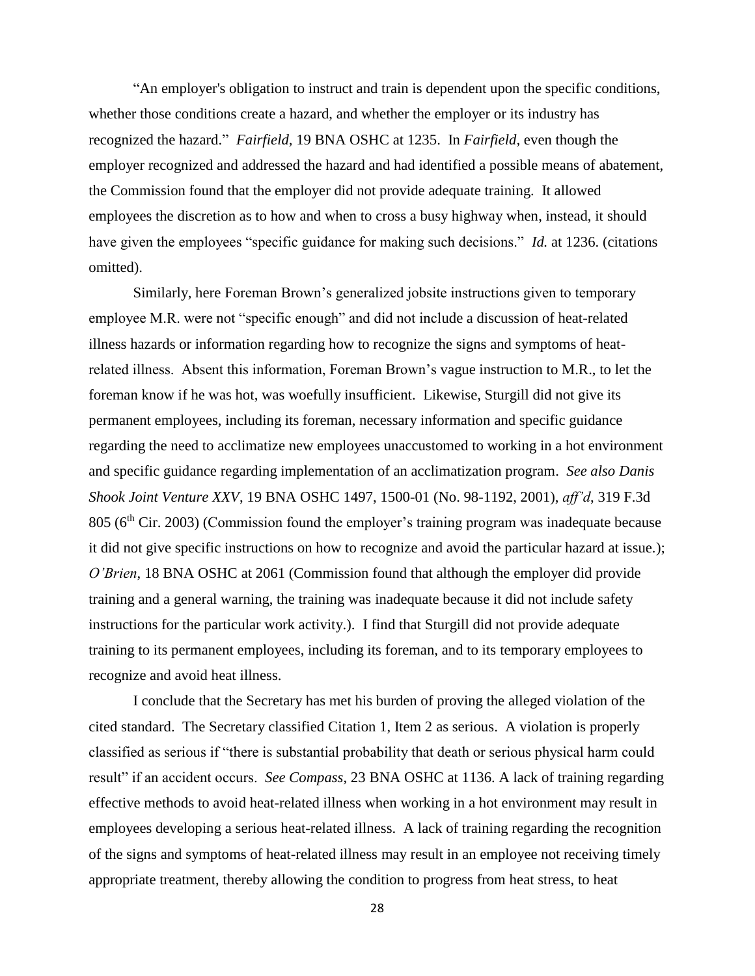"An employer's obligation to instruct and train is dependent upon the specific conditions, whether those conditions create a hazard, and whether the employer or its industry has recognized the hazard." *Fairfield,* 19 BNA OSHC at 1235. In *Fairfield,* even though the employer recognized and addressed the hazard and had identified a possible means of abatement, the Commission found that the employer did not provide adequate training. It allowed employees the discretion as to how and when to cross a busy highway when, instead, it should have given the employees "specific guidance for making such decisions." *Id.* at 1236. (citations omitted).

Similarly, here Foreman Brown's generalized jobsite instructions given to temporary employee M.R. were not "specific enough" and did not include a discussion of heat-related illness hazards or information regarding how to recognize the signs and symptoms of heatrelated illness. Absent this information, Foreman Brown's vague instruction to M.R., to let the foreman know if he was hot, was woefully insufficient. Likewise, Sturgill did not give its permanent employees, including its foreman, necessary information and specific guidance regarding the need to acclimatize new employees unaccustomed to working in a hot environment and specific guidance regarding implementation of an acclimatization program. *See also Danis Shook Joint Venture XXV*, 19 BNA OSHC 1497, 1500-01 (No. 98-1192, 2001), *aff'd*, 319 F.3d  $805$  ( $6<sup>th</sup>$  Cir. 2003) (Commission found the employer's training program was inadequate because it did not give specific instructions on how to recognize and avoid the particular hazard at issue*.*); *O'Brien*, 18 BNA OSHC at 2061 (Commission found that although the employer did provide training and a general warning, the training was inadequate because it did not include safety instructions for the particular work activity.). I find that Sturgill did not provide adequate training to its permanent employees, including its foreman, and to its temporary employees to recognize and avoid heat illness.

I conclude that the Secretary has met his burden of proving the alleged violation of the cited standard. The Secretary classified Citation 1, Item 2 as serious. A violation is properly classified as serious if "there is substantial probability that death or serious physical harm could result" if an accident occurs. *See Compass*, 23 BNA OSHC at 1136. A lack of training regarding effective methods to avoid heat-related illness when working in a hot environment may result in employees developing a serious heat-related illness. A lack of training regarding the recognition of the signs and symptoms of heat-related illness may result in an employee not receiving timely appropriate treatment, thereby allowing the condition to progress from heat stress, to heat

28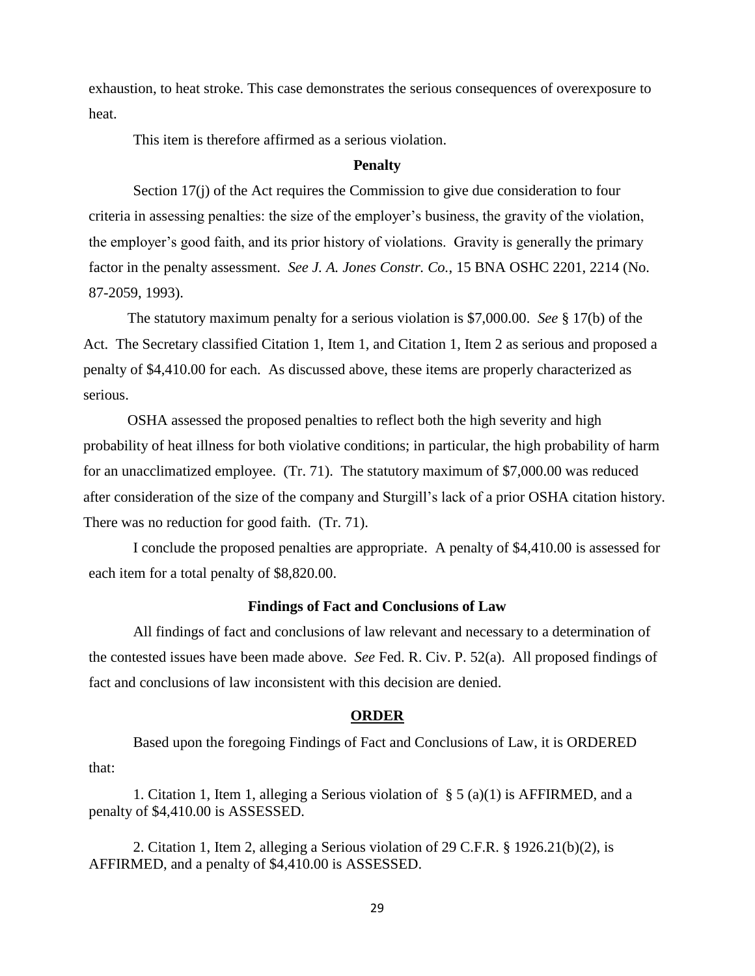exhaustion, to heat stroke. This case demonstrates the serious consequences of overexposure to heat.

This item is therefore affirmed as a serious violation.

# **Penalty**

Section 17(j) of the Act requires the Commission to give due consideration to four criteria in assessing penalties: the size of the employer's business, the gravity of the violation, the employer's good faith, and its prior history of violations. Gravity is generally the primary factor in the penalty assessment. *See J. A. Jones Constr. Co.*, 15 BNA OSHC 2201, 2214 (No. 87-2059, 1993).

The statutory maximum penalty for a serious violation is \$7,000.00. *See* § 17(b) of the Act. The Secretary classified Citation 1, Item 1, and Citation 1, Item 2 as serious and proposed a penalty of \$4,410.00 for each. As discussed above, these items are properly characterized as serious.

OSHA assessed the proposed penalties to reflect both the high severity and high probability of heat illness for both violative conditions; in particular, the high probability of harm for an unacclimatized employee. (Tr. 71). The statutory maximum of \$7,000.00 was reduced after consideration of the size of the company and Sturgill's lack of a prior OSHA citation history. There was no reduction for good faith. (Tr. 71).

I conclude the proposed penalties are appropriate. A penalty of \$4,410.00 is assessed for each item for a total penalty of \$8,820.00.

### **Findings of Fact and Conclusions of Law**

 All findings of fact and conclusions of law relevant and necessary to a determination of the contested issues have been made above. *See* Fed. R. Civ. P. 52(a). All proposed findings of fact and conclusions of law inconsistent with this decision are denied.

#### **ORDER**

 Based upon the foregoing Findings of Fact and Conclusions of Law, it is ORDERED that:

1. Citation 1, Item 1, alleging a Serious violation of § 5 (a)(1) is AFFIRMED, and a penalty of \$4,410.00 is ASSESSED.

2. Citation 1, Item 2, alleging a Serious violation of 29 C.F.R. § 1926.21(b)(2), is AFFIRMED, and a penalty of \$4,410.00 is ASSESSED.